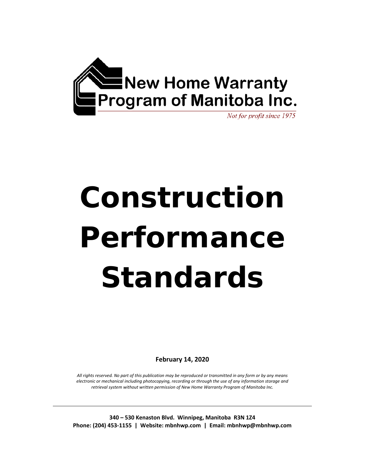

# **Construction Performance Standards**

**February 14, 2020** 

*All rights reserved. No part of this publication may be reproduced or transmitted in any form or by any means electronic or mechanical including photocopying, recording or through the use of any information storage and retrieval system without written permission of New Home Warranty Program of Manitoba Inc.*

**340 – 530 Kenaston Blvd. Winnipeg, Manitoba R3N 1Z4 Phone: (204) 453‐1155 | Website: mbnhwp.com | Email: mbnhwp@mbnhwp.com**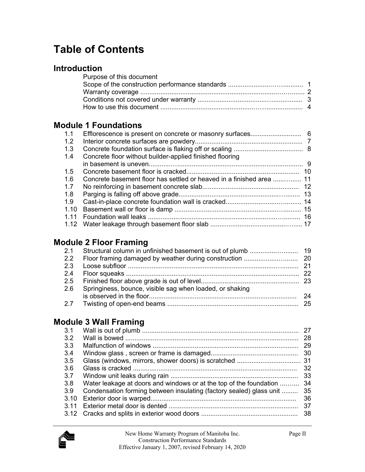## **Table of Contents**

### **Introduction**

| Purpose of this document |  |
|--------------------------|--|
|                          |  |
|                          |  |
|                          |  |
|                          |  |

## **Module 1 Foundations**

| 1.1           |                                                                      |  |
|---------------|----------------------------------------------------------------------|--|
| 1.2           |                                                                      |  |
| 1.3           |                                                                      |  |
| 1.4           | Concrete floor without builder-applied finished flooring             |  |
|               |                                                                      |  |
| $1.5^{\circ}$ |                                                                      |  |
| 1.6           | Concrete basement floor has settled or heaved in a finished area  11 |  |
| 1.7           |                                                                      |  |
| 1.8           |                                                                      |  |
| 1.9           |                                                                      |  |
| 1.10          |                                                                      |  |
| 1 1 1         |                                                                      |  |
|               |                                                                      |  |
|               |                                                                      |  |

## **Module 2 Floor Framing**

|  | 2.6 Springiness, bounce, visible sag when loaded, or shaking |     |
|--|--------------------------------------------------------------|-----|
|  |                                                              | -24 |
|  |                                                              |     |
|  |                                                              |     |

## **Module 3 Wall Framing**

| 3.1   |                                                                     | 27 |
|-------|---------------------------------------------------------------------|----|
|       |                                                                     |    |
| 3.2   |                                                                     | 28 |
| 3.3   |                                                                     | 29 |
| 3.4   |                                                                     | 30 |
| 3.5   |                                                                     |    |
| 3.6   |                                                                     | 32 |
| 3.7   |                                                                     | 33 |
| 3.8   | Water leakage at doors and windows or at the top of the foundation  | 34 |
| 3.9   | Condensation forming between insulating (factory sealed) glass unit | 35 |
| 3.10  |                                                                     | 36 |
| 3 1 1 |                                                                     | 37 |
|       |                                                                     | 38 |
|       |                                                                     |    |

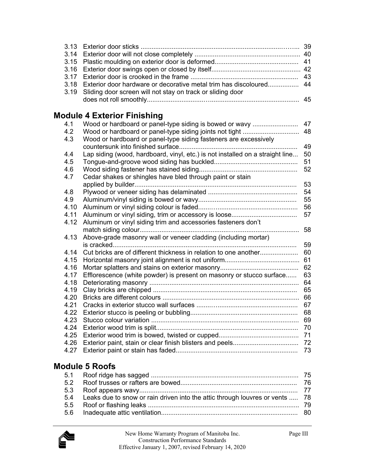| 3.18 Exterior door hardware or decorative metal trim has discoloured 44 |  |
|-------------------------------------------------------------------------|--|
| 3.19 Sliding door screen will not stay on track or sliding door         |  |
|                                                                         |  |

## **Module 4 Exterior Finishing**

| 4.1  | Wood or hardboard or panel-type siding is bowed or wavy                       | 47 |
|------|-------------------------------------------------------------------------------|----|
| 4.2  | Wood or hardboard or panel-type siding joints not tight                       | 48 |
| 4.3  | Wood or hardboard or panel-type siding fasteners are excessively              |    |
|      |                                                                               | 49 |
| 4.4  | Lap siding (wood, hardboard, vinyl, etc.) is not installed on a straight line | 50 |
| 4.5  |                                                                               | 51 |
| 4.6  |                                                                               | 52 |
| 4.7  | Cedar shakes or shingles have bled through paint or stain                     |    |
|      |                                                                               | 53 |
| 4.8  |                                                                               | 54 |
| 4.9  |                                                                               | 55 |
| 4.10 |                                                                               | 56 |
| 4.11 |                                                                               | 57 |
| 4.12 | Aluminum or vinyl siding trim and accessories fasteners don't                 |    |
|      |                                                                               | 58 |
| 4.13 | Above-grade masonry wall or veneer cladding (including mortar)                |    |
|      |                                                                               | 59 |
| 4.14 | Cut bricks are of different thickness in relation to one another              | 60 |
| 4.15 |                                                                               | 61 |
| 4.16 |                                                                               | 62 |
| 4.17 | Efflorescence (white powder) is present on masonry or stucco surface          | 63 |
| 4.18 |                                                                               | 64 |
| 4.19 |                                                                               | 65 |
| 4.20 |                                                                               | 66 |
| 4.21 |                                                                               | 67 |
| 4.22 |                                                                               | 68 |
| 4.23 |                                                                               | 69 |
| 4.24 |                                                                               | 70 |
| 4.25 |                                                                               | 71 |
| 4.26 |                                                                               | 72 |
| 4.27 |                                                                               | 73 |
|      |                                                                               |    |

## **Module 5 Roofs**

| 5.4 Leaks due to snow or rain driven into the attic through louvres or vents  78 |  |
|----------------------------------------------------------------------------------|--|
|                                                                                  |  |
|                                                                                  |  |

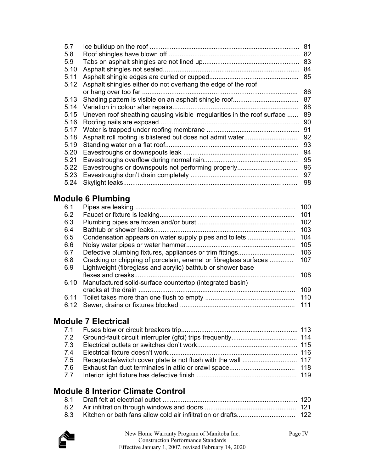| 5.7  |                                                                          | 81 |
|------|--------------------------------------------------------------------------|----|
| 5.8  |                                                                          | 82 |
| 5.9  |                                                                          |    |
| 5.10 |                                                                          | 84 |
| 5.11 |                                                                          | 85 |
| 5.12 | Asphalt shingles either do not overhang the edge of the roof             |    |
|      |                                                                          | 86 |
| 5.13 |                                                                          | 87 |
| 5.14 |                                                                          | 88 |
| 5.15 | Uneven roof sheathing causing visible irregularities in the roof surface | 89 |
| 5.16 |                                                                          | 90 |
| 5.17 |                                                                          | 91 |
| 5.18 |                                                                          | 92 |
| 5.19 |                                                                          | 93 |
| 5.20 |                                                                          | 94 |
| 5.21 |                                                                          | 95 |
| 5.22 | Eavestroughs or downspouts not performing properly                       | 96 |
| 5.23 |                                                                          | 97 |
| 5.24 |                                                                          | 98 |

## **Module 6 Plumbing**

| 6.1  |                                                                  | 100 |
|------|------------------------------------------------------------------|-----|
| 6.2  |                                                                  | 101 |
| 6.3  |                                                                  | 102 |
| 6.4  |                                                                  | 103 |
| 6.5  | Condensation appears on water supply pipes and toilets           | 104 |
| 6.6  |                                                                  | 105 |
| 6.7  |                                                                  | 106 |
| 6.8  | Cracking or chipping of porcelain, enamel or fibreglass surfaces | 107 |
| 6.9  | Lightweight (fibreglass and acrylic) bathtub or shower base      |     |
|      |                                                                  | 108 |
| 6.10 | Manufactured solid-surface countertop (integrated basin)         |     |
|      |                                                                  | 109 |
|      |                                                                  | 110 |
|      |                                                                  | 111 |
|      |                                                                  |     |

## **Module 7 Electrical**

## **Module 8 Interior Climate Control**

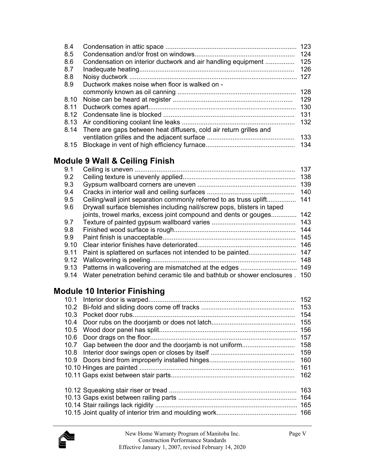| 8.4<br>8.5 |                                                                         | 123<br>124 |
|------------|-------------------------------------------------------------------------|------------|
| 8.6        | Condensation on interior ductwork and air handling equipment            | 125        |
| 8.7        |                                                                         | 126        |
| 8.8        |                                                                         | 127        |
| 8.9        | Ductwork makes noise when floor is walked on -                          |            |
|            |                                                                         | 128        |
| 8.10       |                                                                         | 129        |
| 8.11       |                                                                         | 130        |
| 8.12       |                                                                         | 131        |
| 8.13       |                                                                         | 132        |
|            | 8.14 There are gaps between heat diffusers, cold air return grilles and |            |
|            |                                                                         | 133        |
| 8.15       |                                                                         |            |

## **Module 9 Wall & Ceiling Finish**

| 9.1  |                                                                              | 137 |
|------|------------------------------------------------------------------------------|-----|
| 9.2  |                                                                              | 138 |
| 9.3  |                                                                              | 139 |
| 9.4  |                                                                              | 140 |
| 9.5  | Ceiling/wall joint separation commonly referred to as truss uplift           | 141 |
| 9.6  | Drywall surface blemishes including nail/screw pops, blisters in taped       |     |
|      | joints, trowel marks, excess joint compound and dents or gouges              | 142 |
| 9.7  |                                                                              | 143 |
| 9.8  |                                                                              | 144 |
| 9.9  |                                                                              | 145 |
| 9.10 |                                                                              | 146 |
| 9.11 |                                                                              | 147 |
| 9.12 |                                                                              | 148 |
| 9.13 |                                                                              | 149 |
| 9.14 | Water penetration behind ceramic tile and bathtub or shower enclosures . 150 |     |
|      |                                                                              |     |

## **Module 10 Interior Finishing**

|      |                                                           | 152 |
|------|-----------------------------------------------------------|-----|
|      |                                                           | 153 |
| 10.3 |                                                           | 154 |
| 10.4 |                                                           | 155 |
| 10.5 |                                                           |     |
| 10.6 |                                                           | 157 |
|      | 10.7 Gap between the door and the doorjamb is not uniform | 158 |
| 10.8 |                                                           | 159 |
|      |                                                           |     |
|      |                                                           | 161 |
|      |                                                           | 162 |
|      |                                                           | 163 |
|      |                                                           | 164 |
|      |                                                           |     |
|      |                                                           |     |
|      |                                                           |     |

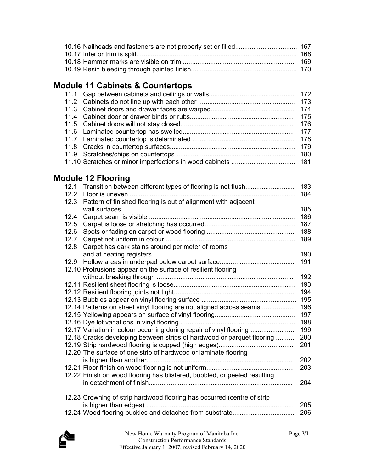## **Module 11 Cabinets & Countertops**

## **Module 12 Flooring**

|      |                                                                           | 183 |
|------|---------------------------------------------------------------------------|-----|
| 12.2 |                                                                           | 184 |
| 12.3 | Pattern of finished flooring is out of alignment with adjacent            |     |
|      |                                                                           | 185 |
| 12.4 |                                                                           | 186 |
| 12.5 |                                                                           | 187 |
| 12.6 |                                                                           | 188 |
| 12.7 |                                                                           | 189 |
| 12.8 | Carpet has dark stains around perimeter of rooms                          |     |
|      |                                                                           | 190 |
|      |                                                                           | 191 |
|      | 12.10 Protrusions appear on the surface of resilient flooring             |     |
|      |                                                                           | 192 |
|      |                                                                           | 193 |
|      |                                                                           |     |
|      |                                                                           |     |
|      | 12.14 Patterns on sheet vinyl flooring are not aligned across seams       | 196 |
|      |                                                                           | 197 |
|      |                                                                           | 198 |
|      | 12.17 Variation in colour occurring during repair of vinyl flooring       | 199 |
|      | 12.18 Cracks developing between strips of hardwood or parquet flooring    | 200 |
|      |                                                                           | 201 |
|      | 12.20 The surface of one strip of hardwood or laminate flooring           |     |
|      |                                                                           | 202 |
|      |                                                                           | 203 |
|      | 12.22 Finish on wood flooring has blistered, bubbled, or peeled resulting |     |
|      |                                                                           | 204 |
|      | 12.23 Crowning of strip hardwood flooring has occurred (centre of strip   |     |
|      |                                                                           | 205 |
|      | 12.24 Wood flooring buckles and detaches from substrate                   | 206 |
|      |                                                                           |     |

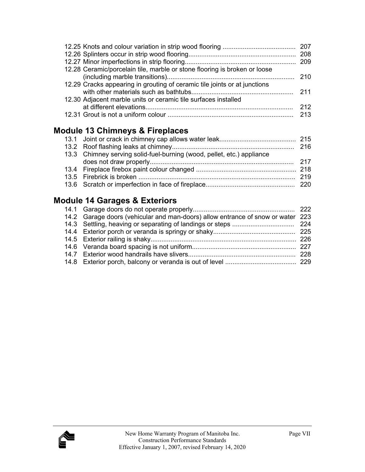| 12.28 Ceramic/porcelain tile, marble or stone flooring is broken or loose |       |
|---------------------------------------------------------------------------|-------|
|                                                                           |       |
| 12.29 Cracks appearing in grouting of ceramic tile joints or at junctions |       |
|                                                                           |       |
| 12.30 Adjacent marble units or ceramic tile surfaces installed            |       |
|                                                                           | - 212 |
|                                                                           |       |

## **Module 13 Chimneys & Fireplaces**

| 13.3 Chimney serving solid-fuel-burning (wood, pellet, etc.) appliance |  |
|------------------------------------------------------------------------|--|
|                                                                        |  |
|                                                                        |  |
|                                                                        |  |
|                                                                        |  |

## **Module 14 Garages & Exteriors**

| 14.2 Garage doors (vehicular and man-doors) allow entrance of snow or water 223 |  |
|---------------------------------------------------------------------------------|--|
|                                                                                 |  |
|                                                                                 |  |
|                                                                                 |  |
|                                                                                 |  |
|                                                                                 |  |
|                                                                                 |  |

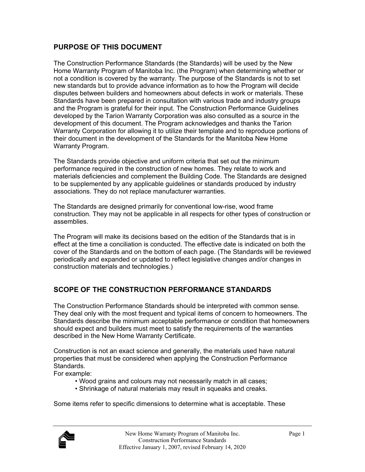#### **PURPOSE OF THIS DOCUMENT**

The Construction Performance Standards (the Standards) will be used by the New Home Warranty Program of Manitoba Inc. (the Program) when determining whether or not a condition is covered by the warranty. The purpose of the Standards is not to set new standards but to provide advance information as to how the Program will decide disputes between builders and homeowners about defects in work or materials. These Standards have been prepared in consultation with various trade and industry groups and the Program is grateful for their input. The Construction Performance Guidelines developed by the Tarion Warranty Corporation was also consulted as a source in the development of this document. The Program acknowledges and thanks the Tarion Warranty Corporation for allowing it to utilize their template and to reproduce portions of their document in the development of the Standards for the Manitoba New Home Warranty Program.

The Standards provide objective and uniform criteria that set out the minimum performance required in the construction of new homes. They relate to work and materials deficiencies and complement the Building Code. The Standards are designed to be supplemented by any applicable guidelines or standards produced by industry associations. They do not replace manufacturer warranties.

The Standards are designed primarily for conventional low-rise, wood frame construction. They may not be applicable in all respects for other types of construction or assemblies.

The Program will make its decisions based on the edition of the Standards that is in effect at the time a conciliation is conducted. The effective date is indicated on both the cover of the Standards and on the bottom of each page. (The Standards will be reviewed periodically and expanded or updated to reflect legislative changes and/or changes in construction materials and technologies.)

#### **SCOPE OF THE CONSTRUCTION PERFORMANCE STANDARDS**

The Construction Performance Standards should be interpreted with common sense. They deal only with the most frequent and typical items of concern to homeowners. The Standards describe the minimum acceptable performance or condition that homeowners should expect and builders must meet to satisfy the requirements of the warranties described in the New Home Warranty Certificate.

Construction is not an exact science and generally, the materials used have natural properties that must be considered when applying the Construction Performance Standards.

For example:

- Wood grains and colours may not necessarily match in all cases;
- Shrinkage of natural materials may result in squeaks and creaks.

Some items refer to specific dimensions to determine what is acceptable. These

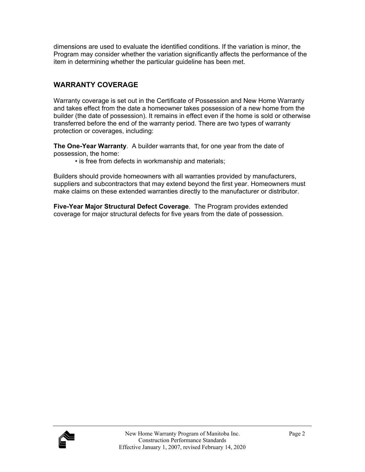dimensions are used to evaluate the identified conditions. If the variation is minor, the Program may consider whether the variation significantly affects the performance of the item in determining whether the particular guideline has been met.

### **WARRANTY COVERAGE**

Warranty coverage is set out in the Certificate of Possession and New Home Warranty and takes effect from the date a homeowner takes possession of a new home from the builder (the date of possession). It remains in effect even if the home is sold or otherwise transferred before the end of the warranty period. There are two types of warranty protection or coverages, including:

**The One-Year Warranty**. A builder warrants that, for one year from the date of possession, the home:

• is free from defects in workmanship and materials;

Builders should provide homeowners with all warranties provided by manufacturers, suppliers and subcontractors that may extend beyond the first year. Homeowners must make claims on these extended warranties directly to the manufacturer or distributor.

**Five-Year Major Structural Defect Coverage**. The Program provides extended coverage for major structural defects for five years from the date of possession.

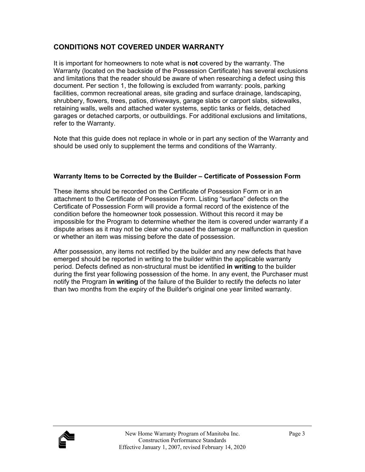#### **CONDITIONS NOT COVERED UNDER WARRANTY**

It is important for homeowners to note what is **not** covered by the warranty. The Warranty (located on the backside of the Possession Certificate) has several exclusions and limitations that the reader should be aware of when researching a defect using this document. Per section 1, the following is excluded from warranty: pools, parking facilities, common recreational areas, site grading and surface drainage, landscaping, shrubbery, flowers, trees, patios, driveways, garage slabs or carport slabs, sidewalks, retaining walls, wells and attached water systems, septic tanks or fields, detached garages or detached carports, or outbuildings. For additional exclusions and limitations, refer to the Warranty.

Note that this guide does not replace in whole or in part any section of the Warranty and should be used only to supplement the terms and conditions of the Warranty.

#### **Warranty Items to be Corrected by the Builder – Certificate of Possession Form**

These items should be recorded on the Certificate of Possession Form or in an attachment to the Certificate of Possession Form. Listing "surface" defects on the Certificate of Possession Form will provide a formal record of the existence of the condition before the homeowner took possession. Without this record it may be impossible for the Program to determine whether the item is covered under warranty if a dispute arises as it may not be clear who caused the damage or malfunction in question or whether an item was missing before the date of possession.

After possession, any items not rectified by the builder and any new defects that have emerged should be reported in writing to the builder within the applicable warranty period. Defects defined as non-structural must be identified **in writing** to the builder during the first year following possession of the home. In any event, the Purchaser must notify the Program **in writing** of the failure of the Builder to rectify the defects no later than two months from the expiry of the Builder's original one year limited warranty.

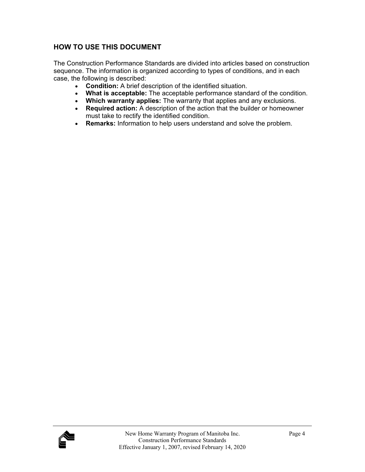#### **HOW TO USE THIS DOCUMENT**

The Construction Performance Standards are divided into articles based on construction sequence. The information is organized according to types of conditions, and in each case, the following is described:

- **Condition:** A brief description of the identified situation.
- **What is acceptable:** The acceptable performance standard of the condition.
- **Which warranty applies:** The warranty that applies and any exclusions.
- **Required action:** A description of the action that the builder or homeowner must take to rectify the identified condition.
- **Remarks:** Information to help users understand and solve the problem.

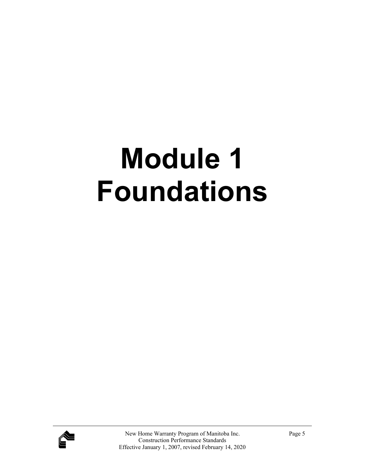## **Module 1 Foundations**

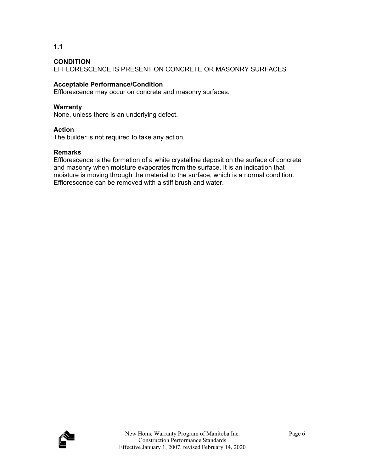**1.1** 

EFFLORESCENCE IS PRESENT ON CONCRETE OR MASONRY SURFACES

#### **Acceptable Performance/Condition**

Efflorescence may occur on concrete and masonry surfaces.

#### **Warranty**

None, unless there is an underlying defect.

#### **Action**

The builder is not required to take any action.

#### **Remarks**

Efflorescence is the formation of a white crystalline deposit on the surface of concrete and masonry when moisture evaporates from the surface. It is an indication that moisture is moving through the material to the surface, which is a normal condition. Efflorescence can be removed with a stiff brush and water.

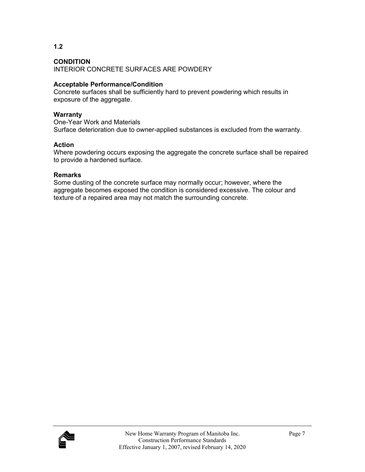INTERIOR CONCRETE SURFACES ARE POWDERY

#### **Acceptable Performance/Condition**

Concrete surfaces shall be sufficiently hard to prevent powdering which results in exposure of the aggregate.

#### **Warranty**

One-Year Work and Materials Surface deterioration due to owner-applied substances is excluded from the warranty.

#### **Action**

Where powdering occurs exposing the aggregate the concrete surface shall be repaired to provide a hardened surface.

#### **Remarks**

Some dusting of the concrete surface may normally occur; however, where the aggregate becomes exposed the condition is considered excessive. The colour and texture of a repaired area may not match the surrounding concrete.

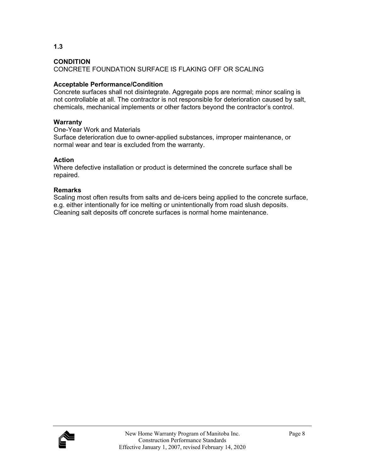**1.3** 

CONCRETE FOUNDATION SURFACE IS FLAKING OFF OR SCALING

#### **Acceptable Performance/Condition**

Concrete surfaces shall not disintegrate. Aggregate pops are normal; minor scaling is not controllable at all. The contractor is not responsible for deterioration caused by salt, chemicals, mechanical implements or other factors beyond the contractor's control.

#### **Warranty**

One-Year Work and Materials

Surface deterioration due to owner-applied substances, improper maintenance, or normal wear and tear is excluded from the warranty.

#### **Action**

Where defective installation or product is determined the concrete surface shall be repaired.

#### **Remarks**

Scaling most often results from salts and de-icers being applied to the concrete surface, e.g. either intentionally for ice melting or unintentionally from road slush deposits. Cleaning salt deposits off concrete surfaces is normal home maintenance.

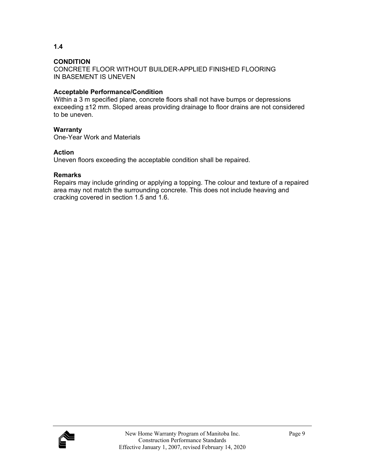CONCRETE FLOOR WITHOUT BUILDER-APPLIED FINISHED FLOORING IN BASEMENT IS UNEVEN

#### **Acceptable Performance/Condition**

Within a 3 m specified plane, concrete floors shall not have bumps or depressions exceeding ±12 mm. Sloped areas providing drainage to floor drains are not considered to be uneven.

#### **Warranty**

One-Year Work and Materials

#### **Action**

Uneven floors exceeding the acceptable condition shall be repaired.

#### **Remarks**

Repairs may include grinding or applying a topping. The colour and texture of a repaired area may not match the surrounding concrete. This does not include heaving and cracking covered in section 1.5 and 1.6.

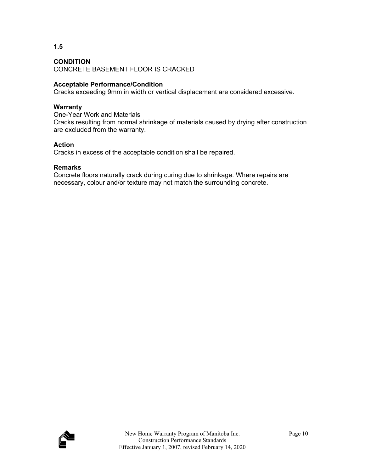CONCRETE BASEMENT FLOOR IS CRACKED

#### **Acceptable Performance/Condition**

Cracks exceeding 9mm in width or vertical displacement are considered excessive.

#### **Warranty**

One-Year Work and Materials Cracks resulting from normal shrinkage of materials caused by drying after construction are excluded from the warranty.

#### **Action**

Cracks in excess of the acceptable condition shall be repaired.

#### **Remarks**

Concrete floors naturally crack during curing due to shrinkage. Where repairs are necessary, colour and/or texture may not match the surrounding concrete.



**1.5**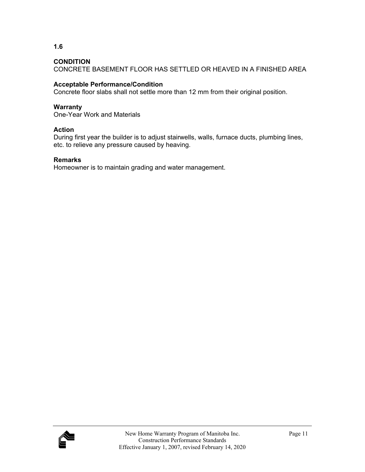**1.6** 

CONCRETE BASEMENT FLOOR HAS SETTLED OR HEAVED IN A FINISHED AREA

#### **Acceptable Performance/Condition**

Concrete floor slabs shall not settle more than 12 mm from their original position.

#### **Warranty**

One-Year Work and Materials

#### **Action**

During first year the builder is to adjust stairwells, walls, furnace ducts, plumbing lines, etc. to relieve any pressure caused by heaving.

#### **Remarks**

Homeowner is to maintain grading and water management.

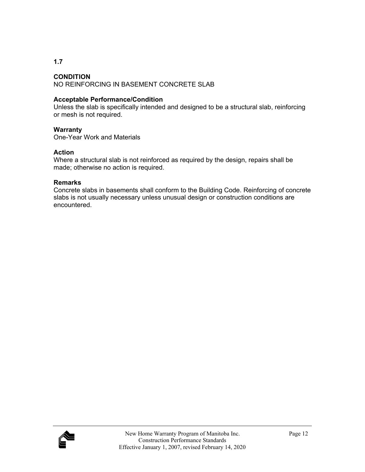#### **CONDITION**

NO REINFORCING IN BASEMENT CONCRETE SLAB

#### **Acceptable Performance/Condition**

Unless the slab is specifically intended and designed to be a structural slab, reinforcing or mesh is not required.

#### **Warranty**

One-Year Work and Materials

#### **Action**

Where a structural slab is not reinforced as required by the design, repairs shall be made; otherwise no action is required.

#### **Remarks**

Concrete slabs in basements shall conform to the Building Code. Reinforcing of concrete slabs is not usually necessary unless unusual design or construction conditions are encountered.

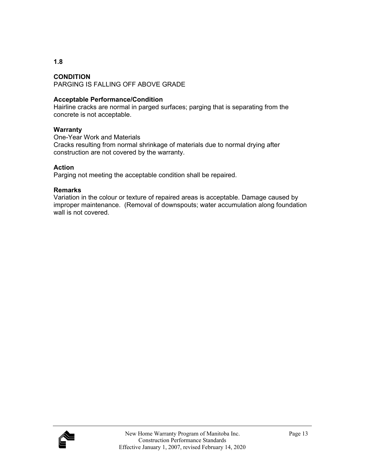#### **CONDITION**

PARGING IS FALLING OFF ABOVE GRADE

#### **Acceptable Performance/Condition**

Hairline cracks are normal in parged surfaces; parging that is separating from the concrete is not acceptable.

#### **Warranty**

One-Year Work and Materials Cracks resulting from normal shrinkage of materials due to normal drying after construction are not covered by the warranty.

#### **Action**

Parging not meeting the acceptable condition shall be repaired.

#### **Remarks**

Variation in the colour or texture of repaired areas is acceptable. Damage caused by improper maintenance. (Removal of downspouts; water accumulation along foundation wall is not covered.

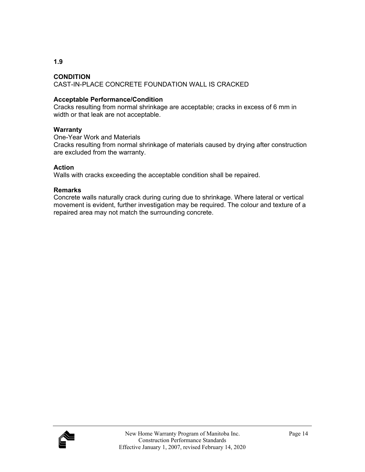#### **CONDITION**  CAST-IN-PLACE CONCRETE FOUNDATION WALL IS CRACKED

#### **Acceptable Performance/Condition**

Cracks resulting from normal shrinkage are acceptable; cracks in excess of 6 mm in width or that leak are not acceptable.

#### **Warranty**

One-Year Work and Materials Cracks resulting from normal shrinkage of materials caused by drying after construction are excluded from the warranty.

#### **Action**

Walls with cracks exceeding the acceptable condition shall be repaired.

#### **Remarks**

Concrete walls naturally crack during curing due to shrinkage. Where lateral or vertical movement is evident, further investigation may be required. The colour and texture of a repaired area may not match the surrounding concrete.

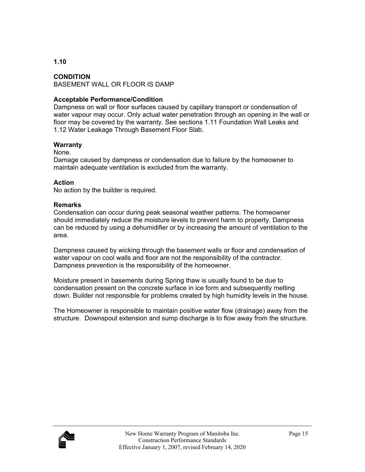#### **CONDITION**

BASEMENT WALL OR FLOOR IS DAMP

#### **Acceptable Performance/Condition**

Dampness on wall or floor surfaces caused by capillary transport or condensation of water vapour may occur. Only actual water penetration through an opening in the wall or floor may be covered by the warranty. See sections 1.11 Foundation Wall Leaks and 1.12 Water Leakage Through Basement Floor Slab.

#### **Warranty**

#### None.

Damage caused by dampness or condensation due to failure by the homeowner to maintain adequate ventilation is excluded from the warranty.

#### **Action**

No action by the builder is required.

#### **Remarks**

Condensation can occur during peak seasonal weather patterns. The homeowner should immediately reduce the moisture levels to prevent harm to property. Dampness can be reduced by using a dehumidifier or by increasing the amount of ventilation to the area.

Dampness caused by wicking through the basement walls or floor and condensation of water vapour on cool walls and floor are not the responsibility of the contractor. Dampness prevention is the responsibility of the homeowner.

Moisture present in basements during Spring thaw is usually found to be due to condensation present on the concrete surface in ice form and subsequently melting down. Builder not responsible for problems created by high humidity levels in the house.

The Homeowner is responsible to maintain positive water flow (drainage) away from the structure. Downspout extension and sump discharge is to flow away from the structure.

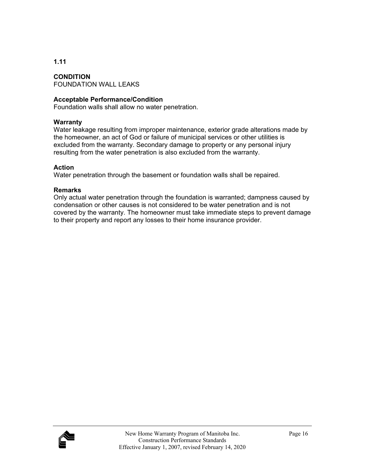**CONDITION**  FOUNDATION WALL LEAKS

#### **Acceptable Performance/Condition**

Foundation walls shall allow no water penetration.

#### **Warranty**

Water leakage resulting from improper maintenance, exterior grade alterations made by the homeowner, an act of God or failure of municipal services or other utilities is excluded from the warranty. Secondary damage to property or any personal injury resulting from the water penetration is also excluded from the warranty.

#### **Action**

Water penetration through the basement or foundation walls shall be repaired.

#### **Remarks**

Only actual water penetration through the foundation is warranted; dampness caused by condensation or other causes is not considered to be water penetration and is not covered by the warranty. The homeowner must take immediate steps to prevent damage to their property and report any losses to their home insurance provider.

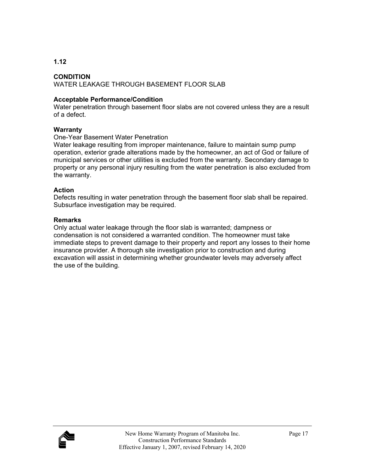#### **CONDITION**

#### WATER LEAKAGE THROUGH BASEMENT FLOOR SLAB

#### **Acceptable Performance/Condition**

Water penetration through basement floor slabs are not covered unless they are a result of a defect.

#### **Warranty**

#### One-Year Basement Water Penetration

Water leakage resulting from improper maintenance, failure to maintain sump pump operation, exterior grade alterations made by the homeowner, an act of God or failure of municipal services or other utilities is excluded from the warranty. Secondary damage to property or any personal injury resulting from the water penetration is also excluded from the warranty.

#### **Action**

Defects resulting in water penetration through the basement floor slab shall be repaired. Subsurface investigation may be required.

#### **Remarks**

Only actual water leakage through the floor slab is warranted; dampness or condensation is not considered a warranted condition. The homeowner must take immediate steps to prevent damage to their property and report any losses to their home insurance provider. A thorough site investigation prior to construction and during excavation will assist in determining whether groundwater levels may adversely affect the use of the building.

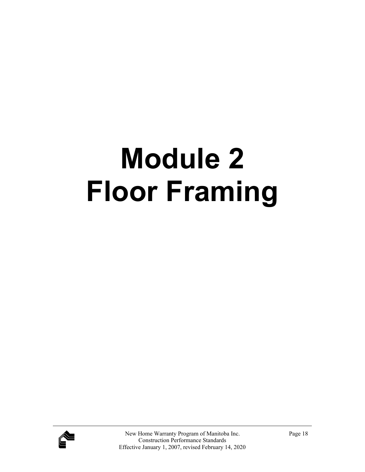## **Module 2 Floor Framing**

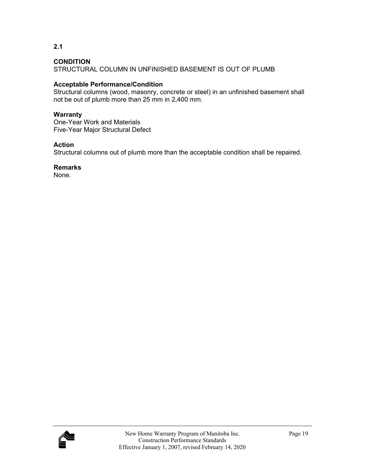**2.1** 

STRUCTURAL COLUMN IN UNFINISHED BASEMENT IS OUT OF PLUMB

#### **Acceptable Performance/Condition**

Structural columns (wood, masonry, concrete or steel) in an unfinished basement shall not be out of plumb more than 25 mm in 2,400 mm.

#### **Warranty**

One-Year Work and Materials Five-Year Major Structural Defect

#### **Action**

Structural columns out of plumb more than the acceptable condition shall be repaired.

**Remarks** 

None.

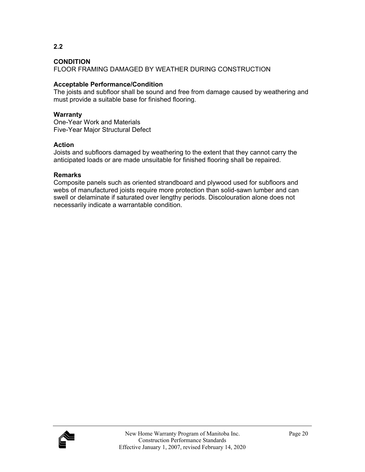**2.2** 

FLOOR FRAMING DAMAGED BY WEATHER DURING CONSTRUCTION

#### **Acceptable Performance/Condition**

The joists and subfloor shall be sound and free from damage caused by weathering and must provide a suitable base for finished flooring.

#### **Warranty**

One-Year Work and Materials Five-Year Major Structural Defect

#### **Action**

Joists and subfloors damaged by weathering to the extent that they cannot carry the anticipated loads or are made unsuitable for finished flooring shall be repaired.

#### **Remarks**

Composite panels such as oriented strandboard and plywood used for subfloors and webs of manufactured joists require more protection than solid-sawn lumber and can swell or delaminate if saturated over lengthy periods. Discolouration alone does not necessarily indicate a warrantable condition.

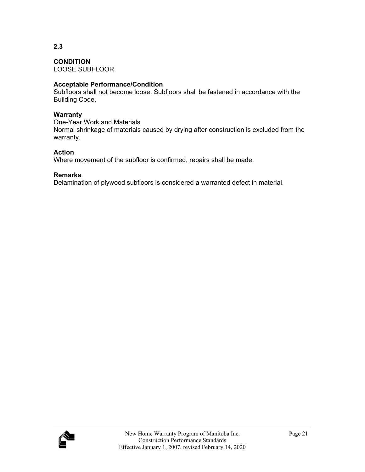LOOSE SUBFLOOR

#### **Acceptable Performance/Condition**

Subfloors shall not become loose. Subfloors shall be fastened in accordance with the Building Code.

#### **Warranty**

One-Year Work and Materials Normal shrinkage of materials caused by drying after construction is excluded from the warranty.

#### **Action**

Where movement of the subfloor is confirmed, repairs shall be made.

#### **Remarks**

Delamination of plywood subfloors is considered a warranted defect in material.

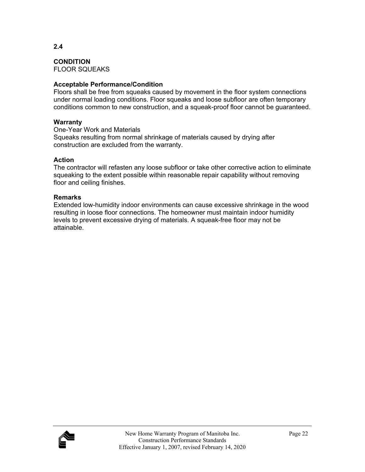**CONDITION**  FLOOR SQUEAKS

#### **Acceptable Performance/Condition**

Floors shall be free from squeaks caused by movement in the floor system connections under normal loading conditions. Floor squeaks and loose subfloor are often temporary conditions common to new construction, and a squeak-proof floor cannot be guaranteed.

#### **Warranty**

One-Year Work and Materials Squeaks resulting from normal shrinkage of materials caused by drying after construction are excluded from the warranty.

#### **Action**

The contractor will refasten any loose subfloor or take other corrective action to eliminate squeaking to the extent possible within reasonable repair capability without removing floor and ceiling finishes.

#### **Remarks**

Extended low-humidity indoor environments can cause excessive shrinkage in the wood resulting in loose floor connections. The homeowner must maintain indoor humidity levels to prevent excessive drying of materials. A squeak-free floor may not be attainable.

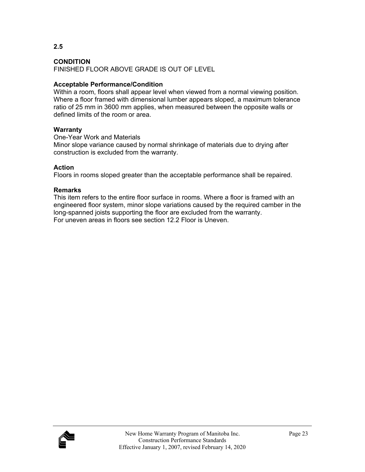**2.5** 

FINISHED FLOOR ABOVE GRADE IS OUT OF LEVEL

#### **Acceptable Performance/Condition**

Within a room, floors shall appear level when viewed from a normal viewing position. Where a floor framed with dimensional lumber appears sloped, a maximum tolerance ratio of 25 mm in 3600 mm applies, when measured between the opposite walls or defined limits of the room or area.

#### **Warranty**

One-Year Work and Materials

Minor slope variance caused by normal shrinkage of materials due to drying after construction is excluded from the warranty.

#### **Action**

Floors in rooms sloped greater than the acceptable performance shall be repaired.

#### **Remarks**

This item refers to the entire floor surface in rooms. Where a floor is framed with an engineered floor system, minor slope variations caused by the required camber in the long-spanned joists supporting the floor are excluded from the warranty. For uneven areas in floors see section 12.2 Floor is Uneven.

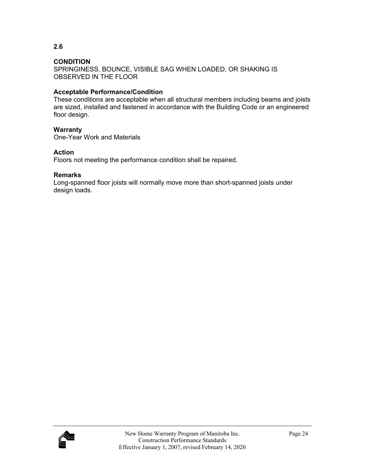SPRINGINESS, BOUNCE, VISIBLE SAG WHEN LOADED, OR SHAKING IS OBSERVED IN THE FLOOR

#### **Acceptable Performance/Condition**

These conditions are acceptable when all structural members including beams and joists are sized, installed and fastened in accordance with the Building Code or an engineered floor design.

#### **Warranty**

One-Year Work and Materials

#### **Action**

Floors not meeting the performance condition shall be repaired.

#### **Remarks**

Long-spanned floor joists will normally move more than short-spanned joists under design loads.

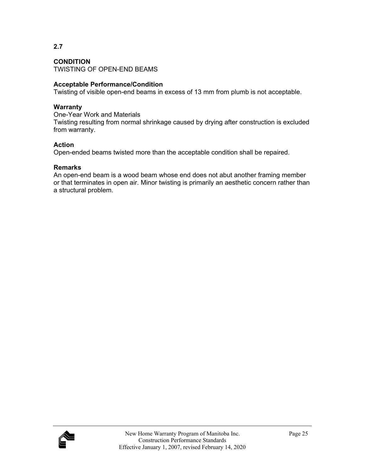#### **CONDITION**

TWISTING OF OPEN-END BEAMS

#### **Acceptable Performance/Condition**

Twisting of visible open-end beams in excess of 13 mm from plumb is not acceptable.

#### **Warranty**

One-Year Work and Materials Twisting resulting from normal shrinkage caused by drying after construction is excluded from warranty.

#### **Action**

Open-ended beams twisted more than the acceptable condition shall be repaired.

#### **Remarks**

An open-end beam is a wood beam whose end does not abut another framing member or that terminates in open air. Minor twisting is primarily an aesthetic concern rather than a structural problem.

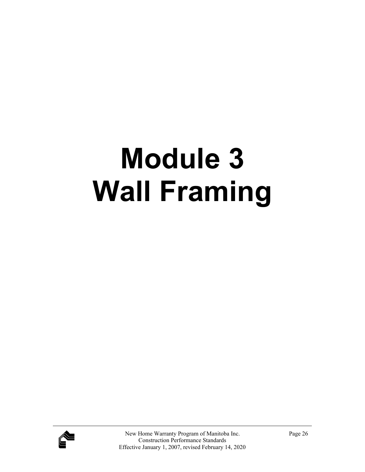## **Module 3 Wall Framing**

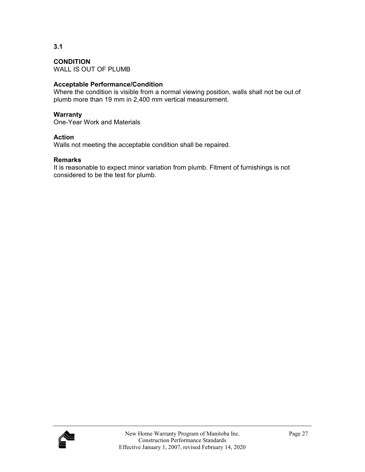**CONDITION**  WALL IS OUT OF PLUMB

#### **Acceptable Performance/Condition**

Where the condition is visible from a normal viewing position, walls shall not be out of plumb more than 19 mm in 2,400 mm vertical measurement.

#### **Warranty**

One-Year Work and Materials

#### **Action**

Walls not meeting the acceptable condition shall be repaired.

#### **Remarks**

It is reasonable to expect minor variation from plumb. Fitment of furnishings is not considered to be the test for plumb.

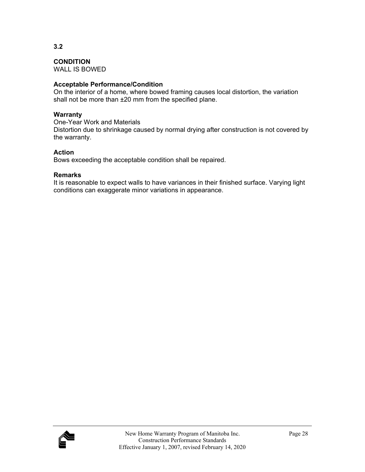**3.2** 

WALL IS BOWED

#### **Acceptable Performance/Condition**

On the interior of a home, where bowed framing causes local distortion, the variation shall not be more than ±20 mm from the specified plane.

#### **Warranty**

One-Year Work and Materials Distortion due to shrinkage caused by normal drying after construction is not covered by the warranty.

#### **Action**

Bows exceeding the acceptable condition shall be repaired.

#### **Remarks**

It is reasonable to expect walls to have variances in their finished surface. Varying light conditions can exaggerate minor variations in appearance.

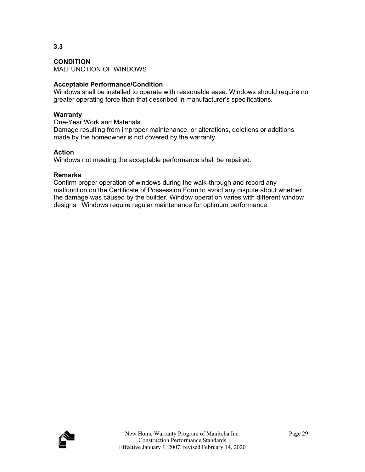**CONDITION**  MALFUNCTION OF WINDOWS

#### **Acceptable Performance/Condition**

Windows shall be installed to operate with reasonable ease. Windows should require no greater operating force than that described in manufacturer's specifications.

#### **Warranty**

One-Year Work and Materials Damage resulting from improper maintenance, or alterations, deletions or additions made by the homeowner is not covered by the warranty.

#### **Action**

Windows not meeting the acceptable performance shall be repaired.

#### **Remarks**

Confirm proper operation of windows during the walk-through and record any malfunction on the Certificate of Possession Form to avoid any dispute about whether the damage was caused by the builder. Window operation varies with different window designs. Windows require regular maintenance for optimum performance.

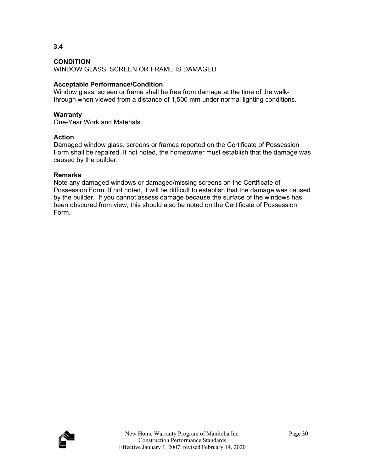**3.4** 

WINDOW GLASS, SCREEN OR FRAME IS DAMAGED

# **Acceptable Performance/Condition**

Window glass, screen or frame shall be free from damage at the time of the walkthrough when viewed from a distance of 1,500 mm under normal lighting conditions.

# **Warranty**

One-Year Work and Materials

# **Action**

Damaged window glass, screens or frames reported on the Certificate of Possession Form shall be repaired. If not noted, the homeowner must establish that the damage was caused by the builder.

## **Remarks**

Note any damaged windows or damaged/missing screens on the Certificate of Possession Form. If not noted, it will be difficult to establish that the damage was caused by the builder. If you cannot assess damage because the surface of the windows has been obscured from view, this should also be noted on the Certificate of Possession Form.

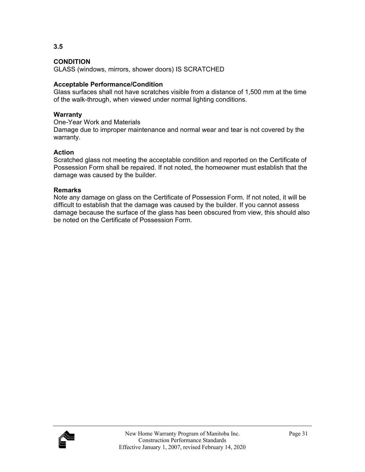GLASS (windows, mirrors, shower doors) IS SCRATCHED

# **Acceptable Performance/Condition**

Glass surfaces shall not have scratches visible from a distance of 1,500 mm at the time of the walk-through, when viewed under normal lighting conditions.

# **Warranty**

One-Year Work and Materials

Damage due to improper maintenance and normal wear and tear is not covered by the warranty.

# **Action**

Scratched glass not meeting the acceptable condition and reported on the Certificate of Possession Form shall be repaired. If not noted, the homeowner must establish that the damage was caused by the builder.

# **Remarks**

Note any damage on glass on the Certificate of Possession Form. If not noted, it will be difficult to establish that the damage was caused by the builder. If you cannot assess damage because the surface of the glass has been obscured from view, this should also be noted on the Certificate of Possession Form.



**3.5**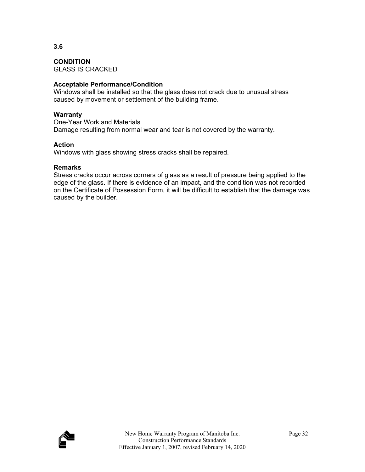GLASS IS CRACKED

# **Acceptable Performance/Condition**

Windows shall be installed so that the glass does not crack due to unusual stress caused by movement or settlement of the building frame.

## **Warranty**

One-Year Work and Materials Damage resulting from normal wear and tear is not covered by the warranty.

## **Action**

Windows with glass showing stress cracks shall be repaired.

## **Remarks**

Stress cracks occur across corners of glass as a result of pressure being applied to the edge of the glass. If there is evidence of an impact, and the condition was not recorded on the Certificate of Possession Form, it will be difficult to establish that the damage was caused by the builder.

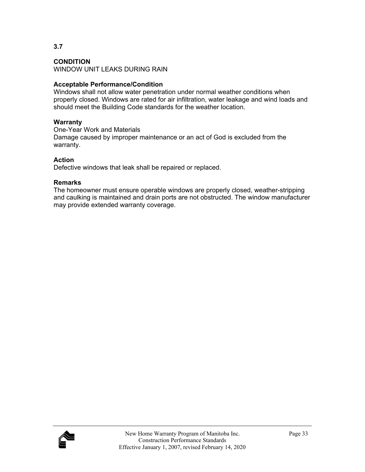## **CONDITION**

WINDOW UNIT LEAKS DURING RAIN

## **Acceptable Performance/Condition**

Windows shall not allow water penetration under normal weather conditions when properly closed. Windows are rated for air infiltration, water leakage and wind loads and should meet the Building Code standards for the weather location.

## **Warranty**

One-Year Work and Materials Damage caused by improper maintenance or an act of God is excluded from the warranty.

## **Action**

Defective windows that leak shall be repaired or replaced.

## **Remarks**

The homeowner must ensure operable windows are properly closed, weather-stripping and caulking is maintained and drain ports are not obstructed. The window manufacturer may provide extended warranty coverage.

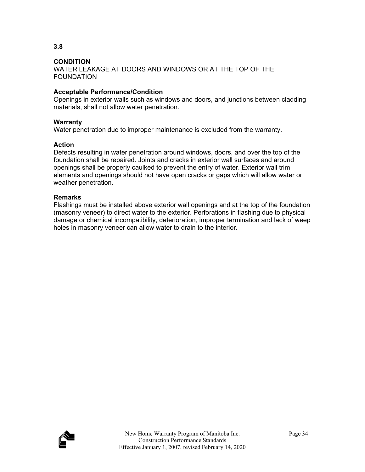WATER LEAKAGE AT DOORS AND WINDOWS OR AT THE TOP OF THE FOUNDATION

## **Acceptable Performance/Condition**

Openings in exterior walls such as windows and doors, and junctions between cladding materials, shall not allow water penetration.

## **Warranty**

Water penetration due to improper maintenance is excluded from the warranty.

## **Action**

Defects resulting in water penetration around windows, doors, and over the top of the foundation shall be repaired. Joints and cracks in exterior wall surfaces and around openings shall be properly caulked to prevent the entry of water. Exterior wall trim elements and openings should not have open cracks or gaps which will allow water or weather penetration.

#### **Remarks**

Flashings must be installed above exterior wall openings and at the top of the foundation (masonry veneer) to direct water to the exterior. Perforations in flashing due to physical damage or chemical incompatibility, deterioration, improper termination and lack of weep holes in masonry veneer can allow water to drain to the interior.

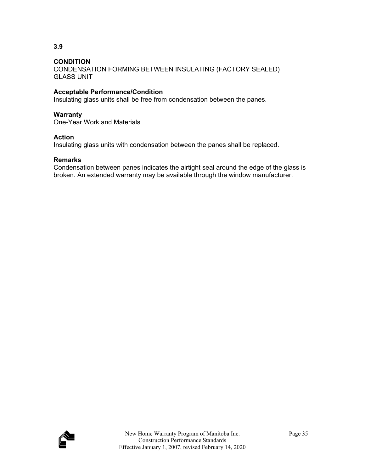CONDENSATION FORMING BETWEEN INSULATING (FACTORY SEALED) GLASS UNIT

# **Acceptable Performance/Condition**

Insulating glass units shall be free from condensation between the panes.

## **Warranty**

One-Year Work and Materials

## **Action**

Insulating glass units with condensation between the panes shall be replaced.

## **Remarks**

Condensation between panes indicates the airtight seal around the edge of the glass is broken. An extended warranty may be available through the window manufacturer.

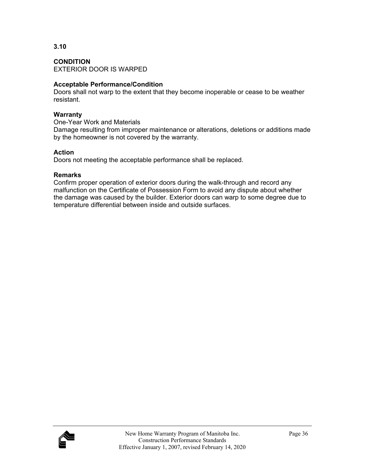**CONDITION**  EXTERIOR DOOR IS WARPED

# **Acceptable Performance/Condition**

Doors shall not warp to the extent that they become inoperable or cease to be weather resistant.

## **Warranty**

One-Year Work and Materials

Damage resulting from improper maintenance or alterations, deletions or additions made by the homeowner is not covered by the warranty.

## **Action**

Doors not meeting the acceptable performance shall be replaced.

## **Remarks**

Confirm proper operation of exterior doors during the walk-through and record any malfunction on the Certificate of Possession Form to avoid any dispute about whether the damage was caused by the builder. Exterior doors can warp to some degree due to temperature differential between inside and outside surfaces.

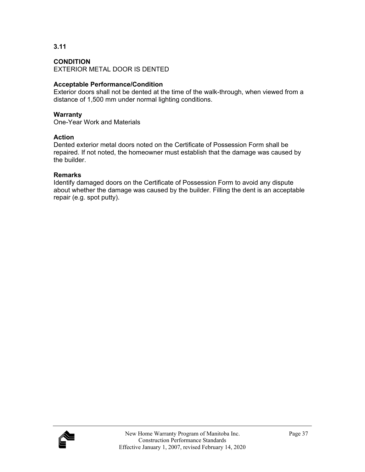## **CONDITION**

EXTERIOR METAL DOOR IS DENTED

# **Acceptable Performance/Condition**

Exterior doors shall not be dented at the time of the walk-through, when viewed from a distance of 1,500 mm under normal lighting conditions.

## **Warranty**

One-Year Work and Materials

## **Action**

Dented exterior metal doors noted on the Certificate of Possession Form shall be repaired. If not noted, the homeowner must establish that the damage was caused by the builder.

## **Remarks**

Identify damaged doors on the Certificate of Possession Form to avoid any dispute about whether the damage was caused by the builder. Filling the dent is an acceptable repair (e.g. spot putty).

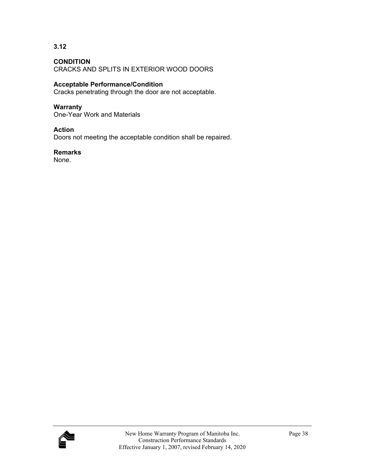**3.12** 

CRACKS AND SPLITS IN EXTERIOR WOOD DOORS

# **Acceptable Performance/Condition**

Cracks penetrating through the door are not acceptable.

## **Warranty**

One-Year Work and Materials

## **Action**

Doors not meeting the acceptable condition shall be repaired.

## **Remarks**

None.

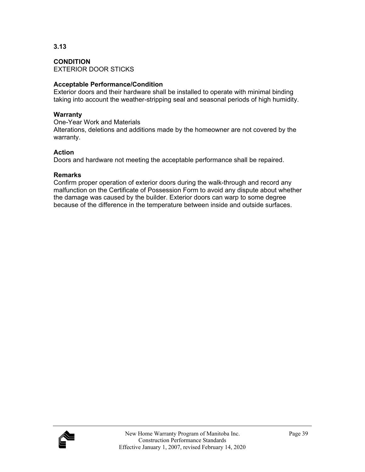**CONDITION**  EXTERIOR DOOR STICKS

# **Acceptable Performance/Condition**

Exterior doors and their hardware shall be installed to operate with minimal binding taking into account the weather-stripping seal and seasonal periods of high humidity.

# **Warranty**

One-Year Work and Materials Alterations, deletions and additions made by the homeowner are not covered by the warranty.

## **Action**

Doors and hardware not meeting the acceptable performance shall be repaired.

## **Remarks**

Confirm proper operation of exterior doors during the walk-through and record any malfunction on the Certificate of Possession Form to avoid any dispute about whether the damage was caused by the builder. Exterior doors can warp to some degree because of the difference in the temperature between inside and outside surfaces.

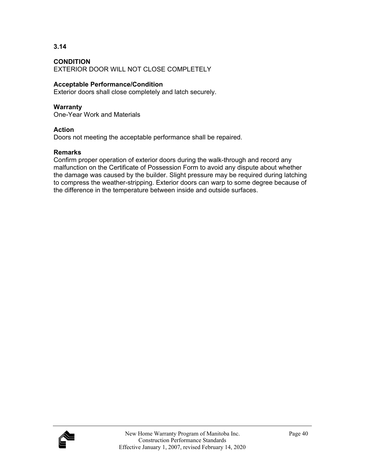**3.14** 

EXTERIOR DOOR WILL NOT CLOSE COMPLETELY

# **Acceptable Performance/Condition**

Exterior doors shall close completely and latch securely.

# **Warranty**

One-Year Work and Materials

## **Action**

Doors not meeting the acceptable performance shall be repaired.

## **Remarks**

Confirm proper operation of exterior doors during the walk-through and record any malfunction on the Certificate of Possession Form to avoid any dispute about whether the damage was caused by the builder. Slight pressure may be required during latching to compress the weather-stripping. Exterior doors can warp to some degree because of the difference in the temperature between inside and outside surfaces.

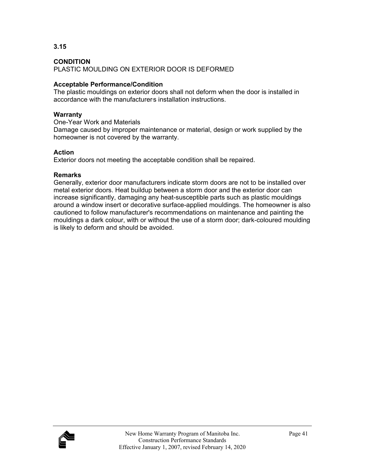**3.15** 

PLASTIC MOULDING ON EXTERIOR DOOR IS DEFORMED

# **Acceptable Performance/Condition**

The plastic mouldings on exterior doors shall not deform when the door is installed in accordance with the manufacturers installation instructions.

# **Warranty**

One-Year Work and Materials

Damage caused by improper maintenance or material, design or work supplied by the homeowner is not covered by the warranty.

# **Action**

Exterior doors not meeting the acceptable condition shall be repaired.

# **Remarks**

Generally, exterior door manufacturers indicate storm doors are not to be installed over metal exterior doors. Heat buildup between a storm door and the exterior door can increase significantly, damaging any heat-susceptible parts such as plastic mouldings around a window insert or decorative surface-applied mouldings. The homeowner is also cautioned to follow manufacturer's recommendations on maintenance and painting the mouldings a dark colour, with or without the use of a storm door; dark-coloured moulding is likely to deform and should be avoided.

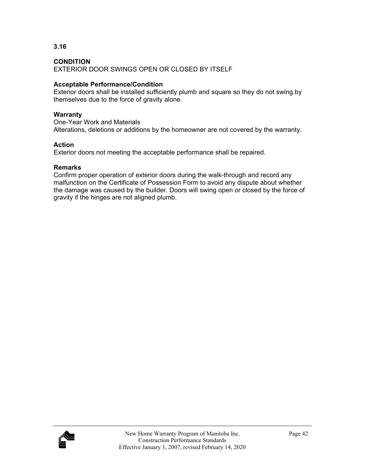**3.16** 

EXTERIOR DOOR SWINGS OPEN OR CLOSED BY ITSELF

# **Acceptable Performance/Condition**

Exterior doors shall be installed sufficiently plumb and square so they do not swing by themselves due to the force of gravity alone.

# **Warranty**

One-Year Work and Materials Alterations, deletions or additions by the homeowner are not covered by the warranty.

# **Action**

Exterior doors not meeting the acceptable performance shall be repaired.

# **Remarks**

Confirm proper operation of exterior doors during the walk-through and record any malfunction on the Certificate of Possession Form to avoid any dispute about whether the damage was caused by the builder. Doors will swing open or closed by the force of gravity if the hinges are not aligned plumb.

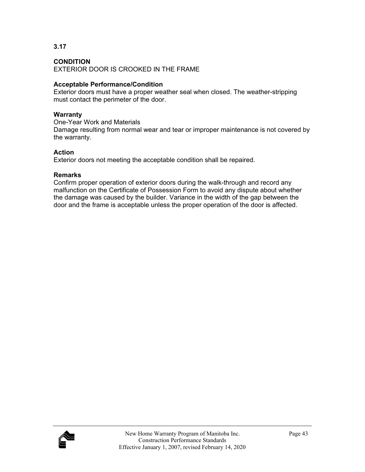**3.17** 

EXTERIOR DOOR IS CROOKED IN THE FRAME

# **Acceptable Performance/Condition**

Exterior doors must have a proper weather seal when closed. The weather-stripping must contact the perimeter of the door.

# **Warranty**

One-Year Work and Materials Damage resulting from normal wear and tear or improper maintenance is not covered by the warranty.

# **Action**

Exterior doors not meeting the acceptable condition shall be repaired.

# **Remarks**

Confirm proper operation of exterior doors during the walk-through and record any malfunction on the Certificate of Possession Form to avoid any dispute about whether the damage was caused by the builder. Variance in the width of the gap between the door and the frame is acceptable unless the proper operation of the door is affected.

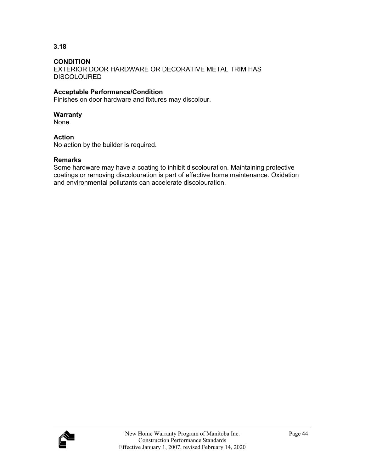## **CONDITION**

EXTERIOR DOOR HARDWARE OR DECORATIVE METAL TRIM HAS **DISCOLOURED** 

## **Acceptable Performance/Condition**

Finishes on door hardware and fixtures may discolour.

## **Warranty**

None.

## **Action**

No action by the builder is required.

#### **Remarks**

Some hardware may have a coating to inhibit discolouration. Maintaining protective coatings or removing discolouration is part of effective home maintenance. Oxidation and environmental pollutants can accelerate discolouration.

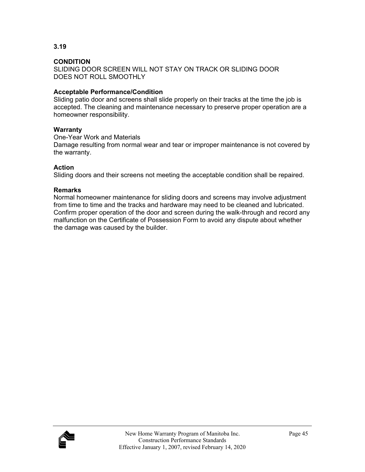SLIDING DOOR SCREEN WILL NOT STAY ON TRACK OR SLIDING DOOR DOES NOT ROLL SMOOTHLY

# **Acceptable Performance/Condition**

Sliding patio door and screens shall slide properly on their tracks at the time the job is accepted. The cleaning and maintenance necessary to preserve proper operation are a homeowner responsibility.

## **Warranty**

One-Year Work and Materials

Damage resulting from normal wear and tear or improper maintenance is not covered by the warranty.

# **Action**

Sliding doors and their screens not meeting the acceptable condition shall be repaired.

## **Remarks**

Normal homeowner maintenance for sliding doors and screens may involve adjustment from time to time and the tracks and hardware may need to be cleaned and lubricated. Confirm proper operation of the door and screen during the walk-through and record any malfunction on the Certificate of Possession Form to avoid any dispute about whether the damage was caused by the builder.

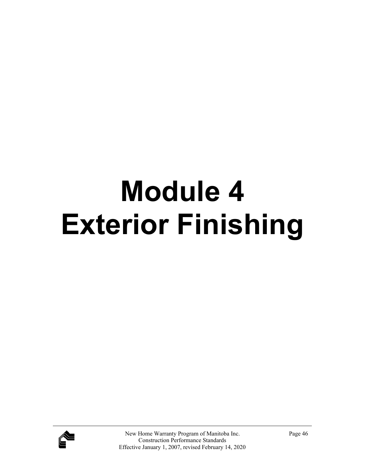# **Module 4 Exterior Finishing**

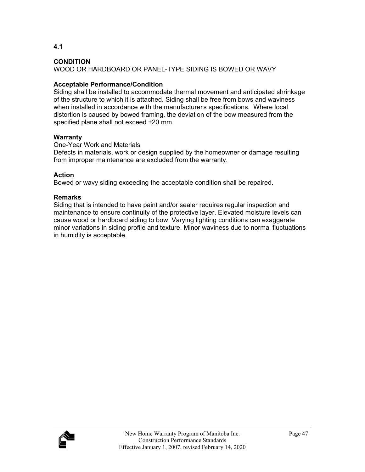**4.1** 

WOOD OR HARDBOARD OR PANEL-TYPE SIDING IS BOWED OR WAVY

# **Acceptable Performance/Condition**

Siding shall be installed to accommodate thermal movement and anticipated shrinkage of the structure to which it is attached. Siding shall be free from bows and waviness when installed in accordance with the manufacturers specifications. Where local distortion is caused by bowed framing, the deviation of the bow measured from the specified plane shall not exceed ±20 mm.

# **Warranty**

One-Year Work and Materials

Defects in materials, work or design supplied by the homeowner or damage resulting from improper maintenance are excluded from the warranty.

# **Action**

Bowed or wavy siding exceeding the acceptable condition shall be repaired.

# **Remarks**

Siding that is intended to have paint and/or sealer requires regular inspection and maintenance to ensure continuity of the protective layer. Elevated moisture levels can cause wood or hardboard siding to bow. Varying lighting conditions can exaggerate minor variations in siding profile and texture. Minor waviness due to normal fluctuations in humidity is acceptable.

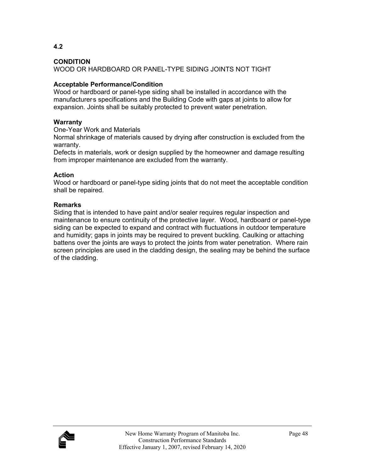**4.2** 

WOOD OR HARDBOARD OR PANEL-TYPE SIDING JOINTS NOT TIGHT

# **Acceptable Performance/Condition**

Wood or hardboard or panel-type siding shall be installed in accordance with the manufacturer's specifications and the Building Code with gaps at joints to allow for expansion. Joints shall be suitably protected to prevent water penetration.

# **Warranty**

One-Year Work and Materials

Normal shrinkage of materials caused by drying after construction is excluded from the warranty.

Defects in materials, work or design supplied by the homeowner and damage resulting from improper maintenance are excluded from the warranty.

# **Action**

Wood or hardboard or panel-type siding joints that do not meet the acceptable condition shall be repaired.

# **Remarks**

Siding that is intended to have paint and/or sealer requires regular inspection and maintenance to ensure continuity of the protective layer. Wood, hardboard or panel-type siding can be expected to expand and contract with fluctuations in outdoor temperature and humidity; gaps in joints may be required to prevent buckling. Caulking or attaching battens over the joints are ways to protect the joints from water penetration. Where rain screen principles are used in the cladding design, the sealing may be behind the surface of the cladding.

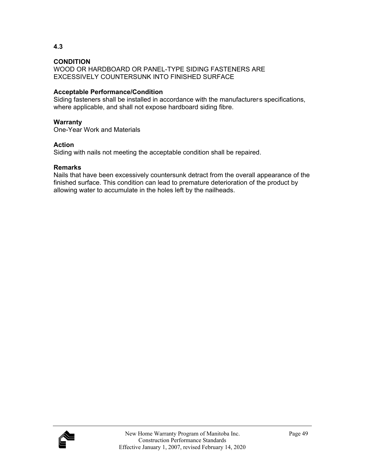WOOD OR HARDBOARD OR PANEL-TYPE SIDING FASTENERS ARE EXCESSIVELY COUNTERSUNK INTO FINISHED SURFACE

# **Acceptable Performance/Condition**

Siding fasteners shall be installed in accordance with the manufacturers specifications, where applicable, and shall not expose hardboard siding fibre.

# **Warranty**

One-Year Work and Materials

# **Action**

Siding with nails not meeting the acceptable condition shall be repaired.

## **Remarks**

Nails that have been excessively countersunk detract from the overall appearance of the finished surface. This condition can lead to premature deterioration of the product by allowing water to accumulate in the holes left by the nailheads.

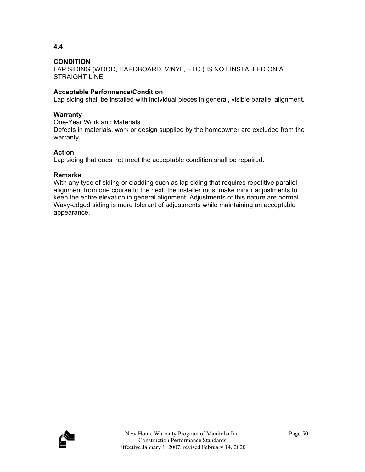**4.4** 

LAP SIDING (WOOD, HARDBOARD, VINYL, ETC.) IS NOT INSTALLED ON A STRAIGHT LINE

# **Acceptable Performance/Condition**

Lap siding shall be installed with individual pieces in general, visible parallel alignment.

# **Warranty**

One-Year Work and Materials

Defects in materials, work or design supplied by the homeowner are excluded from the warranty.

# **Action**

Lap siding that does not meet the acceptable condition shall be repaired.

# **Remarks**

With any type of siding or cladding such as lap siding that requires repetitive parallel alignment from one course to the next, the installer must make minor adjustments to keep the entire elevation in general alignment. Adjustments of this nature are normal. Wavy-edged siding is more tolerant of adjustments while maintaining an acceptable appearance.

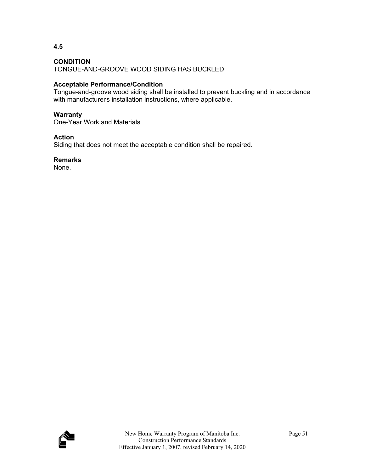**4.5** 

TONGUE-AND-GROOVE WOOD SIDING HAS BUCKLED

# **Acceptable Performance/Condition**

Tongue-and-groove wood siding shall be installed to prevent buckling and in accordance with manufacturers installation instructions, where applicable.

# **Warranty**

One-Year Work and Materials

# **Action**

Siding that does not meet the acceptable condition shall be repaired.

# **Remarks**

None.

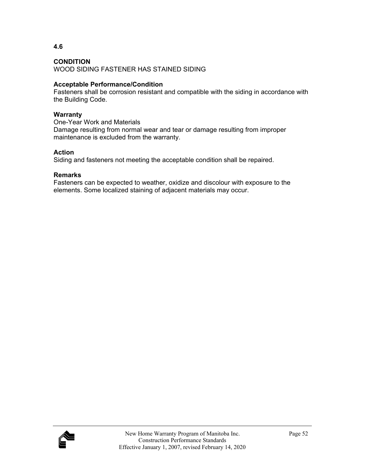**4.6** 

WOOD SIDING FASTENER HAS STAINED SIDING

# **Acceptable Performance/Condition**

Fasteners shall be corrosion resistant and compatible with the siding in accordance with the Building Code.

# **Warranty**

One-Year Work and Materials Damage resulting from normal wear and tear or damage resulting from improper maintenance is excluded from the warranty.

# **Action**

Siding and fasteners not meeting the acceptable condition shall be repaired.

# **Remarks**

Fasteners can be expected to weather, oxidize and discolour with exposure to the elements. Some localized staining of adjacent materials may occur.

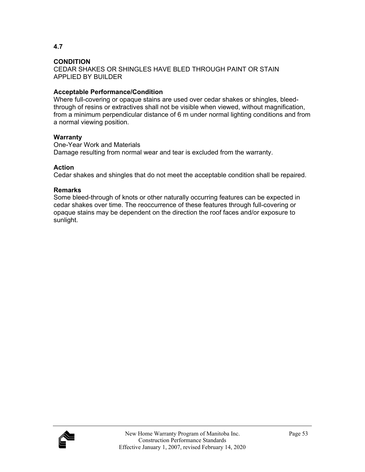**4.7** 

CEDAR SHAKES OR SHINGLES HAVE BLED THROUGH PAINT OR STAIN APPLIED BY BUILDER

# **Acceptable Performance/Condition**

Where full-covering or opaque stains are used over cedar shakes or shingles, bleedthrough of resins or extractives shall not be visible when viewed, without magnification, from a minimum perpendicular distance of 6 m under normal lighting conditions and from a normal viewing position.

## **Warranty**

One-Year Work and Materials Damage resulting from normal wear and tear is excluded from the warranty.

## **Action**

Cedar shakes and shingles that do not meet the acceptable condition shall be repaired.

## **Remarks**

Some bleed-through of knots or other naturally occurring features can be expected in cedar shakes over time. The reoccurrence of these features through full-covering or opaque stains may be dependent on the direction the roof faces and/or exposure to sunlight.

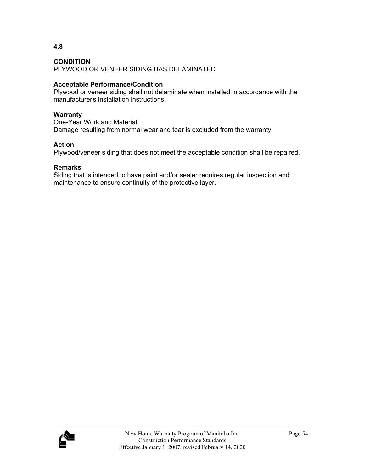**4.8** 

PLYWOOD OR VENEER SIDING HAS DELAMINATED

# **Acceptable Performance/Condition**

Plywood or veneer siding shall not delaminate when installed in accordance with the manufacturers installation instructions.

# **Warranty**

One-Year Work and Material Damage resulting from normal wear and tear is excluded from the warranty.

# **Action**

Plywood/veneer siding that does not meet the acceptable condition shall be repaired.

# **Remarks**

Siding that is intended to have paint and/or sealer requires regular inspection and maintenance to ensure continuity of the protective layer.

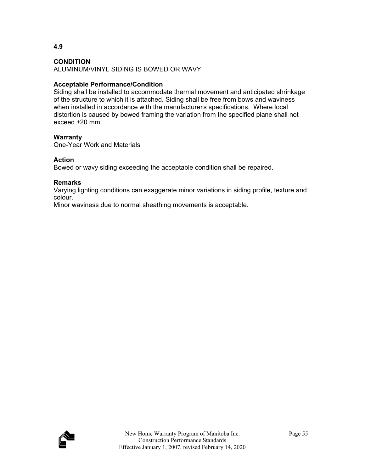**4.9** 

ALUMINUM/VINYL SIDING IS BOWED OR WAVY

# **Acceptable Performance/Condition**

Siding shall be installed to accommodate thermal movement and anticipated shrinkage of the structure to which it is attached. Siding shall be free from bows and waviness when installed in accordance with the manufacturers specifications. Where local distortion is caused by bowed framing the variation from the specified plane shall not exceed ±20 mm.

# **Warranty**

One-Year Work and Materials

# **Action**

Bowed or wavy siding exceeding the acceptable condition shall be repaired.

# **Remarks**

Varying lighting conditions can exaggerate minor variations in siding profile, texture and colour.

Minor waviness due to normal sheathing movements is acceptable.

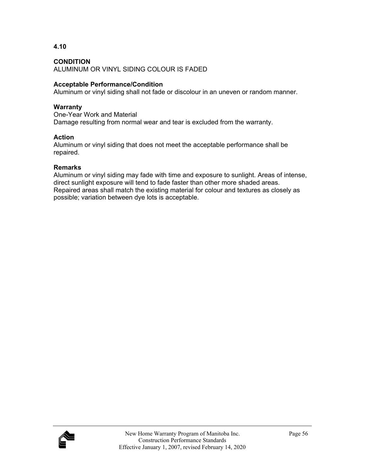**4.10** 

ALUMINUM OR VINYL SIDING COLOUR IS FADED

# **Acceptable Performance/Condition**

Aluminum or vinyl siding shall not fade or discolour in an uneven or random manner.

## **Warranty**

One-Year Work and Material Damage resulting from normal wear and tear is excluded from the warranty.

## **Action**

Aluminum or vinyl siding that does not meet the acceptable performance shall be repaired.

## **Remarks**

Aluminum or vinyl siding may fade with time and exposure to sunlight. Areas of intense, direct sunlight exposure will tend to fade faster than other more shaded areas. Repaired areas shall match the existing material for colour and textures as closely as possible; variation between dye lots is acceptable.

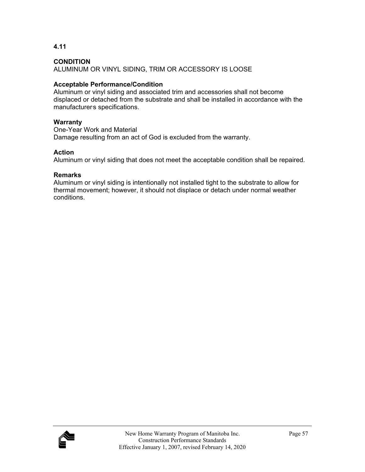**4.11** 

ALUMINUM OR VINYL SIDING, TRIM OR ACCESSORY IS LOOSE

# **Acceptable Performance/Condition**

Aluminum or vinyl siding and associated trim and accessories shall not become displaced or detached from the substrate and shall be installed in accordance with the manufacturers specifications.

# **Warranty**

One-Year Work and Material Damage resulting from an act of God is excluded from the warranty.

# **Action**

Aluminum or vinyl siding that does not meet the acceptable condition shall be repaired.

# **Remarks**

Aluminum or vinyl siding is intentionally not installed tight to the substrate to allow for thermal movement; however, it should not displace or detach under normal weather conditions.

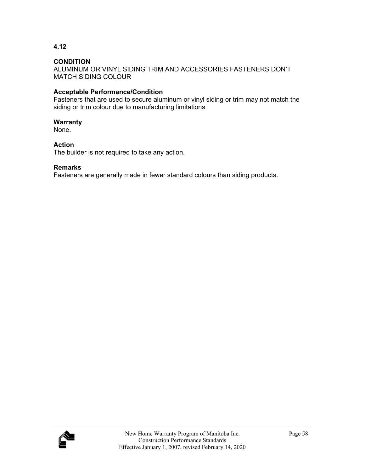**4.12** 

ALUMINUM OR VINYL SIDING TRIM AND ACCESSORIES FASTENERS DON'T MATCH SIDING COLOUR

# **Acceptable Performance/Condition**

Fasteners that are used to secure aluminum or vinyl siding or trim may not match the siding or trim colour due to manufacturing limitations.

## **Warranty**

None.

## **Action**

The builder is not required to take any action.

## **Remarks**

Fasteners are generally made in fewer standard colours than siding products.

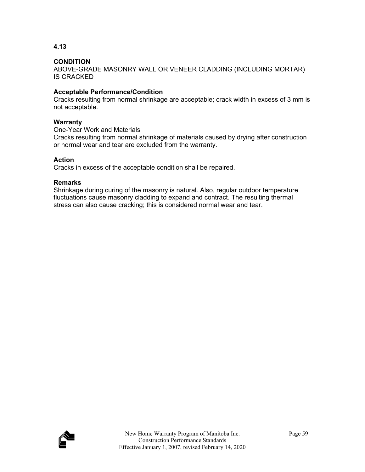**4.13** 

ABOVE-GRADE MASONRY WALL OR VENEER CLADDING (INCLUDING MORTAR) IS CRACKED

# **Acceptable Performance/Condition**

Cracks resulting from normal shrinkage are acceptable; crack width in excess of 3 mm is not acceptable.

## **Warranty**

One-Year Work and Materials

Cracks resulting from normal shrinkage of materials caused by drying after construction or normal wear and tear are excluded from the warranty.

# **Action**

Cracks in excess of the acceptable condition shall be repaired.

## **Remarks**

Shrinkage during curing of the masonry is natural. Also, regular outdoor temperature fluctuations cause masonry cladding to expand and contract. The resulting thermal stress can also cause cracking; this is considered normal wear and tear.

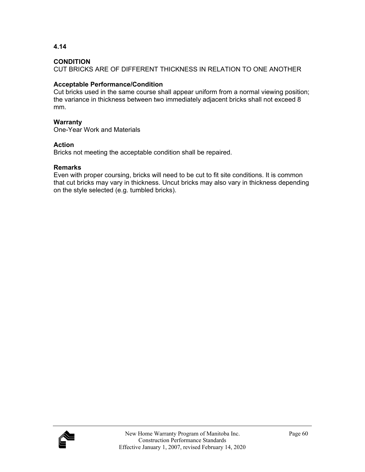**4.14** 

CUT BRICKS ARE OF DIFFERENT THICKNESS IN RELATION TO ONE ANOTHER

# **Acceptable Performance/Condition**

Cut bricks used in the same course shall appear uniform from a normal viewing position; the variance in thickness between two immediately adjacent bricks shall not exceed 8 mm.

# **Warranty**

One-Year Work and Materials

# **Action**

Bricks not meeting the acceptable condition shall be repaired.

# **Remarks**

Even with proper coursing, bricks will need to be cut to fit site conditions. It is common that cut bricks may vary in thickness. Uncut bricks may also vary in thickness depending on the style selected (e.g. tumbled bricks).

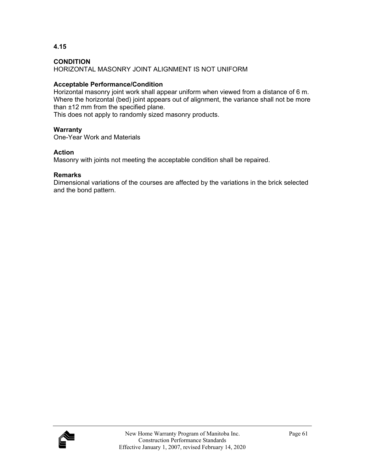**4.15** 

HORIZONTAL MASONRY JOINT ALIGNMENT IS NOT UNIFORM

# **Acceptable Performance/Condition**

Horizontal masonry joint work shall appear uniform when viewed from a distance of 6 m. Where the horizontal (bed) joint appears out of alignment, the variance shall not be more than ±12 mm from the specified plane.

This does not apply to randomly sized masonry products.

# **Warranty**

One-Year Work and Materials

## **Action**

Masonry with joints not meeting the acceptable condition shall be repaired.

# **Remarks**

Dimensional variations of the courses are affected by the variations in the brick selected and the bond pattern.

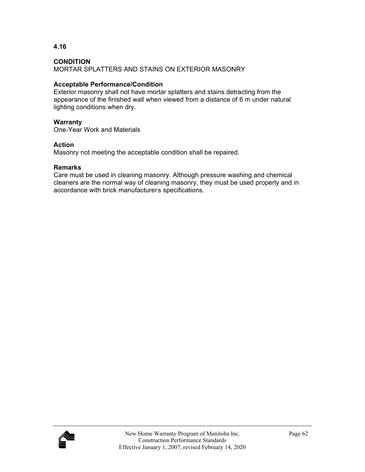**4.16** 

MORTAR SPLATTERS AND STAINS ON EXTERIOR MASONRY

## **Acceptable Performance/Condition**

Exterior masonry shall not have mortar splatters and stains detracting from the appearance of the finished wall when viewed from a distance of 6 m under natural lighting conditions when dry.

## **Warranty**

One-Year Work and Materials

## **Action**

Masonry not meeting the acceptable condition shall be repaired.

## **Remarks**

Care must be used in cleaning masonry. Although pressure washing and chemical cleaners are the normal way of cleaning masonry, they must be used properly and in accordance with brick manufacturers specifications.

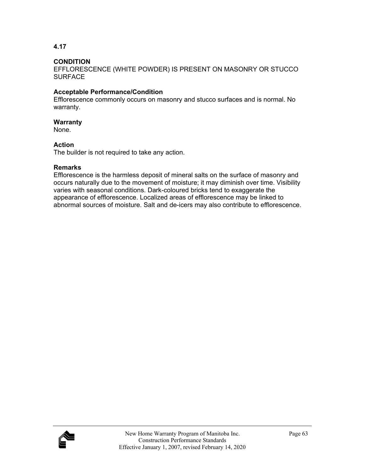## **CONDITION**

EFFLORESCENCE (WHITE POWDER) IS PRESENT ON MASONRY OR STUCCO **SURFACE** 

## **Acceptable Performance/Condition**

Efflorescence commonly occurs on masonry and stucco surfaces and is normal. No warranty.

## **Warranty**

None.

## **Action**

The builder is not required to take any action.

## **Remarks**

Efflorescence is the harmless deposit of mineral salts on the surface of masonry and occurs naturally due to the movement of moisture; it may diminish over time. Visibility varies with seasonal conditions. Dark-coloured bricks tend to exaggerate the appearance of efflorescence. Localized areas of efflorescence may be linked to abnormal sources of moisture. Salt and de-icers may also contribute to efflorescence.

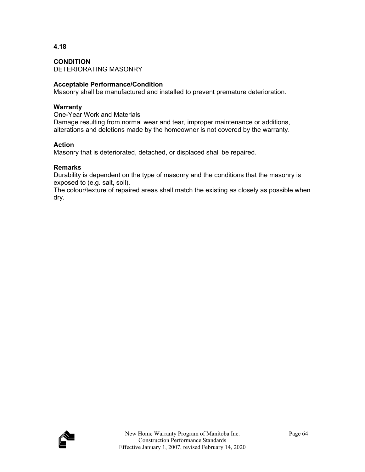**CONDITION**  DETERIORATING MASONRY

# **Acceptable Performance/Condition**

Masonry shall be manufactured and installed to prevent premature deterioration.

## **Warranty**

One-Year Work and Materials Damage resulting from normal wear and tear, improper maintenance or additions, alterations and deletions made by the homeowner is not covered by the warranty.

# **Action**

Masonry that is deteriorated, detached, or displaced shall be repaired.

## **Remarks**

Durability is dependent on the type of masonry and the conditions that the masonry is exposed to (e.g. salt, soil).

The colour/texture of repaired areas shall match the existing as closely as possible when dry.

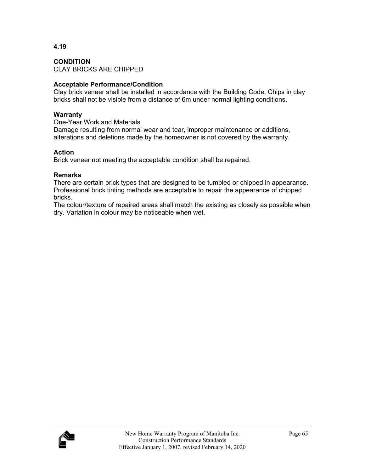**CONDITION** 

CLAY BRICKS ARE CHIPPED

# **Acceptable Performance/Condition**

Clay brick veneer shall be installed in accordance with the Building Code. Chips in clay bricks shall not be visible from a distance of 6m under normal lighting conditions.

# **Warranty**

One-Year Work and Materials

Damage resulting from normal wear and tear, improper maintenance or additions, alterations and deletions made by the homeowner is not covered by the warranty.

# **Action**

Brick veneer not meeting the acceptable condition shall be repaired.

# **Remarks**

There are certain brick types that are designed to be tumbled or chipped in appearance. Professional brick tinting methods are acceptable to repair the appearance of chipped bricks.

The colour/texture of repaired areas shall match the existing as closely as possible when dry. Variation in colour may be noticeable when wet.

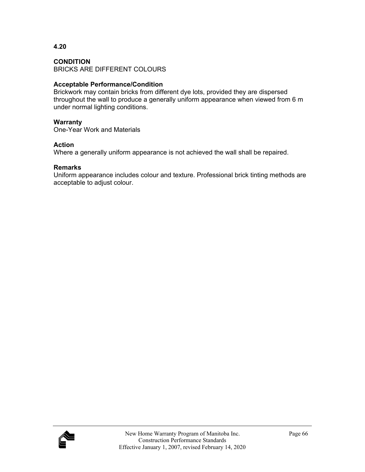**4.20** 

BRICKS ARE DIFFERENT COLOURS

# **Acceptable Performance/Condition**

Brickwork may contain bricks from different dye lots, provided they are dispersed throughout the wall to produce a generally uniform appearance when viewed from 6 m under normal lighting conditions.

### **Warranty**

One-Year Work and Materials

### **Action**

Where a generally uniform appearance is not achieved the wall shall be repaired.

### **Remarks**

Uniform appearance includes colour and texture. Professional brick tinting methods are acceptable to adjust colour.

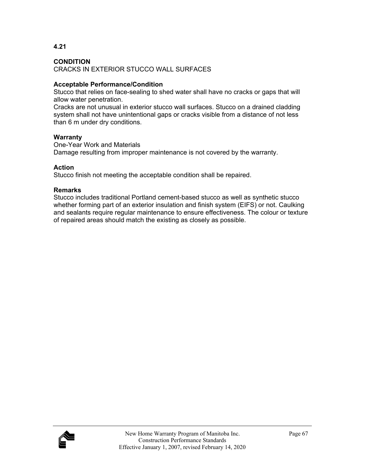**4.21** 

CRACKS IN EXTERIOR STUCCO WALL SURFACES

# **Acceptable Performance/Condition**

Stucco that relies on face-sealing to shed water shall have no cracks or gaps that will allow water penetration.

Cracks are not unusual in exterior stucco wall surfaces. Stucco on a drained cladding system shall not have unintentional gaps or cracks visible from a distance of not less than 6 m under dry conditions.

### **Warranty**

One-Year Work and Materials Damage resulting from improper maintenance is not covered by the warranty.

### **Action**

Stucco finish not meeting the acceptable condition shall be repaired.

### **Remarks**

Stucco includes traditional Portland cement-based stucco as well as synthetic stucco whether forming part of an exterior insulation and finish system (EIFS) or not. Caulking and sealants require regular maintenance to ensure effectiveness. The colour or texture of repaired areas should match the existing as closely as possible.

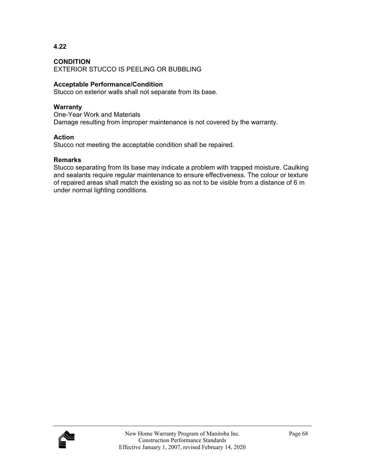**4.22** 

EXTERIOR STUCCO IS PEELING OR BUBBLING

# **Acceptable Performance/Condition**

Stucco on exterior walls shall not separate from its base.

### **Warranty**

One-Year Work and Materials Damage resulting from improper maintenance is not covered by the warranty.

### **Action**

Stucco not meeting the acceptable condition shall be repaired.

### **Remarks**

Stucco separating from its base may indicate a problem with trapped moisture. Caulking and sealants require regular maintenance to ensure effectiveness. The colour or texture of repaired areas shall match the existing so as not to be visible from a distance of 6 m under normal lighting conditions.

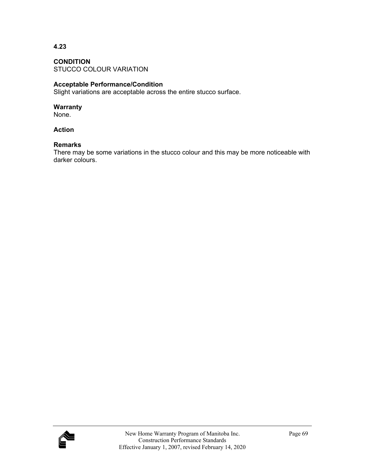**CONDITION**  STUCCO COLOUR VARIATION

# **Acceptable Performance/Condition**

Slight variations are acceptable across the entire stucco surface.

#### **Warranty**

None.

# **Action**

#### **Remarks**

There may be some variations in the stucco colour and this may be more noticeable with darker colours.

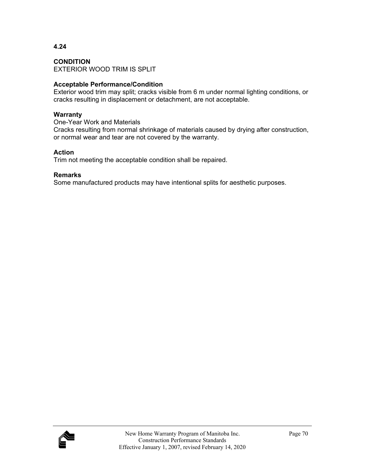**CONDITION**  EXTERIOR WOOD TRIM IS SPLIT

# **Acceptable Performance/Condition**

Exterior wood trim may split; cracks visible from 6 m under normal lighting conditions, or cracks resulting in displacement or detachment, are not acceptable.

#### **Warranty**

One-Year Work and Materials

Cracks resulting from normal shrinkage of materials caused by drying after construction, or normal wear and tear are not covered by the warranty.

### **Action**

Trim not meeting the acceptable condition shall be repaired.

### **Remarks**

Some manufactured products may have intentional splits for aesthetic purposes.

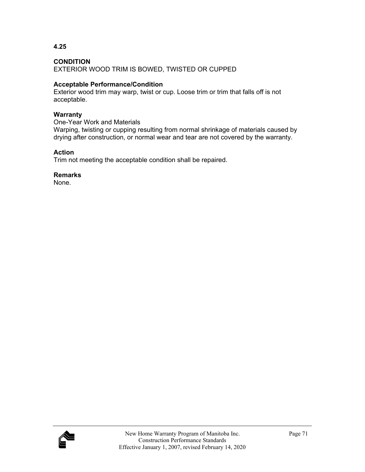**4.25** 

EXTERIOR WOOD TRIM IS BOWED, TWISTED OR CUPPED

# **Acceptable Performance/Condition**

Exterior wood trim may warp, twist or cup. Loose trim or trim that falls off is not acceptable.

#### **Warranty**

One-Year Work and Materials

Warping, twisting or cupping resulting from normal shrinkage of materials caused by drying after construction, or normal wear and tear are not covered by the warranty.

### **Action**

Trim not meeting the acceptable condition shall be repaired.

# **Remarks**

None.

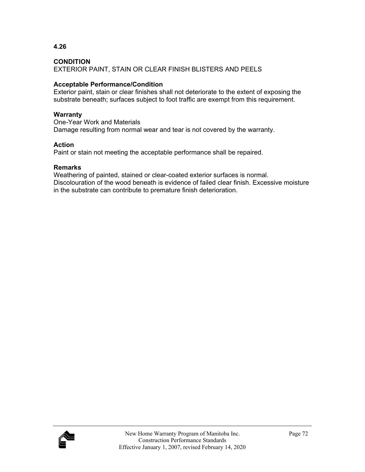**4.26** 

EXTERIOR PAINT, STAIN OR CLEAR FINISH BLISTERS AND PEELS

# **Acceptable Performance/Condition**

Exterior paint, stain or clear finishes shall not deteriorate to the extent of exposing the substrate beneath; surfaces subject to foot traffic are exempt from this requirement.

# **Warranty**

One-Year Work and Materials Damage resulting from normal wear and tear is not covered by the warranty.

# **Action**

Paint or stain not meeting the acceptable performance shall be repaired.

# **Remarks**

Weathering of painted, stained or clear-coated exterior surfaces is normal. Discolouration of the wood beneath is evidence of failed clear finish. Excessive moisture in the substrate can contribute to premature finish deterioration.

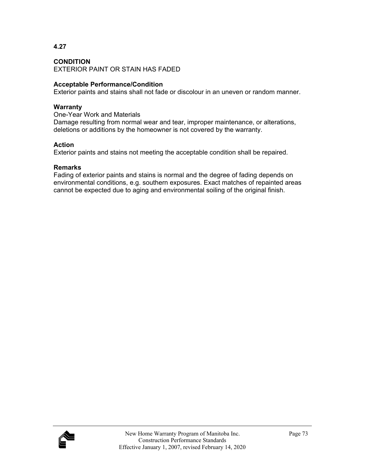**4.27** 

EXTERIOR PAINT OR STAIN HAS FADED

# **Acceptable Performance/Condition**

Exterior paints and stains shall not fade or discolour in an uneven or random manner.

#### **Warranty**

One-Year Work and Materials Damage resulting from normal wear and tear, improper maintenance, or alterations, deletions or additions by the homeowner is not covered by the warranty.

### **Action**

Exterior paints and stains not meeting the acceptable condition shall be repaired.

### **Remarks**

Fading of exterior paints and stains is normal and the degree of fading depends on environmental conditions, e.g. southern exposures. Exact matches of repainted areas cannot be expected due to aging and environmental soiling of the original finish.

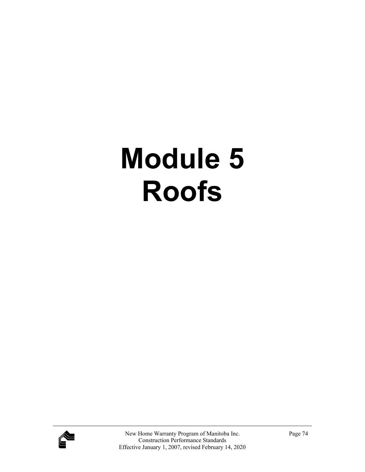# **Module 5 Roofs**

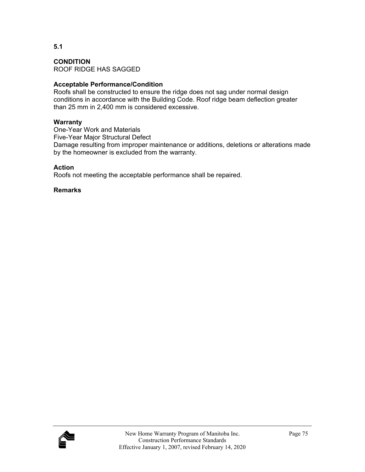**CONDITION**  ROOF RIDGE HAS SAGGED

# **Acceptable Performance/Condition**

Roofs shall be constructed to ensure the ridge does not sag under normal design conditions in accordance with the Building Code. Roof ridge beam deflection greater than 25 mm in 2,400 mm is considered excessive.

#### **Warranty**

One-Year Work and Materials Five-Year Major Structural Defect Damage resulting from improper maintenance or additions, deletions or alterations made by the homeowner is excluded from the warranty.

### **Action**

Roofs not meeting the acceptable performance shall be repaired.

### **Remarks**

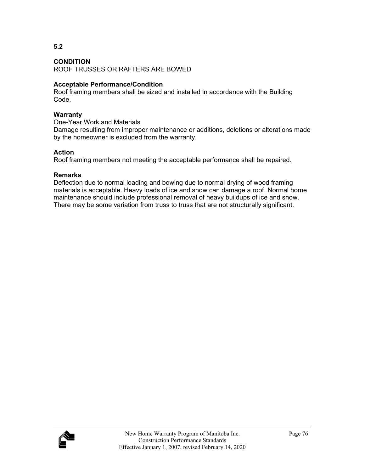#### **CONDITION**

ROOF TRUSSES OR RAFTERS ARE BOWED

# **Acceptable Performance/Condition**

Roof framing members shall be sized and installed in accordance with the Building Code.

#### **Warranty**

One-Year Work and Materials

Damage resulting from improper maintenance or additions, deletions or alterations made by the homeowner is excluded from the warranty.

### **Action**

Roof framing members not meeting the acceptable performance shall be repaired.

# **Remarks**

Deflection due to normal loading and bowing due to normal drying of wood framing materials is acceptable. Heavy loads of ice and snow can damage a roof. Normal home maintenance should include professional removal of heavy buildups of ice and snow. There may be some variation from truss to truss that are not structurally significant.

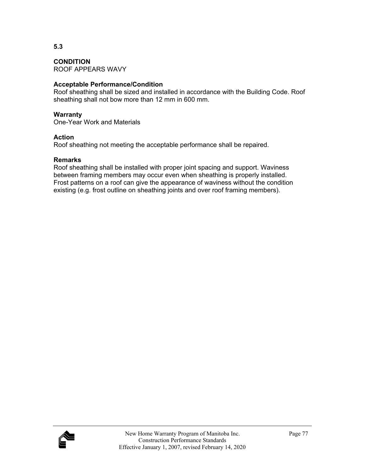**CONDITION**  ROOF APPEARS WAVY

# **Acceptable Performance/Condition**

Roof sheathing shall be sized and installed in accordance with the Building Code. Roof sheathing shall not bow more than 12 mm in 600 mm.

#### **Warranty**

One-Year Work and Materials

#### **Action**

Roof sheathing not meeting the acceptable performance shall be repaired.

#### **Remarks**

Roof sheathing shall be installed with proper joint spacing and support. Waviness between framing members may occur even when sheathing is properly installed. Frost patterns on a roof can give the appearance of waviness without the condition existing (e.g. frost outline on sheathing joints and over roof framing members).

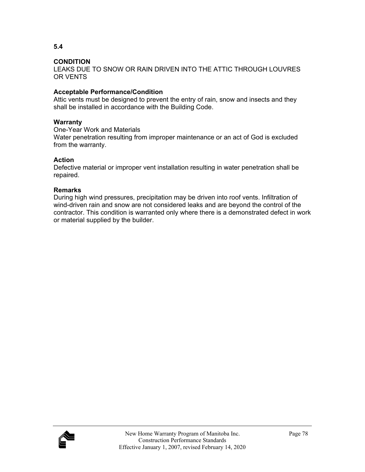**5.4** 

LEAKS DUE TO SNOW OR RAIN DRIVEN INTO THE ATTIC THROUGH LOUVRES OR VENTS

# **Acceptable Performance/Condition**

Attic vents must be designed to prevent the entry of rain, snow and insects and they shall be installed in accordance with the Building Code.

### **Warranty**

One-Year Work and Materials

Water penetration resulting from improper maintenance or an act of God is excluded from the warranty.

# **Action**

Defective material or improper vent installation resulting in water penetration shall be repaired.

# **Remarks**

During high wind pressures, precipitation may be driven into roof vents. Infiltration of wind-driven rain and snow are not considered leaks and are beyond the control of the contractor. This condition is warranted only where there is a demonstrated defect in work or material supplied by the builder.

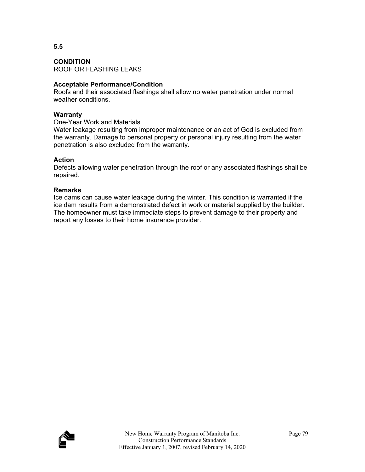**CONDITION**  ROOF OR FLASHING LEAKS

### **Acceptable Performance/Condition**

Roofs and their associated flashings shall allow no water penetration under normal weather conditions.

#### **Warranty**

One-Year Work and Materials

Water leakage resulting from improper maintenance or an act of God is excluded from the warranty. Damage to personal property or personal injury resulting from the water penetration is also excluded from the warranty.

### **Action**

Defects allowing water penetration through the roof or any associated flashings shall be repaired.

### **Remarks**

Ice dams can cause water leakage during the winter. This condition is warranted if the ice dam results from a demonstrated defect in work or material supplied by the builder. The homeowner must take immediate steps to prevent damage to their property and report any losses to their home insurance provider.

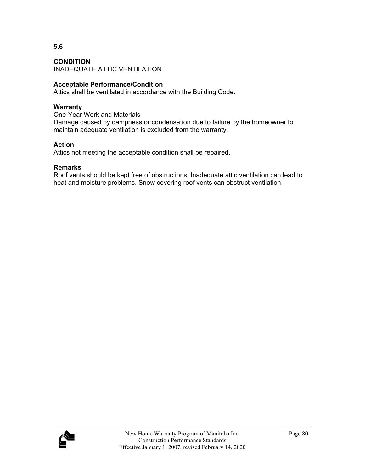**CONDITION**  INADEQUATE ATTIC VENTILATION

### **Acceptable Performance/Condition**

Attics shall be ventilated in accordance with the Building Code.

# **Warranty**

One-Year Work and Materials Damage caused by dampness or condensation due to failure by the homeowner to maintain adequate ventilation is excluded from the warranty.

### **Action**

Attics not meeting the acceptable condition shall be repaired.

### **Remarks**

Roof vents should be kept free of obstructions. Inadequate attic ventilation can lead to heat and moisture problems. Snow covering roof vents can obstruct ventilation.

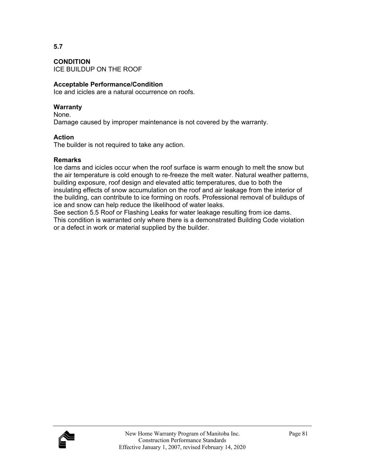**CONDITION**  ICE BUILDUP ON THE ROOF

# **Acceptable Performance/Condition**

Ice and icicles are a natural occurrence on roofs.

# **Warranty**

None.

Damage caused by improper maintenance is not covered by the warranty.

# **Action**

The builder is not required to take any action.

# **Remarks**

Ice dams and icicles occur when the roof surface is warm enough to melt the snow but the air temperature is cold enough to re-freeze the melt water. Natural weather patterns, building exposure, roof design and elevated attic temperatures, due to both the insulating effects of snow accumulation on the roof and air leakage from the interior of the building, can contribute to ice forming on roofs. Professional removal of buildups of ice and snow can help reduce the likelihood of water leaks.

See section 5.5 Roof or Flashing Leaks for water leakage resulting from ice dams. This condition is warranted only where there is a demonstrated Building Code violation or a defect in work or material supplied by the builder.

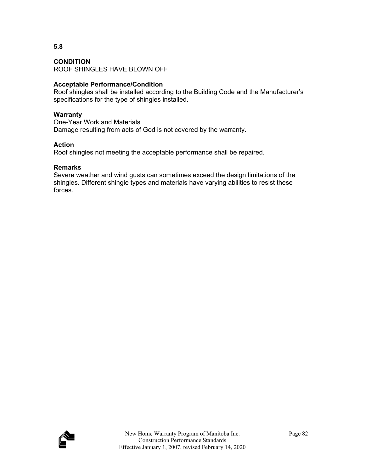#### **CONDITION**

ROOF SHINGLES HAVE BLOWN OFF

# **Acceptable Performance/Condition**

Roof shingles shall be installed according to the Building Code and the Manufacturer's specifications for the type of shingles installed.

#### **Warranty**

One-Year Work and Materials Damage resulting from acts of God is not covered by the warranty.

### **Action**

Roof shingles not meeting the acceptable performance shall be repaired.

### **Remarks**

Severe weather and wind gusts can sometimes exceed the design limitations of the shingles. Different shingle types and materials have varying abilities to resist these forces.

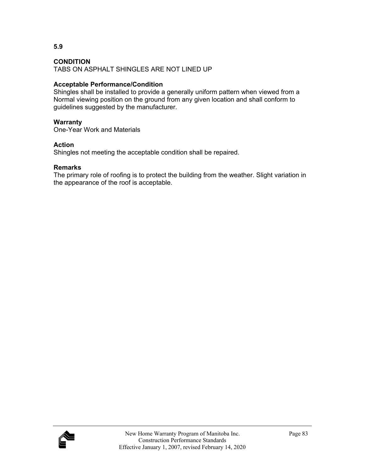TABS ON ASPHALT SHINGLES ARE NOT LINED UP

# **Acceptable Performance/Condition**

Shingles shall be installed to provide a generally uniform pattern when viewed from a Normal viewing position on the ground from any given location and shall conform to guidelines suggested by the manufacturer.

# **Warranty**

One-Year Work and Materials

# **Action**

Shingles not meeting the acceptable condition shall be repaired.

# **Remarks**

The primary role of roofing is to protect the building from the weather. Slight variation in the appearance of the roof is acceptable.



**5.9**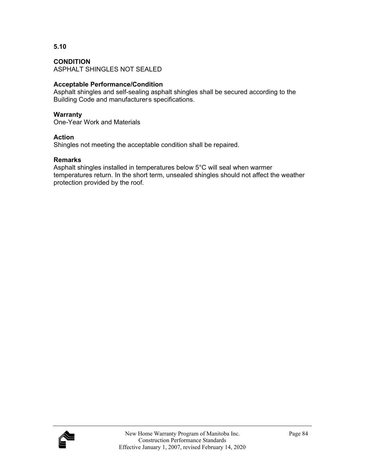#### **CONDITION**

ASPHALT SHINGLES NOT SEALED

# **Acceptable Performance/Condition**

Asphalt shingles and self-sealing asphalt shingles shall be secured according to the Building Code and manufacturers specifications.

#### **Warranty**

One-Year Work and Materials

### **Action**

Shingles not meeting the acceptable condition shall be repaired.

#### **Remarks**

Asphalt shingles installed in temperatures below 5°C will seal when warmer temperatures return. In the short term, unsealed shingles should not affect the weather protection provided by the roof.

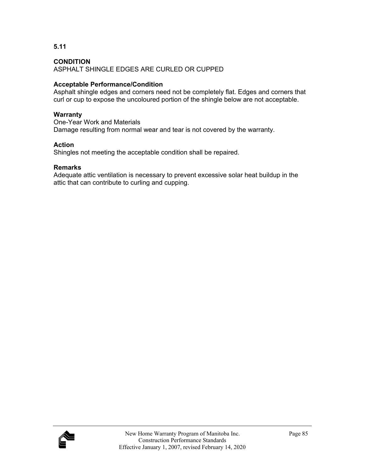**5.11** 

ASPHALT SHINGLE EDGES ARE CURLED OR CUPPED

# **Acceptable Performance/Condition**

Asphalt shingle edges and corners need not be completely flat. Edges and corners that curl or cup to expose the uncoloured portion of the shingle below are not acceptable.

# **Warranty**

One-Year Work and Materials Damage resulting from normal wear and tear is not covered by the warranty.

# **Action**

Shingles not meeting the acceptable condition shall be repaired.

# **Remarks**

Adequate attic ventilation is necessary to prevent excessive solar heat buildup in the attic that can contribute to curling and cupping.

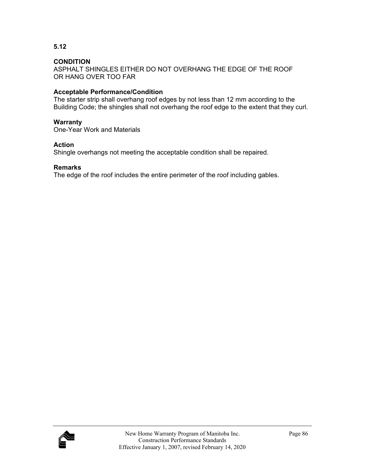**5.12** 

ASPHALT SHINGLES EITHER DO NOT OVERHANG THE EDGE OF THE ROOF OR HANG OVER TOO FAR

# **Acceptable Performance/Condition**

The starter strip shall overhang roof edges by not less than 12 mm according to the Building Code; the shingles shall not overhang the roof edge to the extent that they curl.

#### **Warranty**

One-Year Work and Materials

#### **Action**

Shingle overhangs not meeting the acceptable condition shall be repaired.

#### **Remarks**

The edge of the roof includes the entire perimeter of the roof including gables.

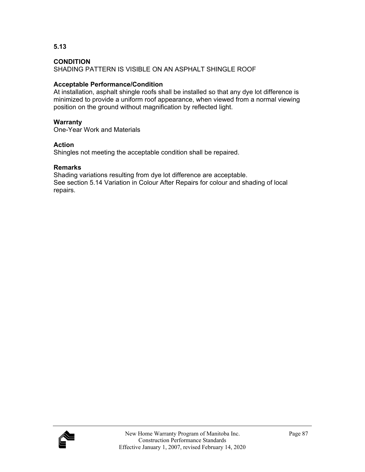**5.13** 

SHADING PATTERN IS VISIBLE ON AN ASPHALT SHINGLE ROOF

# **Acceptable Performance/Condition**

At installation, asphalt shingle roofs shall be installed so that any dye lot difference is minimized to provide a uniform roof appearance, when viewed from a normal viewing position on the ground without magnification by reflected light.

# **Warranty**

One-Year Work and Materials

# **Action**

Shingles not meeting the acceptable condition shall be repaired.

# **Remarks**

Shading variations resulting from dye lot difference are acceptable. See section 5.14 Variation in Colour After Repairs for colour and shading of local repairs.

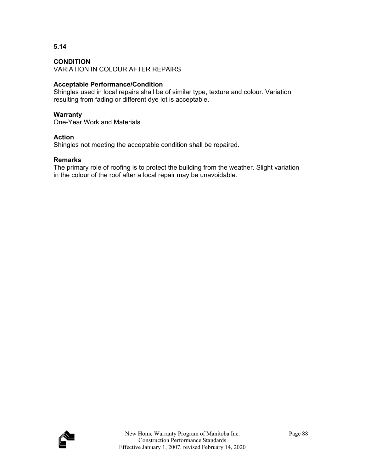# **CONDITION**

VARIATION IN COLOUR AFTER REPAIRS

### **Acceptable Performance/Condition**

Shingles used in local repairs shall be of similar type, texture and colour. Variation resulting from fading or different dye lot is acceptable.

#### **Warranty**

One-Year Work and Materials

#### **Action**

Shingles not meeting the acceptable condition shall be repaired.

#### **Remarks**

The primary role of roofing is to protect the building from the weather. Slight variation in the colour of the roof after a local repair may be unavoidable.

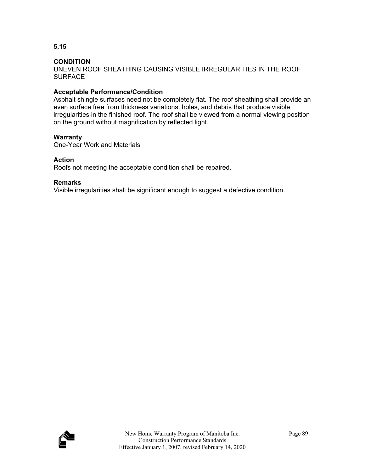**5.15** 

UNEVEN ROOF SHEATHING CAUSING VISIBLE IRREGULARITIES IN THE ROOF **SURFACE** 

# **Acceptable Performance/Condition**

Asphalt shingle surfaces need not be completely flat. The roof sheathing shall provide an even surface free from thickness variations, holes, and debris that produce visible irregularities in the finished roof. The roof shall be viewed from a normal viewing position on the ground without magnification by reflected light.

### **Warranty**

One-Year Work and Materials

### **Action**

Roofs not meeting the acceptable condition shall be repaired.

#### **Remarks**

Visible irregularities shall be significant enough to suggest a defective condition.

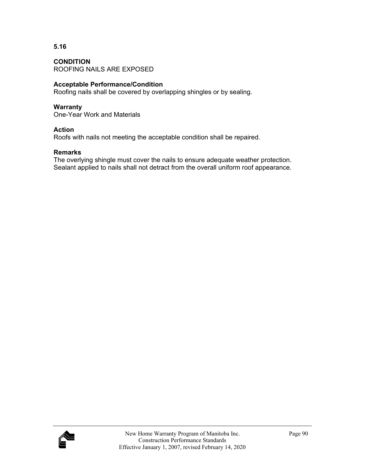**CONDITION**  ROOFING NAILS ARE EXPOSED

# **Acceptable Performance/Condition**

Roofing nails shall be covered by overlapping shingles or by sealing.

#### **Warranty**

One-Year Work and Materials

#### **Action**

Roofs with nails not meeting the acceptable condition shall be repaired.

### **Remarks**

The overlying shingle must cover the nails to ensure adequate weather protection. Sealant applied to nails shall not detract from the overall uniform roof appearance.

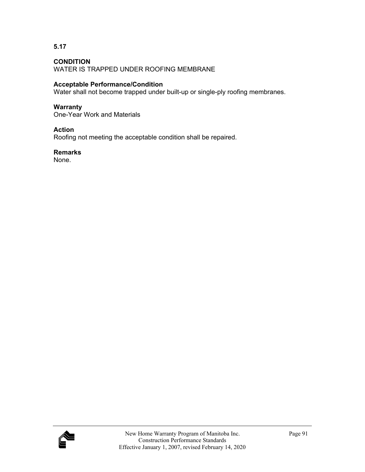**5.17** 

WATER IS TRAPPED UNDER ROOFING MEMBRANE

# **Acceptable Performance/Condition**

Water shall not become trapped under built-up or single-ply roofing membranes.

### **Warranty**

One-Year Work and Materials

### **Action**

Roofing not meeting the acceptable condition shall be repaired.

#### **Remarks**

None.

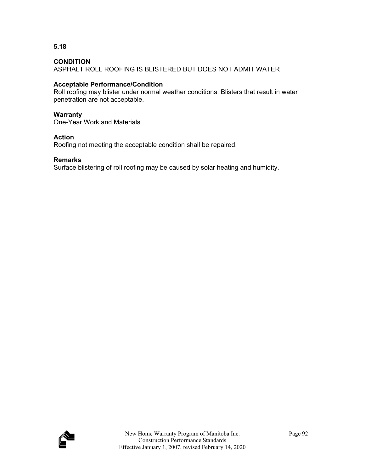**5.18** 

ASPHALT ROLL ROOFING IS BLISTERED BUT DOES NOT ADMIT WATER

# **Acceptable Performance/Condition**

Roll roofing may blister under normal weather conditions. Blisters that result in water penetration are not acceptable.

# **Warranty**

One-Year Work and Materials

# **Action**

Roofing not meeting the acceptable condition shall be repaired.

# **Remarks**

Surface blistering of roll roofing may be caused by solar heating and humidity.

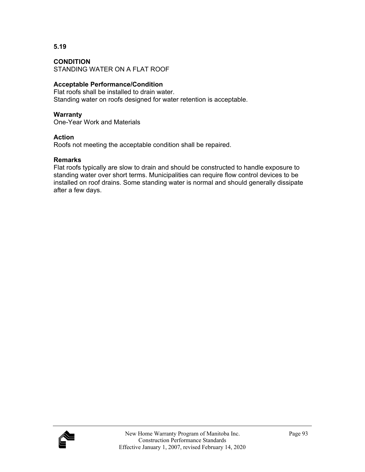### **CONDITION**

STANDING WATER ON A FLAT ROOF

# **Acceptable Performance/Condition**

Flat roofs shall be installed to drain water. Standing water on roofs designed for water retention is acceptable.

#### **Warranty**

One-Year Work and Materials

#### **Action**

Roofs not meeting the acceptable condition shall be repaired.

#### **Remarks**

Flat roofs typically are slow to drain and should be constructed to handle exposure to standing water over short terms. Municipalities can require flow control devices to be installed on roof drains. Some standing water is normal and should generally dissipate after a few days.

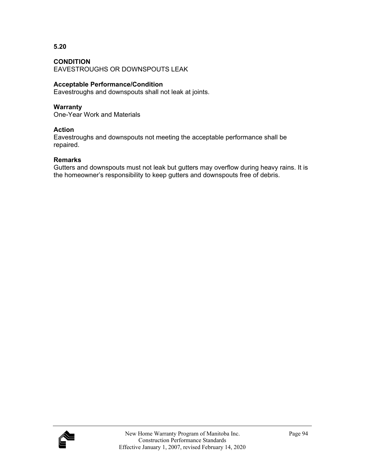**5.20** 

EAVESTROUGHS OR DOWNSPOUTS LEAK

# **Acceptable Performance/Condition**

Eavestroughs and downspouts shall not leak at joints.

# **Warranty**

One-Year Work and Materials

### **Action**

Eavestroughs and downspouts not meeting the acceptable performance shall be repaired.

### **Remarks**

Gutters and downspouts must not leak but gutters may overflow during heavy rains. It is the homeowner's responsibility to keep gutters and downspouts free of debris.

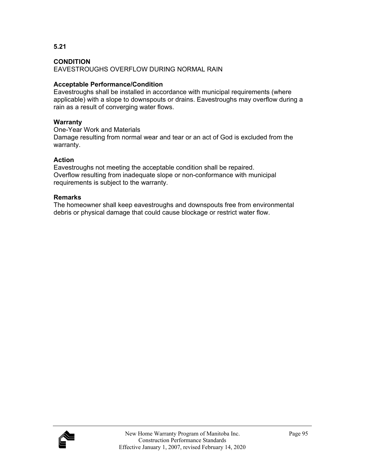**5.21** 

EAVESTROUGHS OVERFLOW DURING NORMAL RAIN

# **Acceptable Performance/Condition**

Eavestroughs shall be installed in accordance with municipal requirements (where applicable) with a slope to downspouts or drains. Eavestroughs may overflow during a rain as a result of converging water flows.

# **Warranty**

One-Year Work and Materials Damage resulting from normal wear and tear or an act of God is excluded from the warranty.

# **Action**

Eavestroughs not meeting the acceptable condition shall be repaired. Overflow resulting from inadequate slope or non-conformance with municipal requirements is subject to the warranty.

# **Remarks**

The homeowner shall keep eavestroughs and downspouts free from environmental debris or physical damage that could cause blockage or restrict water flow.

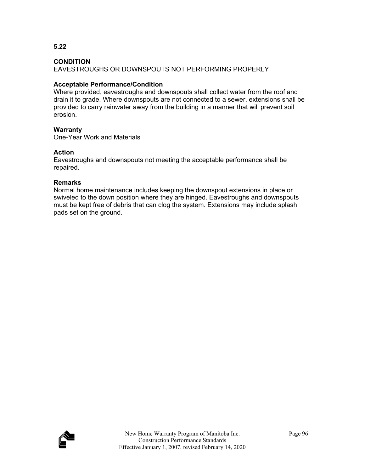**5.22** 

EAVESTROUGHS OR DOWNSPOUTS NOT PERFORMING PROPERLY

# **Acceptable Performance/Condition**

Where provided, eavestroughs and downspouts shall collect water from the roof and drain it to grade. Where downspouts are not connected to a sewer, extensions shall be provided to carry rainwater away from the building in a manner that will prevent soil erosion.

# **Warranty**

One-Year Work and Materials

# **Action**

Eavestroughs and downspouts not meeting the acceptable performance shall be repaired.

# **Remarks**

Normal home maintenance includes keeping the downspout extensions in place or swiveled to the down position where they are hinged. Eavestroughs and downspouts must be kept free of debris that can clog the system. Extensions may include splash pads set on the ground.

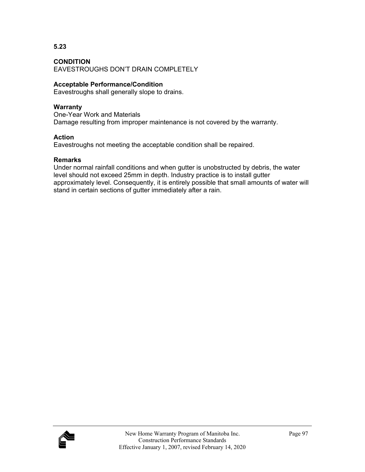**5.23** 

EAVESTROUGHS DON'T DRAIN COMPLETELY

# **Acceptable Performance/Condition**

Eavestroughs shall generally slope to drains.

# **Warranty**

One-Year Work and Materials Damage resulting from improper maintenance is not covered by the warranty.

### **Action**

Eavestroughs not meeting the acceptable condition shall be repaired.

### **Remarks**

Under normal rainfall conditions and when gutter is unobstructed by debris, the water level should not exceed 25mm in depth. Industry practice is to install gutter approximately level. Consequently, it is entirely possible that small amounts of water will stand in certain sections of gutter immediately after a rain.

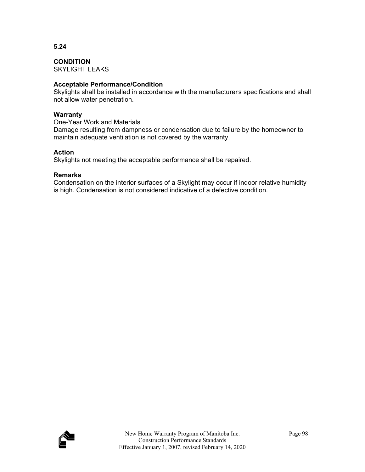**CONDITION** 

SKYLIGHT LEAKS

# **Acceptable Performance/Condition**

Skylights shall be installed in accordance with the manufacturers specifications and shall not allow water penetration.

#### **Warranty**

One-Year Work and Materials

Damage resulting from dampness or condensation due to failure by the homeowner to maintain adequate ventilation is not covered by the warranty.

# **Action**

Skylights not meeting the acceptable performance shall be repaired.

### **Remarks**

Condensation on the interior surfaces of a Skylight may occur if indoor relative humidity is high. Condensation is not considered indicative of a defective condition.

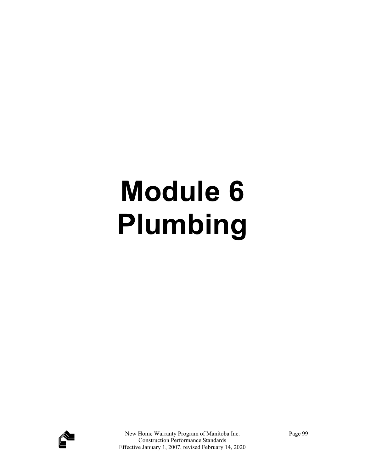# **Module 6 Plumbing**

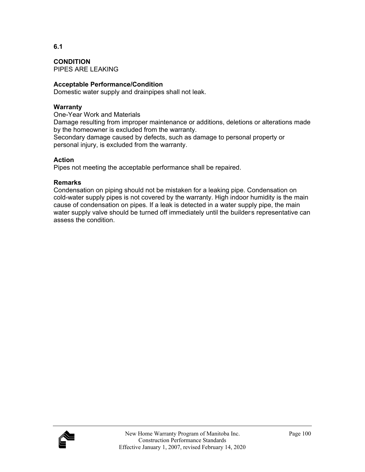**CONDITION**  PIPES ARE LEAKING

# **Acceptable Performance/Condition**

Domestic water supply and drainpipes shall not leak.

### **Warranty**

One-Year Work and Materials

Damage resulting from improper maintenance or additions, deletions or alterations made by the homeowner is excluded from the warranty.

Secondary damage caused by defects, such as damage to personal property or personal injury, is excluded from the warranty.

### **Action**

Pipes not meeting the acceptable performance shall be repaired.

### **Remarks**

Condensation on piping should not be mistaken for a leaking pipe. Condensation on cold-water supply pipes is not covered by the warranty. High indoor humidity is the main cause of condensation on pipes. If a leak is detected in a water supply pipe, the main water supply valve should be turned off immediately until the builders representative can assess the condition.

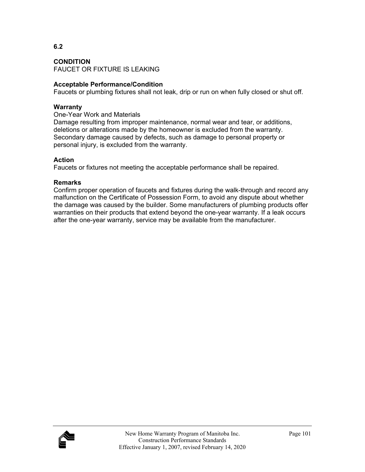**CONDITION** 

FAUCET OR FIXTURE IS LEAKING

#### **Acceptable Performance/Condition**

Faucets or plumbing fixtures shall not leak, drip or run on when fully closed or shut off.

#### **Warranty**

One-Year Work and Materials

Damage resulting from improper maintenance, normal wear and tear, or additions, deletions or alterations made by the homeowner is excluded from the warranty. Secondary damage caused by defects, such as damage to personal property or personal injury, is excluded from the warranty.

#### **Action**

Faucets or fixtures not meeting the acceptable performance shall be repaired.

#### **Remarks**

Confirm proper operation of faucets and fixtures during the walk-through and record any malfunction on the Certificate of Possession Form, to avoid any dispute about whether the damage was caused by the builder. Some manufacturers of plumbing products offer warranties on their products that extend beyond the one-year warranty. If a leak occurs after the one-year warranty, service may be available from the manufacturer.

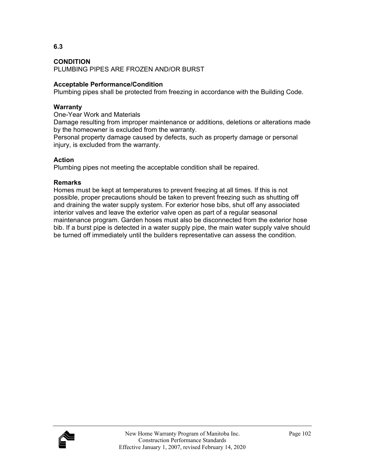**6.3** 

PLUMBING PIPES ARE FROZEN AND/OR BURST

## **Acceptable Performance/Condition**

Plumbing pipes shall be protected from freezing in accordance with the Building Code.

## **Warranty**

One-Year Work and Materials

Damage resulting from improper maintenance or additions, deletions or alterations made by the homeowner is excluded from the warranty.

Personal property damage caused by defects, such as property damage or personal injury, is excluded from the warranty.

## **Action**

Plumbing pipes not meeting the acceptable condition shall be repaired.

## **Remarks**

Homes must be kept at temperatures to prevent freezing at all times. If this is not possible, proper precautions should be taken to prevent freezing such as shutting off and draining the water supply system. For exterior hose bibs, shut off any associated interior valves and leave the exterior valve open as part of a regular seasonal maintenance program. Garden hoses must also be disconnected from the exterior hose bib. If a burst pipe is detected in a water supply pipe, the main water supply valve should be turned off immediately until the builders representative can assess the condition.

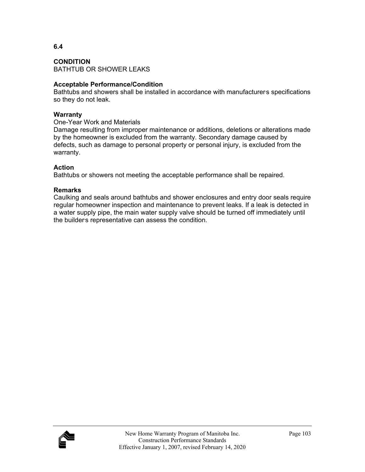**CONDITION**  BATHTUB OR SHOWER LEAKS

#### **Acceptable Performance/Condition**

Bathtubs and showers shall be installed in accordance with manufacturers specifications so they do not leak.

#### **Warranty**

One-Year Work and Materials

Damage resulting from improper maintenance or additions, deletions or alterations made by the homeowner is excluded from the warranty. Secondary damage caused by defects, such as damage to personal property or personal injury, is excluded from the warranty.

## **Action**

Bathtubs or showers not meeting the acceptable performance shall be repaired.

#### **Remarks**

Caulking and seals around bathtubs and shower enclosures and entry door seals require regular homeowner inspection and maintenance to prevent leaks. If a leak is detected in a water supply pipe, the main water supply valve should be turned off immediately until the builders representative can assess the condition.

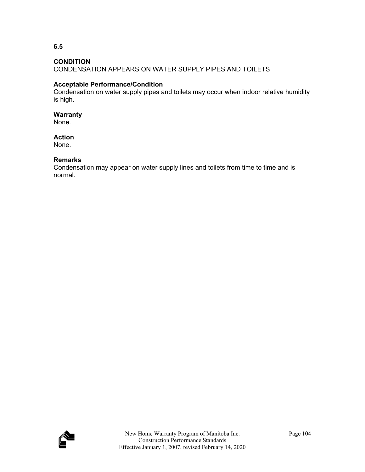**6.5** 

CONDENSATION APPEARS ON WATER SUPPLY PIPES AND TOILETS

## **Acceptable Performance/Condition**

Condensation on water supply pipes and toilets may occur when indoor relative humidity is high.

#### **Warranty**

None.

#### **Action**

None.

## **Remarks**

Condensation may appear on water supply lines and toilets from time to time and is normal.

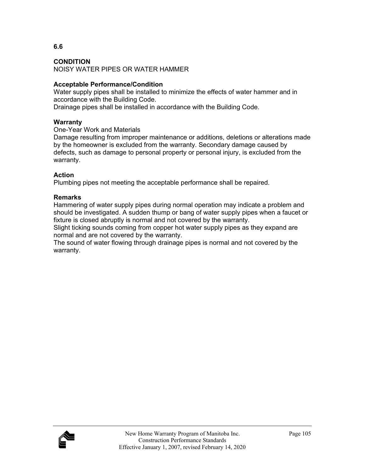**6.6** 

NOISY WATER PIPES OR WATER HAMMER

# **Acceptable Performance/Condition**

Water supply pipes shall be installed to minimize the effects of water hammer and in accordance with the Building Code.

Drainage pipes shall be installed in accordance with the Building Code.

## **Warranty**

## One-Year Work and Materials

Damage resulting from improper maintenance or additions, deletions or alterations made by the homeowner is excluded from the warranty. Secondary damage caused by defects, such as damage to personal property or personal injury, is excluded from the warranty.

# **Action**

Plumbing pipes not meeting the acceptable performance shall be repaired.

## **Remarks**

Hammering of water supply pipes during normal operation may indicate a problem and should be investigated. A sudden thump or bang of water supply pipes when a faucet or fixture is closed abruptly is normal and not covered by the warranty.

Slight ticking sounds coming from copper hot water supply pipes as they expand are normal and are not covered by the warranty.

The sound of water flowing through drainage pipes is normal and not covered by the warranty.

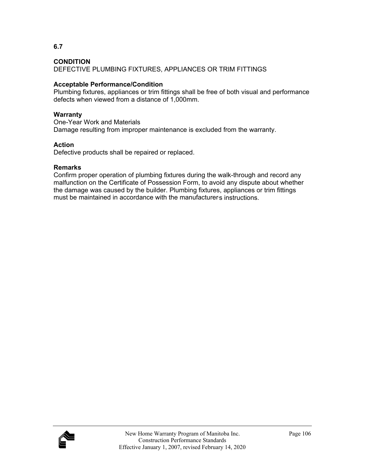DEFECTIVE PLUMBING FIXTURES, APPLIANCES OR TRIM FITTINGS

# **Acceptable Performance/Condition**

Plumbing fixtures, appliances or trim fittings shall be free of both visual and performance defects when viewed from a distance of 1,000mm.

# **Warranty**

One-Year Work and Materials Damage resulting from improper maintenance is excluded from the warranty.

# **Action**

Defective products shall be repaired or replaced.

# **Remarks**

Confirm proper operation of plumbing fixtures during the walk-through and record any malfunction on the Certificate of Possession Form, to avoid any dispute about whether the damage was caused by the builder. Plumbing fixtures, appliances or trim fittings must be maintained in accordance with the manufacturers instructions.

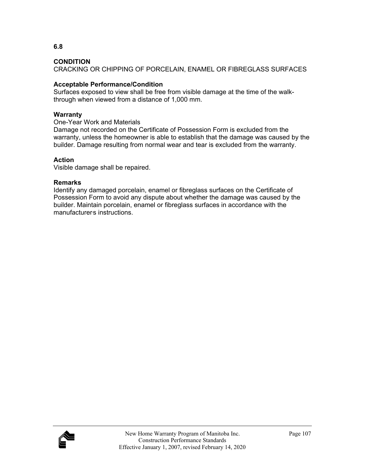CRACKING OR CHIPPING OF PORCELAIN, ENAMEL OR FIBREGLASS SURFACES

# **Acceptable Performance/Condition**

Surfaces exposed to view shall be free from visible damage at the time of the walkthrough when viewed from a distance of 1,000 mm.

# **Warranty**

One-Year Work and Materials

Damage not recorded on the Certificate of Possession Form is excluded from the warranty, unless the homeowner is able to establish that the damage was caused by the builder. Damage resulting from normal wear and tear is excluded from the warranty.

# **Action**

Visible damage shall be repaired.

## **Remarks**

Identify any damaged porcelain, enamel or fibreglass surfaces on the Certificate of Possession Form to avoid any dispute about whether the damage was caused by the builder. Maintain porcelain, enamel or fibreglass surfaces in accordance with the manufacturers instructions.

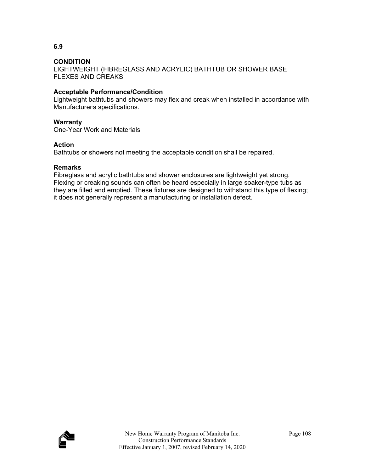LIGHTWEIGHT (FIBREGLASS AND ACRYLIC) BATHTUB OR SHOWER BASE FLEXES AND CREAKS

## **Acceptable Performance/Condition**

Lightweight bathtubs and showers may flex and creak when installed in accordance with Manufacturers specifications.

## **Warranty**

One-Year Work and Materials

## **Action**

Bathtubs or showers not meeting the acceptable condition shall be repaired.

## **Remarks**

Fibreglass and acrylic bathtubs and shower enclosures are lightweight yet strong. Flexing or creaking sounds can often be heard especially in large soaker-type tubs as they are filled and emptied. These fixtures are designed to withstand this type of flexing; it does not generally represent a manufacturing or installation defect.

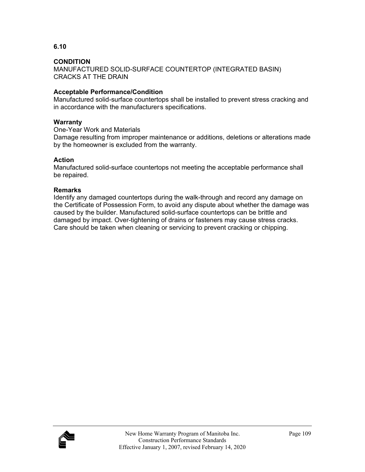MANUFACTURED SOLID-SURFACE COUNTERTOP (INTEGRATED BASIN) CRACKS AT THE DRAIN

## **Acceptable Performance/Condition**

Manufactured solid-surface countertops shall be installed to prevent stress cracking and in accordance with the manufacturers specifications.

## **Warranty**

One-Year Work and Materials

Damage resulting from improper maintenance or additions, deletions or alterations made by the homeowner is excluded from the warranty.

## **Action**

Manufactured solid-surface countertops not meeting the acceptable performance shall be repaired.

## **Remarks**

Identify any damaged countertops during the walk-through and record any damage on the Certificate of Possession Form, to avoid any dispute about whether the damage was caused by the builder. Manufactured solid-surface countertops can be brittle and damaged by impact. Over-tightening of drains or fasteners may cause stress cracks. Care should be taken when cleaning or servicing to prevent cracking or chipping.

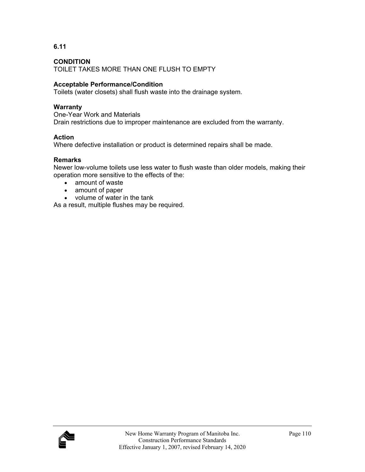**6.11** 

TOILET TAKES MORE THAN ONE FLUSH TO EMPTY

## **Acceptable Performance/Condition**

Toilets (water closets) shall flush waste into the drainage system.

#### **Warranty**

One-Year Work and Materials Drain restrictions due to improper maintenance are excluded from the warranty.

## **Action**

Where defective installation or product is determined repairs shall be made.

#### **Remarks**

Newer low-volume toilets use less water to flush waste than older models, making their operation more sensitive to the effects of the:

- amount of waste
- amount of paper
- volume of water in the tank

As a result, multiple flushes may be required.

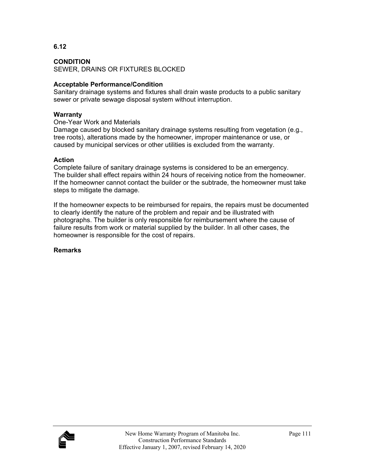# **6.12**

#### **CONDITION**

SEWER, DRAINS OR FIXTURES BLOCKED

#### **Acceptable Performance/Condition**

Sanitary drainage systems and fixtures shall drain waste products to a public sanitary sewer or private sewage disposal system without interruption.

#### **Warranty**

One-Year Work and Materials

Damage caused by blocked sanitary drainage systems resulting from vegetation (e.g., tree roots), alterations made by the homeowner, improper maintenance or use, or caused by municipal services or other utilities is excluded from the warranty.

#### **Action**

Complete failure of sanitary drainage systems is considered to be an emergency. The builder shall effect repairs within 24 hours of receiving notice from the homeowner. If the homeowner cannot contact the builder or the subtrade, the homeowner must take steps to mitigate the damage.

If the homeowner expects to be reimbursed for repairs, the repairs must be documented to clearly identify the nature of the problem and repair and be illustrated with photographs. The builder is only responsible for reimbursement where the cause of failure results from work or material supplied by the builder. In all other cases, the homeowner is responsible for the cost of repairs.

#### **Remarks**

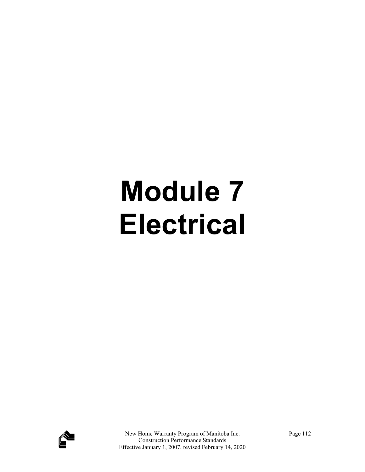# **Module 7 Electrical**

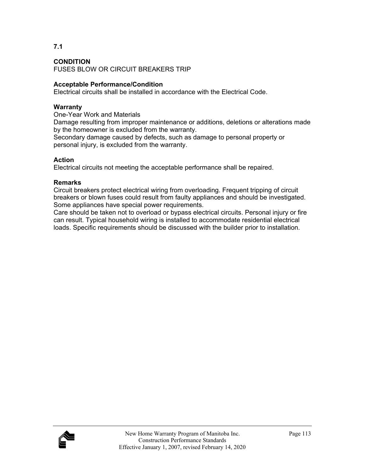**7.1** 

FUSES BLOW OR CIRCUIT BREAKERS TRIP

## **Acceptable Performance/Condition**

Electrical circuits shall be installed in accordance with the Electrical Code.

## **Warranty**

One-Year Work and Materials

Damage resulting from improper maintenance or additions, deletions or alterations made by the homeowner is excluded from the warranty.

Secondary damage caused by defects, such as damage to personal property or personal injury, is excluded from the warranty.

## **Action**

Electrical circuits not meeting the acceptable performance shall be repaired.

## **Remarks**

Circuit breakers protect electrical wiring from overloading. Frequent tripping of circuit breakers or blown fuses could result from faulty appliances and should be investigated. Some appliances have special power requirements.

Care should be taken not to overload or bypass electrical circuits. Personal injury or fire can result. Typical household wiring is installed to accommodate residential electrical loads. Specific requirements should be discussed with the builder prior to installation.

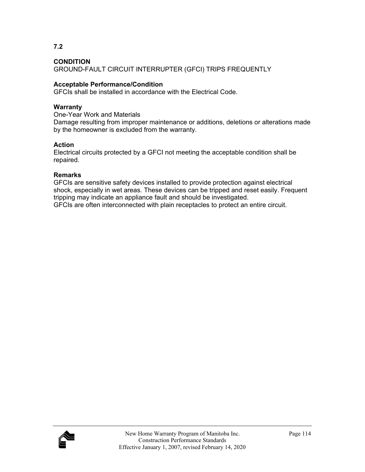**7.2** 

GROUND-FAULT CIRCUIT INTERRUPTER (GFCI) TRIPS FREQUENTLY

## **Acceptable Performance/Condition**

GFCIs shall be installed in accordance with the Electrical Code.

#### **Warranty**

One-Year Work and Materials

Damage resulting from improper maintenance or additions, deletions or alterations made by the homeowner is excluded from the warranty.

## **Action**

Electrical circuits protected by a GFCI not meeting the acceptable condition shall be repaired.

## **Remarks**

GFCIs are sensitive safety devices installed to provide protection against electrical shock, especially in wet areas. These devices can be tripped and reset easily. Frequent tripping may indicate an appliance fault and should be investigated.

GFCIs are often interconnected with plain receptacles to protect an entire circuit.

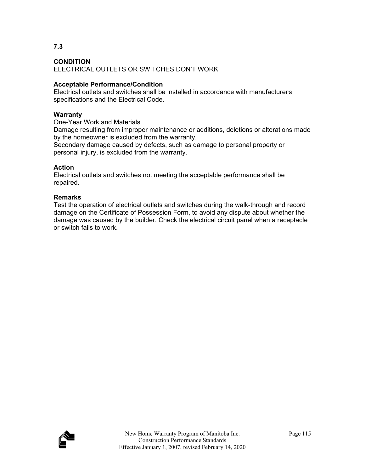**7.3** 

ELECTRICAL OUTLETS OR SWITCHES DON'T WORK

## **Acceptable Performance/Condition**

Electrical outlets and switches shall be installed in accordance with manufacturers specifications and the Electrical Code.

## **Warranty**

One-Year Work and Materials

Damage resulting from improper maintenance or additions, deletions or alterations made by the homeowner is excluded from the warranty.

Secondary damage caused by defects, such as damage to personal property or personal injury, is excluded from the warranty.

## **Action**

Electrical outlets and switches not meeting the acceptable performance shall be repaired.

## **Remarks**

Test the operation of electrical outlets and switches during the walk-through and record damage on the Certificate of Possession Form, to avoid any dispute about whether the damage was caused by the builder. Check the electrical circuit panel when a receptacle or switch fails to work.

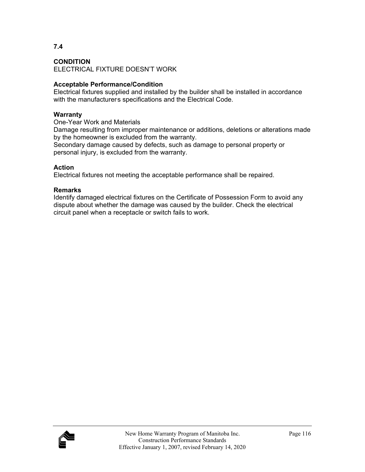## **7.4**

#### **CONDITION**

ELECTRICAL FIXTURE DOESN'T WORK

## **Acceptable Performance/Condition**

Electrical fixtures supplied and installed by the builder shall be installed in accordance with the manufacturers specifications and the Electrical Code.

## **Warranty**

One-Year Work and Materials

Damage resulting from improper maintenance or additions, deletions or alterations made by the homeowner is excluded from the warranty.

Secondary damage caused by defects, such as damage to personal property or personal injury, is excluded from the warranty.

## **Action**

Electrical fixtures not meeting the acceptable performance shall be repaired.

#### **Remarks**

Identify damaged electrical fixtures on the Certificate of Possession Form to avoid any dispute about whether the damage was caused by the builder. Check the electrical circuit panel when a receptacle or switch fails to work.

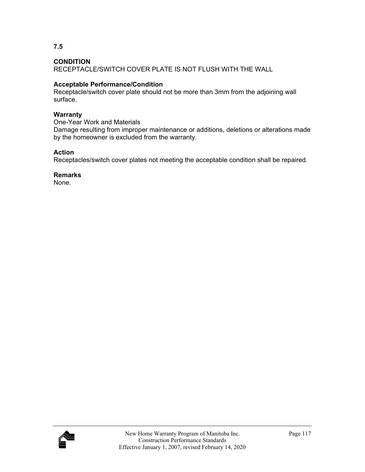**7.5** 

RECEPTACLE/SWITCH COVER PLATE IS NOT FLUSH WITH THE WALL

# **Acceptable Performance/Condition**

Receptacle/switch cover plate should not be more than 3mm from the adjoining wall surface.

# **Warranty**

One-Year Work and Materials

Damage resulting from improper maintenance or additions, deletions or alterations made by the homeowner is excluded from the warranty.

# **Action**

Receptacles/switch cover plates not meeting the acceptable condition shall be repaired.

# **Remarks**

None.

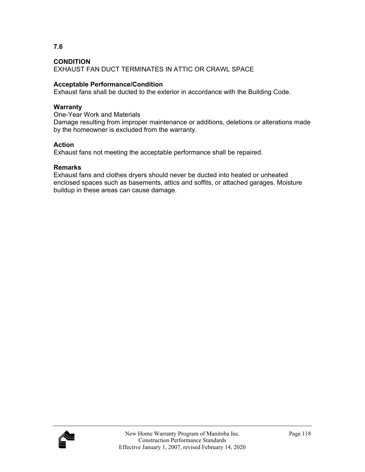EXHAUST FAN DUCT TERMINATES IN ATTIC OR CRAWL SPACE

## **Acceptable Performance/Condition**

Exhaust fans shall be ducted to the exterior in accordance with the Building Code.

#### **Warranty**

One-Year Work and Materials Damage resulting from improper maintenance or additions, deletions or alterations made by the homeowner is excluded from the warranty.

## **Action**

Exhaust fans not meeting the acceptable performance shall be repaired.

## **Remarks**

Exhaust fans and clothes dryers should never be ducted into heated or unheated enclosed spaces such as basements, attics and soffits, or attached garages. Moisture buildup in these areas can cause damage.



#### **7.6**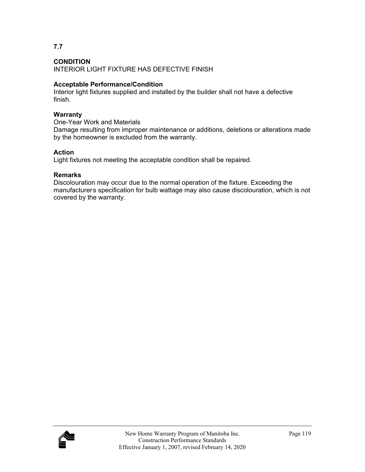**7.7** 

INTERIOR LIGHT FIXTURE HAS DEFECTIVE FINISH

# **Acceptable Performance/Condition**

Interior light fixtures supplied and installed by the builder shall not have a defective finish.

# **Warranty**

One-Year Work and Materials

Damage resulting from improper maintenance or additions, deletions or alterations made by the homeowner is excluded from the warranty.

# **Action**

Light fixtures not meeting the acceptable condition shall be repaired.

# **Remarks**

Discolouration may occur due to the normal operation of the fixture. Exceeding the manufacturers specification for bulb wattage may also cause discolouration, which is not covered by the warranty.

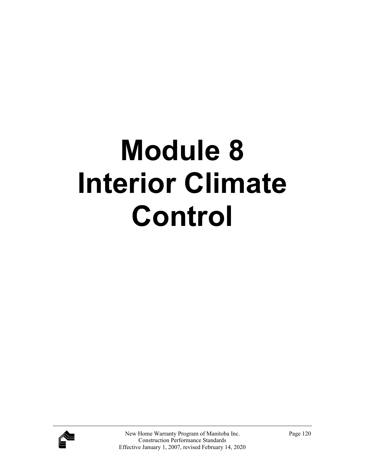# **Module 8 Interior Climate Control**

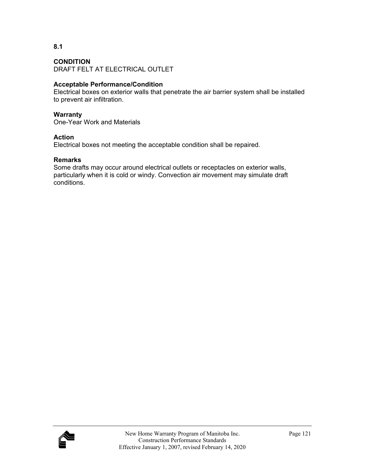**8.1** 

## **CONDITION**

DRAFT FELT AT ELECTRICAL OUTLET

## **Acceptable Performance/Condition**

Electrical boxes on exterior walls that penetrate the air barrier system shall be installed to prevent air infiltration.

#### **Warranty**

One-Year Work and Materials

#### **Action**

Electrical boxes not meeting the acceptable condition shall be repaired.

#### **Remarks**

Some drafts may occur around electrical outlets or receptacles on exterior walls, particularly when it is cold or windy. Convection air movement may simulate draft conditions.

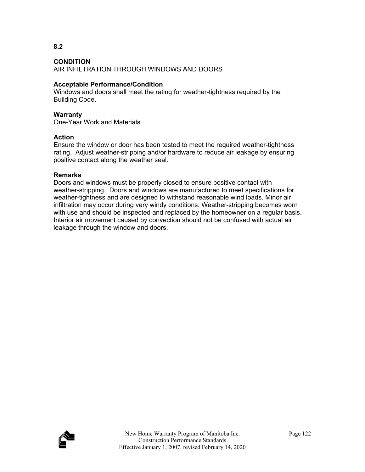**8.2** 

AIR INFILTRATION THROUGH WINDOWS AND DOORS

#### **Acceptable Performance/Condition**

Windows and doors shall meet the rating for weather-tightness required by the Building Code.

#### **Warranty**

One-Year Work and Materials

#### **Action**

Ensure the window or door has been tested to meet the required weather-tightness rating. Adjust weather-stripping and/or hardware to reduce air leakage by ensuring positive contact along the weather seal.

#### **Remarks**

Doors and windows must be properly closed to ensure positive contact with weather-stripping. Doors and windows are manufactured to meet specifications for weather-tightness and are designed to withstand reasonable wind loads. Minor air infiltration may occur during very windy conditions. Weather-stripping becomes worn with use and should be inspected and replaced by the homeowner on a regular basis. Interior air movement caused by convection should not be confused with actual air leakage through the window and doors.

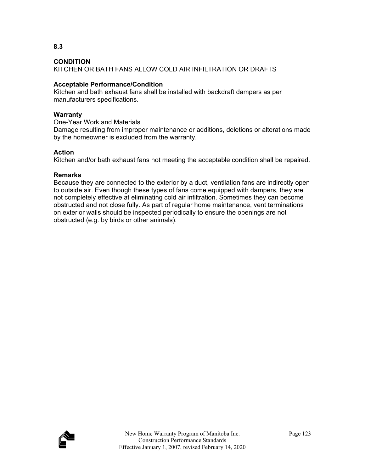**8.3** 

KITCHEN OR BATH FANS ALLOW COLD AIR INFILTRATION OR DRAFTS

# **Acceptable Performance/Condition**

Kitchen and bath exhaust fans shall be installed with backdraft dampers as per manufacturers specifications.

## **Warranty**

One-Year Work and Materials

Damage resulting from improper maintenance or additions, deletions or alterations made by the homeowner is excluded from the warranty.

## **Action**

Kitchen and/or bath exhaust fans not meeting the acceptable condition shall be repaired.

## **Remarks**

Because they are connected to the exterior by a duct, ventilation fans are indirectly open to outside air. Even though these types of fans come equipped with dampers, they are not completely effective at eliminating cold air infiltration. Sometimes they can become obstructed and not close fully. As part of regular home maintenance, vent terminations on exterior walls should be inspected periodically to ensure the openings are not obstructed (e.g. by birds or other animals).

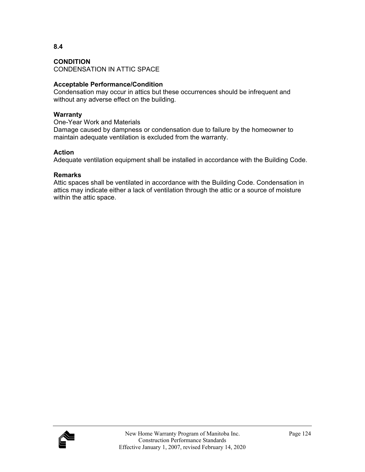CONDENSATION IN ATTIC SPACE

#### **Acceptable Performance/Condition**

Condensation may occur in attics but these occurrences should be infrequent and without any adverse effect on the building.

#### **Warranty**

One-Year Work and Materials

Damage caused by dampness or condensation due to failure by the homeowner to maintain adequate ventilation is excluded from the warranty.

#### **Action**

Adequate ventilation equipment shall be installed in accordance with the Building Code.

#### **Remarks**

Attic spaces shall be ventilated in accordance with the Building Code. Condensation in attics may indicate either a lack of ventilation through the attic or a source of moisture within the attic space.

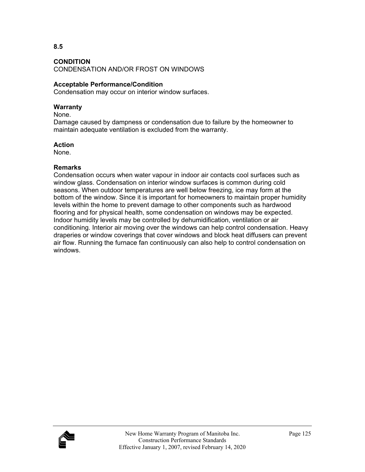**8.5** 

CONDENSATION AND/OR FROST ON WINDOWS

## **Acceptable Performance/Condition**

Condensation may occur on interior window surfaces.

#### **Warranty**

None.

Damage caused by dampness or condensation due to failure by the homeowner to maintain adequate ventilation is excluded from the warranty.

## **Action**

None.

## **Remarks**

Condensation occurs when water vapour in indoor air contacts cool surfaces such as window glass. Condensation on interior window surfaces is common during cold seasons. When outdoor temperatures are well below freezing, ice may form at the bottom of the window. Since it is important for homeowners to maintain proper humidity levels within the home to prevent damage to other components such as hardwood flooring and for physical health, some condensation on windows may be expected. Indoor humidity levels may be controlled by dehumidification, ventilation or air conditioning. Interior air moving over the windows can help control condensation. Heavy draperies or window coverings that cover windows and block heat diffusers can prevent air flow. Running the furnace fan continuously can also help to control condensation on windows.

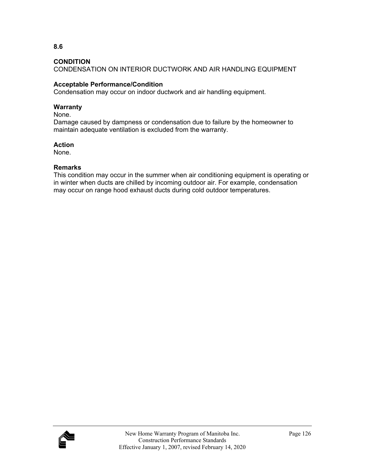CONDENSATION ON INTERIOR DUCTWORK AND AIR HANDLING EQUIPMENT

# **Acceptable Performance/Condition**

Condensation may occur on indoor ductwork and air handling equipment.

# **Warranty**

None.

Damage caused by dampness or condensation due to failure by the homeowner to maintain adequate ventilation is excluded from the warranty.

# **Action**

None.

# **Remarks**

This condition may occur in the summer when air conditioning equipment is operating or in winter when ducts are chilled by incoming outdoor air. For example, condensation may occur on range hood exhaust ducts during cold outdoor temperatures.



**8.6**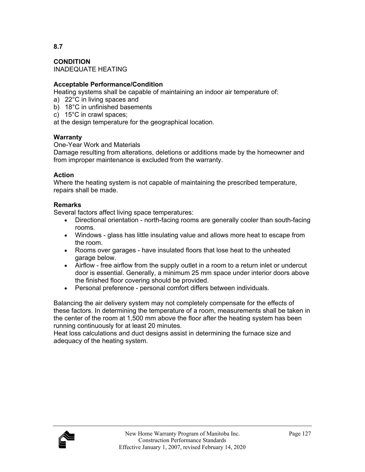# **8.7**

**CONDITION**  INADEQUATE HEATING

## **Acceptable Performance/Condition**

Heating systems shall be capable of maintaining an indoor air temperature of:

- a) 22°C in living spaces and
- b) 18°C in unfinished basements
- c) 15°C in crawl spaces;

at the design temperature for the geographical location.

## **Warranty**

One-Year Work and Materials

Damage resulting from alterations, deletions or additions made by the homeowner and from improper maintenance is excluded from the warranty.

## **Action**

Where the heating system is not capable of maintaining the prescribed temperature, repairs shall be made.

## **Remarks**

Several factors affect living space temperatures:

- Directional orientation north-facing rooms are generally cooler than south-facing rooms.
- Windows glass has little insulating value and allows more heat to escape from the room.
- Rooms over garages have insulated floors that lose heat to the unheated garage below.
- Airflow free airflow from the supply outlet in a room to a return inlet or undercut door is essential. Generally, a minimum 25 mm space under interior doors above the finished floor covering should be provided.
- Personal preference personal comfort differs between individuals.

Balancing the air delivery system may not completely compensate for the effects of these factors. In determining the temperature of a room, measurements shall be taken in the center of the room at 1,500 mm above the floor after the heating system has been running continuously for at least 20 minutes.

Heat loss calculations and duct designs assist in determining the furnace size and adequacy of the heating system.

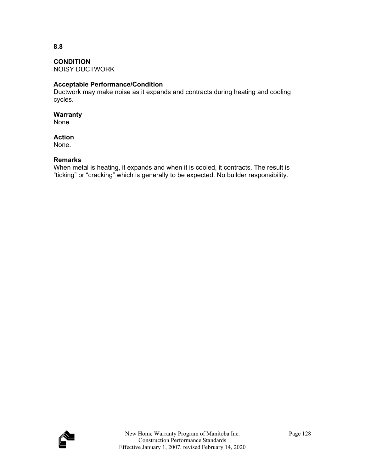**8.8** 

## **CONDITION**

NOISY DUCTWORK

## **Acceptable Performance/Condition**

Ductwork may make noise as it expands and contracts during heating and cooling cycles.

#### **Warranty**

None.

#### **Action**

None.

#### **Remarks**

When metal is heating, it expands and when it is cooled, it contracts. The result is "ticking" or "cracking" which is generally to be expected. No builder responsibility.

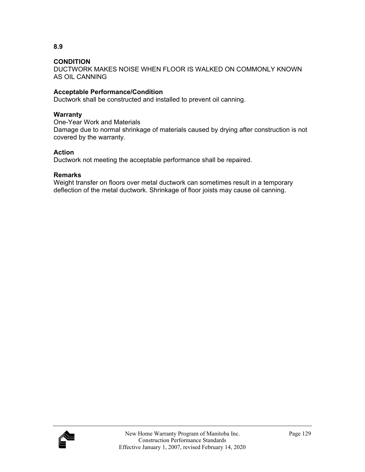DUCTWORK MAKES NOISE WHEN FLOOR IS WALKED ON COMMONLY KNOWN AS OIL CANNING

# **Acceptable Performance/Condition**

Ductwork shall be constructed and installed to prevent oil canning.

## **Warranty**

One-Year Work and Materials Damage due to normal shrinkage of materials caused by drying after construction is not covered by the warranty.

## **Action**

Ductwork not meeting the acceptable performance shall be repaired.

## **Remarks**

Weight transfer on floors over metal ductwork can sometimes result in a temporary deflection of the metal ductwork. Shrinkage of floor joists may cause oil canning.

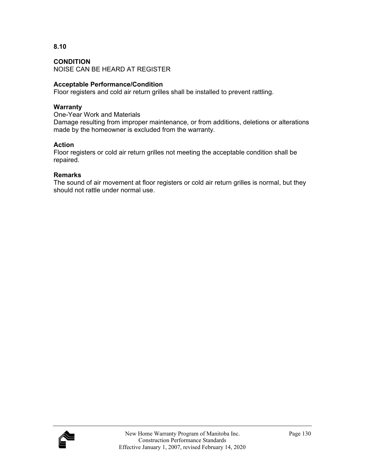**8.10** 

NOISE CAN BE HEARD AT REGISTER

# **Acceptable Performance/Condition**

Floor registers and cold air return grilles shall be installed to prevent rattling.

# **Warranty**

One-Year Work and Materials

Damage resulting from improper maintenance, or from additions, deletions or alterations made by the homeowner is excluded from the warranty.

# **Action**

Floor registers or cold air return grilles not meeting the acceptable condition shall be repaired.

# **Remarks**

The sound of air movement at floor registers or cold air return grilles is normal, but they should not rattle under normal use.

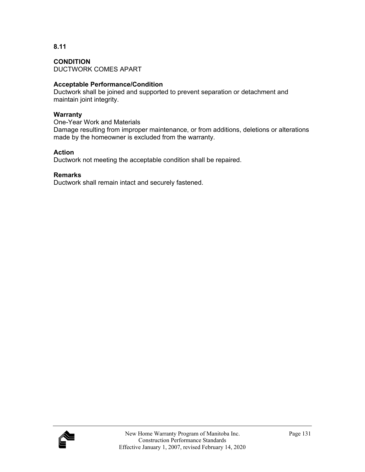# **8.11**

**CONDITION**  DUCTWORK COMES APART

# **Acceptable Performance/Condition**

Ductwork shall be joined and supported to prevent separation or detachment and maintain joint integrity.

# **Warranty**

One-Year Work and Materials

Damage resulting from improper maintenance, or from additions, deletions or alterations made by the homeowner is excluded from the warranty.

# **Action**

Ductwork not meeting the acceptable condition shall be repaired.

# **Remarks**

Ductwork shall remain intact and securely fastened.

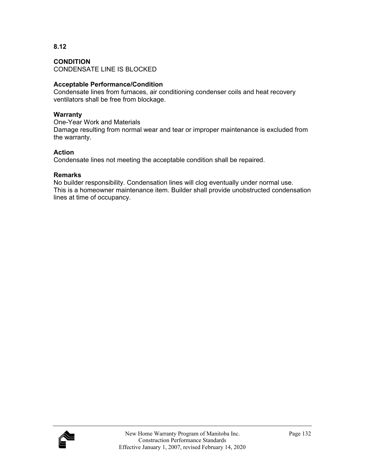## **8.12**

**CONDITION**  CONDENSATE LINE IS BLOCKED

## **Acceptable Performance/Condition**

Condensate lines from furnaces, air conditioning condenser coils and heat recovery ventilators shall be free from blockage.

#### **Warranty**

One-Year Work and Materials Damage resulting from normal wear and tear or improper maintenance is excluded from the warranty.

## **Action**

Condensate lines not meeting the acceptable condition shall be repaired.

## **Remarks**

No builder responsibility. Condensation lines will clog eventually under normal use. This is a homeowner maintenance item. Builder shall provide unobstructed condensation lines at time of occupancy.

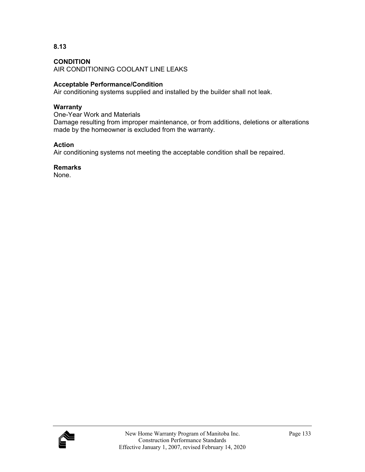**8.13** 

AIR CONDITIONING COOLANT LINE LEAKS

## **Acceptable Performance/Condition**

Air conditioning systems supplied and installed by the builder shall not leak.

## **Warranty**

One-Year Work and Materials Damage resulting from improper maintenance, or from additions, deletions or alterations made by the homeowner is excluded from the warranty.

## **Action**

Air conditioning systems not meeting the acceptable condition shall be repaired.

**Remarks** 

None.

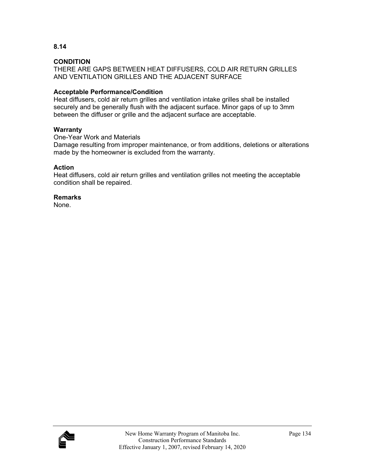**8.14** 

THERE ARE GAPS BETWEEN HEAT DIFFUSERS, COLD AIR RETURN GRILLES AND VENTILATION GRILLES AND THE ADJACENT SURFACE

## **Acceptable Performance/Condition**

Heat diffusers, cold air return grilles and ventilation intake grilles shall be installed securely and be generally flush with the adjacent surface. Minor gaps of up to 3mm between the diffuser or grille and the adjacent surface are acceptable.

## **Warranty**

One-Year Work and Materials

Damage resulting from improper maintenance, or from additions, deletions or alterations made by the homeowner is excluded from the warranty.

## **Action**

Heat diffusers, cold air return grilles and ventilation grilles not meeting the acceptable condition shall be repaired.

#### **Remarks**

None.

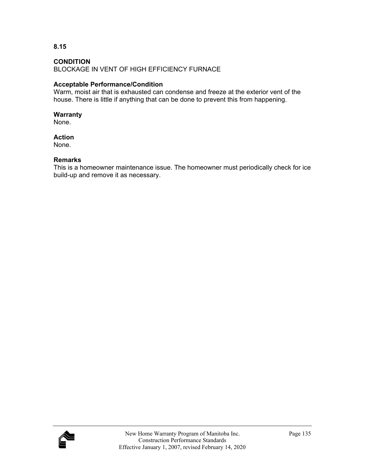**8.15** 

BLOCKAGE IN VENT OF HIGH EFFICIENCY FURNACE

# **Acceptable Performance/Condition**

Warm, moist air that is exhausted can condense and freeze at the exterior vent of the house. There is little if anything that can be done to prevent this from happening.

## **Warranty**

None.

## **Action**

None.

## **Remarks**

This is a homeowner maintenance issue. The homeowner must periodically check for ice build-up and remove it as necessary.

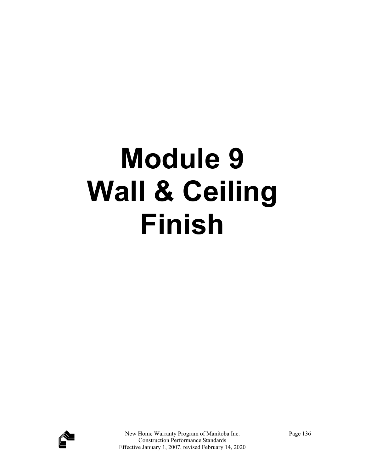# **Module 9 Wall & Ceiling Finish**

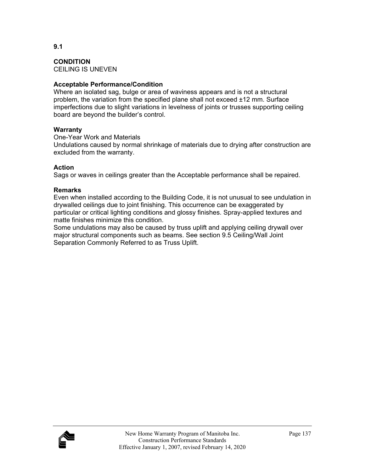**CONDITION**  CEILING IS UNEVEN

**Acceptable Performance/Condition** 

Where an isolated sag, bulge or area of waviness appears and is not a structural problem, the variation from the specified plane shall not exceed ±12 mm. Surface imperfections due to slight variations in levelness of joints or trusses supporting ceiling board are beyond the builder's control.

## **Warranty**

One-Year Work and Materials

Undulations caused by normal shrinkage of materials due to drying after construction are excluded from the warranty.

## **Action**

Sags or waves in ceilings greater than the Acceptable performance shall be repaired.

## **Remarks**

Even when installed according to the Building Code, it is not unusual to see undulation in drywalled ceilings due to joint finishing. This occurrence can be exaggerated by particular or critical lighting conditions and glossy finishes. Spray-applied textures and matte finishes minimize this condition.

Some undulations may also be caused by truss uplift and applying ceiling drywall over major structural components such as beams. See section 9.5 Ceiling/Wall Joint Separation Commonly Referred to as Truss Uplift.

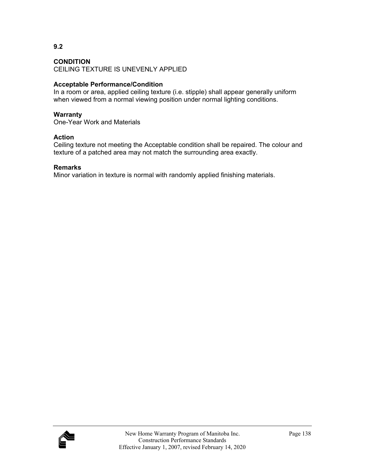#### **CONDITION**

CEILING TEXTURE IS UNEVENLY APPLIED

#### **Acceptable Performance/Condition**

In a room or area, applied ceiling texture (i.e. stipple) shall appear generally uniform when viewed from a normal viewing position under normal lighting conditions.

#### **Warranty**

One-Year Work and Materials

#### **Action**

Ceiling texture not meeting the Acceptable condition shall be repaired. The colour and texture of a patched area may not match the surrounding area exactly.

#### **Remarks**

Minor variation in texture is normal with randomly applied finishing materials.

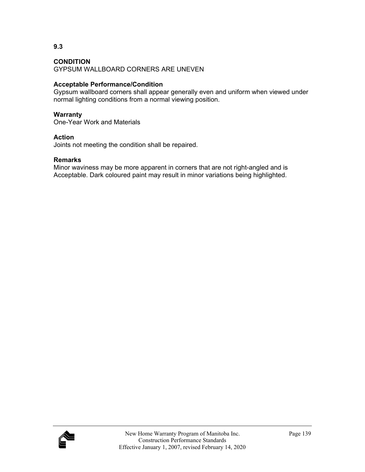GYPSUM WALLBOARD CORNERS ARE UNEVEN

## **Acceptable Performance/Condition**

Gypsum wallboard corners shall appear generally even and uniform when viewed under normal lighting conditions from a normal viewing position.

#### **Warranty**

One-Year Work and Materials

#### **Action**

Joints not meeting the condition shall be repaired.

#### **Remarks**

Minor waviness may be more apparent in corners that are not right-angled and is Acceptable. Dark coloured paint may result in minor variations being highlighted.



**9.3**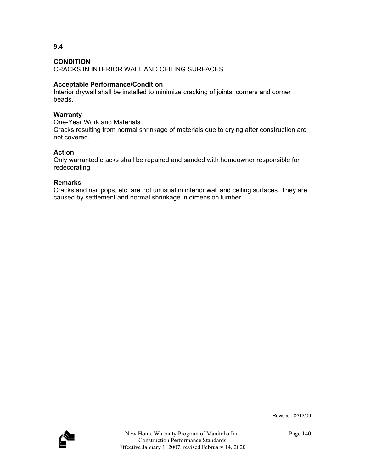**9.4** 

CRACKS IN INTERIOR WALL AND CEILING SURFACES

#### **Acceptable Performance/Condition**

Interior drywall shall be installed to minimize cracking of joints, corners and corner beads.

#### **Warranty**

One-Year Work and Materials

Cracks resulting from normal shrinkage of materials due to drying after construction are not covered.

#### **Action**

Only warranted cracks shall be repaired and sanded with homeowner responsible for redecorating.

#### **Remarks**

Cracks and nail pops, etc. are not unusual in interior wall and ceiling surfaces. They are caused by settlement and normal shrinkage in dimension lumber.

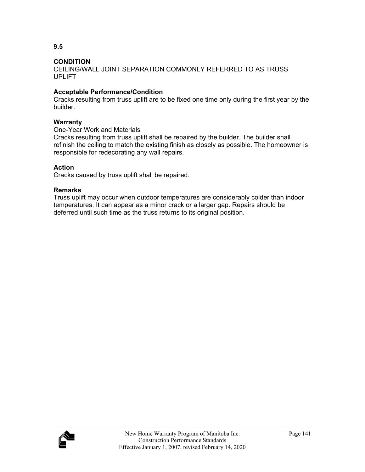CEILING/WALL JOINT SEPARATION COMMONLY REFERRED TO AS TRUSS UPLIFT

## **Acceptable Performance/Condition**

Cracks resulting from truss uplift are to be fixed one time only during the first year by the builder.

## **Warranty**

One-Year Work and Materials

Cracks resulting from truss uplift shall be repaired by the builder. The builder shall refinish the ceiling to match the existing finish as closely as possible. The homeowner is responsible for redecorating any wall repairs.

## **Action**

Cracks caused by truss uplift shall be repaired.

## **Remarks**

Truss uplift may occur when outdoor temperatures are considerably colder than indoor temperatures. It can appear as a minor crack or a larger gap. Repairs should be deferred until such time as the truss returns to its original position.



**9.5**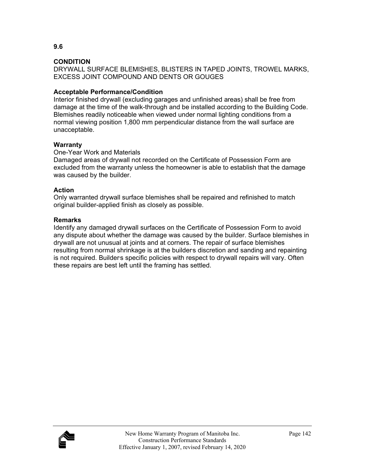DRYWALL SURFACE BLEMISHES, BLISTERS IN TAPED JOINTS, TROWEL MARKS, EXCESS JOINT COMPOUND AND DENTS OR GOUGES

## **Acceptable Performance/Condition**

Interior finished drywall (excluding garages and unfinished areas) shall be free from damage at the time of the walk-through and be installed according to the Building Code. Blemishes readily noticeable when viewed under normal lighting conditions from a normal viewing position 1,800 mm perpendicular distance from the wall surface are unacceptable.

## **Warranty**

#### One-Year Work and Materials

Damaged areas of drywall not recorded on the Certificate of Possession Form are excluded from the warranty unless the homeowner is able to establish that the damage was caused by the builder.

#### **Action**

Only warranted drywall surface blemishes shall be repaired and refinished to match original builder-applied finish as closely as possible.

#### **Remarks**

Identify any damaged drywall surfaces on the Certificate of Possession Form to avoid any dispute about whether the damage was caused by the builder. Surface blemishes in drywall are not unusual at joints and at corners. The repair of surface blemishes resulting from normal shrinkage is at the builders discretion and sanding and repainting is not required. Builders specific policies with respect to drywall repairs will vary. Often these repairs are best left until the framing has settled.

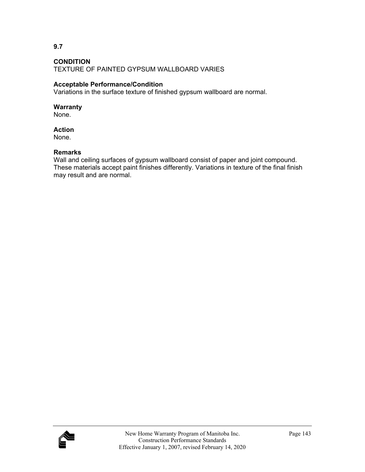**9.7** 

TEXTURE OF PAINTED GYPSUM WALLBOARD VARIES

## **Acceptable Performance/Condition**

Variations in the surface texture of finished gypsum wallboard are normal.

## **Warranty**

None.

## **Action**

None.

## **Remarks**

Wall and ceiling surfaces of gypsum wallboard consist of paper and joint compound. These materials accept paint finishes differently. Variations in texture of the final finish may result and are normal.

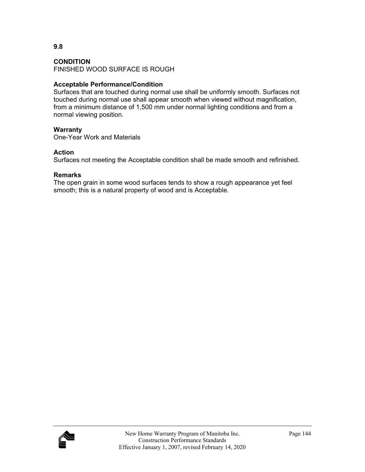FINISHED WOOD SURFACE IS ROUGH

## **Acceptable Performance/Condition**

Surfaces that are touched during normal use shall be uniformly smooth. Surfaces not touched during normal use shall appear smooth when viewed without magnification, from a minimum distance of 1,500 mm under normal lighting conditions and from a normal viewing position.

#### **Warranty**

One-Year Work and Materials

## **Action**

Surfaces not meeting the Acceptable condition shall be made smooth and refinished.

## **Remarks**

The open grain in some wood surfaces tends to show a rough appearance yet feel smooth; this is a natural property of wood and is Acceptable.

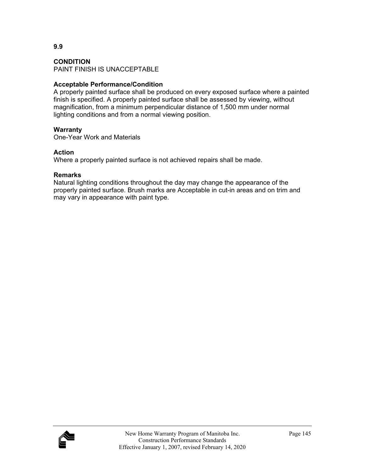#### **CONDITION**

PAINT FINISH IS UNACCEPTABLE

#### **Acceptable Performance/Condition**

A properly painted surface shall be produced on every exposed surface where a painted finish is specified. A properly painted surface shall be assessed by viewing, without magnification, from a minimum perpendicular distance of 1,500 mm under normal lighting conditions and from a normal viewing position.

#### **Warranty**

One-Year Work and Materials

#### **Action**

Where a properly painted surface is not achieved repairs shall be made.

#### **Remarks**

Natural lighting conditions throughout the day may change the appearance of the properly painted surface. Brush marks are Acceptable in cut-in areas and on trim and may vary in appearance with paint type.

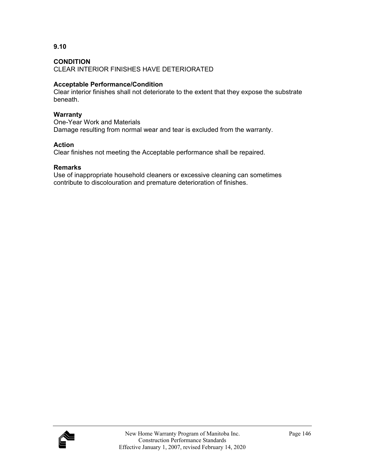**9.10** 

CLEAR INTERIOR FINISHES HAVE DETERIORATED

## **Acceptable Performance/Condition**

Clear interior finishes shall not deteriorate to the extent that they expose the substrate beneath.

## **Warranty**

One-Year Work and Materials Damage resulting from normal wear and tear is excluded from the warranty.

## **Action**

Clear finishes not meeting the Acceptable performance shall be repaired.

## **Remarks**

Use of inappropriate household cleaners or excessive cleaning can sometimes contribute to discolouration and premature deterioration of finishes.

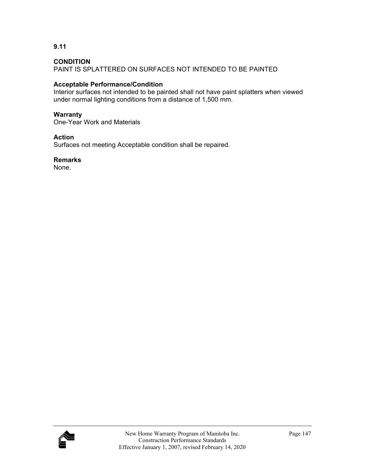**9.11** 

PAINT IS SPLATTERED ON SURFACES NOT INTENDED TO BE PAINTED

## **Acceptable Performance/Condition**

Interior surfaces not intended to be painted shall not have paint splatters when viewed under normal lighting conditions from a distance of 1,500 mm.

## **Warranty**

One-Year Work and Materials

## **Action**

Surfaces not meeting Acceptable condition shall be repaired.

## **Remarks**

None.

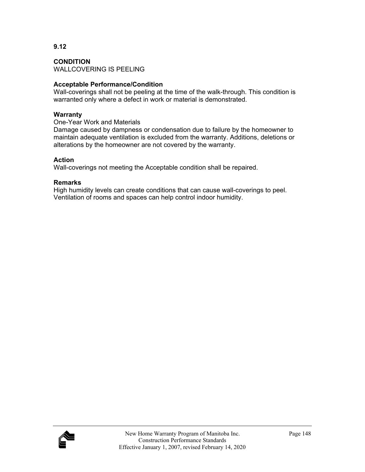**CONDITION**  WALLCOVERING IS PEELING

## **Acceptable Performance/Condition**

Wall-coverings shall not be peeling at the time of the walk-through. This condition is warranted only where a defect in work or material is demonstrated.

## **Warranty**

One-Year Work and Materials

Damage caused by dampness or condensation due to failure by the homeowner to maintain adequate ventilation is excluded from the warranty. Additions, deletions or alterations by the homeowner are not covered by the warranty.

#### **Action**

Wall-coverings not meeting the Acceptable condition shall be repaired.

#### **Remarks**

High humidity levels can create conditions that can cause wall-coverings to peel. Ventilation of rooms and spaces can help control indoor humidity.

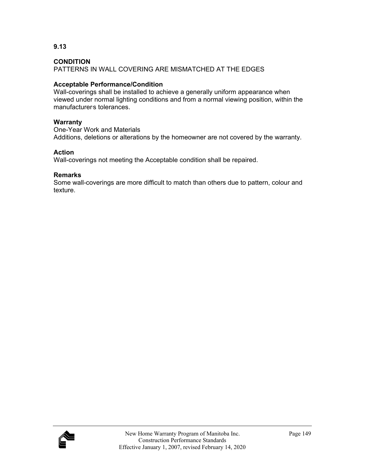**9.13** 

PATTERNS IN WALL COVERING ARE MISMATCHED AT THE EDGES

## **Acceptable Performance/Condition**

Wall-coverings shall be installed to achieve a generally uniform appearance when viewed under normal lighting conditions and from a normal viewing position, within the manufacturers tolerances.

## **Warranty**

One-Year Work and Materials Additions, deletions or alterations by the homeowner are not covered by the warranty.

## **Action**

Wall-coverings not meeting the Acceptable condition shall be repaired.

## **Remarks**

Some wall-coverings are more difficult to match than others due to pattern, colour and texture.

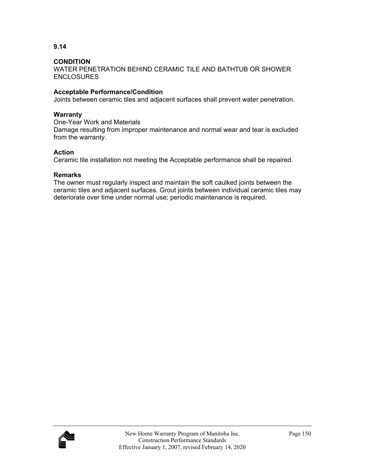**9.14** 

WATER PENETRATION BEHIND CERAMIC TILE AND BATHTUB OR SHOWER ENCLOSURES

## **Acceptable Performance/Condition**

Joints between ceramic tiles and adjacent surfaces shall prevent water penetration.

#### **Warranty**

One-Year Work and Materials Damage resulting from improper maintenance and normal wear and tear is excluded from the warranty.

## **Action**

Ceramic tile installation not meeting the Acceptable performance shall be repaired.

## **Remarks**

The owner must regularly inspect and maintain the soft caulked joints between the ceramic tiles and adjacent surfaces. Grout joints between individual ceramic tiles may deteriorate over time under normal use; periodic maintenance is required.

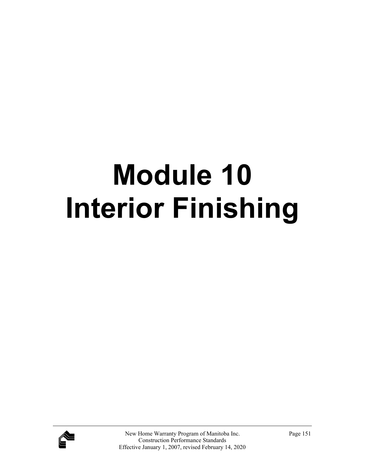# **Module 10 Interior Finishing**

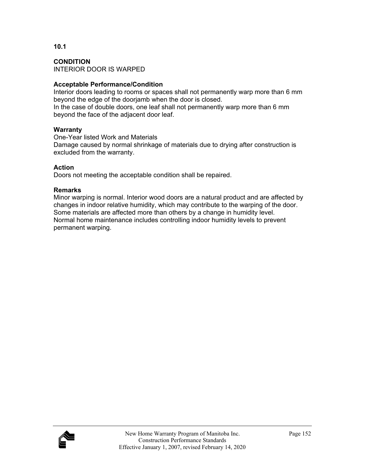**CONDITION**  INTERIOR DOOR IS WARPED

## **Acceptable Performance/Condition**

Interior doors leading to rooms or spaces shall not permanently warp more than 6 mm beyond the edge of the doorjamb when the door is closed.

In the case of double doors, one leaf shall not permanently warp more than 6 mm beyond the face of the adjacent door leaf.

## **Warranty**

One-Year listed Work and Materials Damage caused by normal shrinkage of materials due to drying after construction is excluded from the warranty.

## **Action**

Doors not meeting the acceptable condition shall be repaired.

## **Remarks**

Minor warping is normal. Interior wood doors are a natural product and are affected by changes in indoor relative humidity, which may contribute to the warping of the door. Some materials are affected more than others by a change in humidity level. Normal home maintenance includes controlling indoor humidity levels to prevent permanent warping.

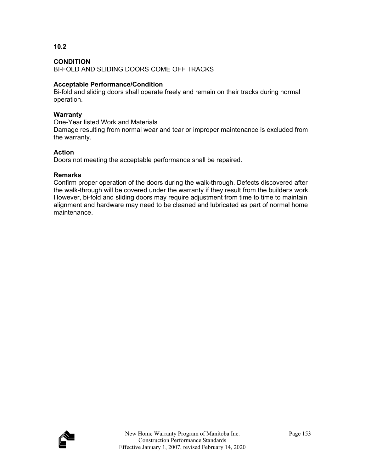## **CONDITION**

BI-FOLD AND SLIDING DOORS COME OFF TRACKS

## **Acceptable Performance/Condition**

Bi-fold and sliding doors shall operate freely and remain on their tracks during normal operation.

#### **Warranty**

One-Year listed Work and Materials

Damage resulting from normal wear and tear or improper maintenance is excluded from the warranty.

## **Action**

Doors not meeting the acceptable performance shall be repaired.

## **Remarks**

Confirm proper operation of the doors during the walk-through. Defects discovered after the walk-through will be covered under the warranty if they result from the builder's work. However, bi-fold and sliding doors may require adjustment from time to time to maintain alignment and hardware may need to be cleaned and lubricated as part of normal home maintenance.

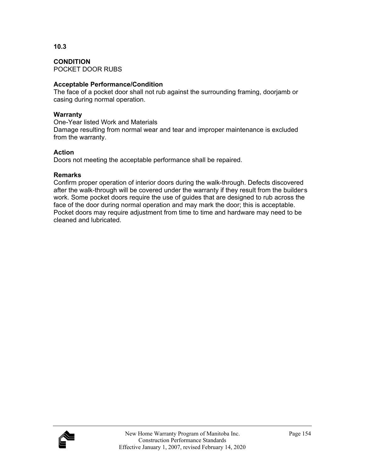**CONDITION**  POCKET DOOR RUBS

## **Acceptable Performance/Condition**

The face of a pocket door shall not rub against the surrounding framing, doorjamb or casing during normal operation.

## **Warranty**

**10.3** 

One-Year listed Work and Materials

Damage resulting from normal wear and tear and improper maintenance is excluded from the warranty.

## **Action**

Doors not meeting the acceptable performance shall be repaired.

## **Remarks**

Confirm proper operation of interior doors during the walk-through. Defects discovered after the walk-through will be covered under the warranty if they result from the builders work. Some pocket doors require the use of guides that are designed to rub across the face of the door during normal operation and may mark the door; this is acceptable. Pocket doors may require adjustment from time to time and hardware may need to be cleaned and lubricated.

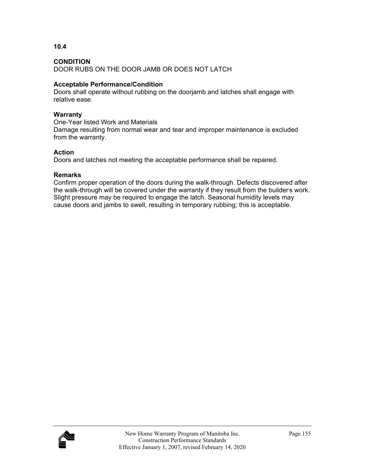DOOR RUBS ON THE DOOR JAMB OR DOES NOT LATCH

## **Acceptable Performance/Condition**

Doors shall operate without rubbing on the doorjamb and latches shall engage with relative ease.

## **Warranty**

One-Year listed Work and Materials

Damage resulting from normal wear and tear and improper maintenance is excluded from the warranty.

## **Action**

Doors and latches not meeting the acceptable performance shall be repaired.

## **Remarks**

Confirm proper operation of the doors during the walk-through. Defects discovered after the walk-through will be covered under the warranty if they result from the builder's work. Slight pressure may be required to engage the latch. Seasonal humidity levels may cause doors and jambs to swell, resulting in temporary rubbing; this is acceptable.



**10.4**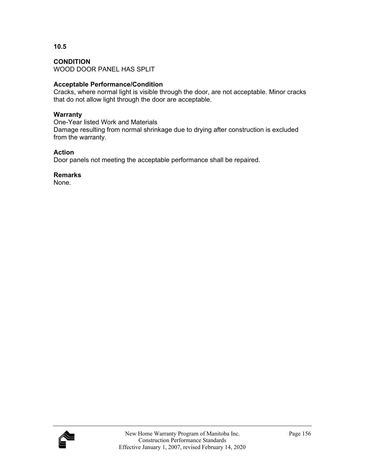**CONDITION**  WOOD DOOR PANEL HAS SPLIT

## **Acceptable Performance/Condition**

Cracks, where normal light is visible through the door, are not acceptable. Minor cracks that do not allow light through the door are acceptable.

## **Warranty**

One-Year listed Work and Materials Damage resulting from normal shrinkage due to drying after construction is excluded from the warranty.

## **Action**

Door panels not meeting the acceptable performance shall be repaired.

## **Remarks**

None.

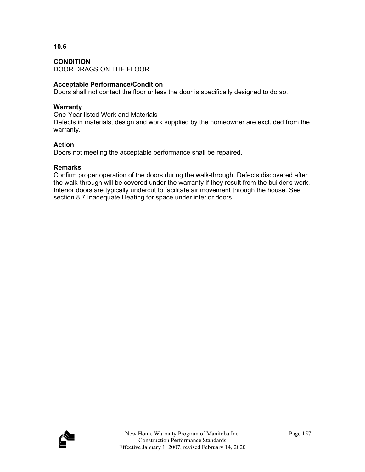## **CONDITION**  DOOR DRAGS ON THE FLOOR

## **Acceptable Performance/Condition**

Doors shall not contact the floor unless the door is specifically designed to do so.

## **Warranty**

One-Year listed Work and Materials Defects in materials, design and work supplied by the homeowner are excluded from the warranty.

## **Action**

Doors not meeting the acceptable performance shall be repaired.

## **Remarks**

Confirm proper operation of the doors during the walk-through. Defects discovered after the walk-through will be covered under the warranty if they result from the builders work. Interior doors are typically undercut to facilitate air movement through the house. See section 8.7 Inadequate Heating for space under interior doors.



**10.6**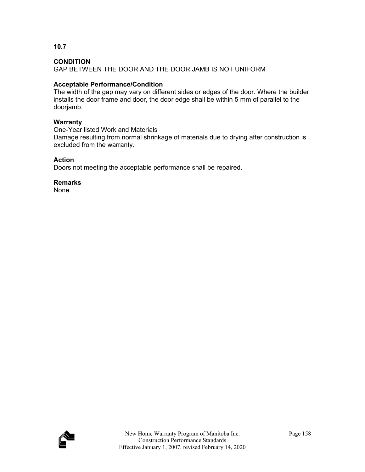**10.7** 

GAP BETWEEN THE DOOR AND THE DOOR JAMB IS NOT UNIFORM

## **Acceptable Performance/Condition**

The width of the gap may vary on different sides or edges of the door. Where the builder installs the door frame and door, the door edge shall be within 5 mm of parallel to the doorjamb.

## **Warranty**

One-Year listed Work and Materials Damage resulting from normal shrinkage of materials due to drying after construction is excluded from the warranty.

## **Action**

Doors not meeting the acceptable performance shall be repaired.

## **Remarks**

None.

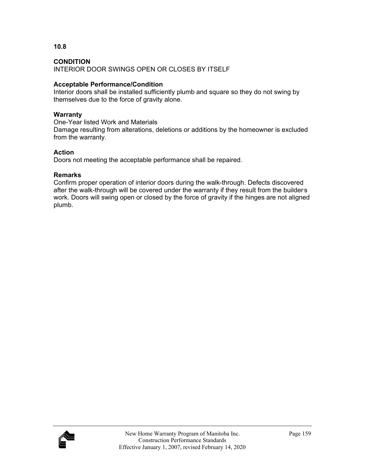INTERIOR DOOR SWINGS OPEN OR CLOSES BY ITSELF

## **Acceptable Performance/Condition**

Interior doors shall be installed sufficiently plumb and square so they do not swing by themselves due to the force of gravity alone.

## **Warranty**

One-Year listed Work and Materials

Damage resulting from alterations, deletions or additions by the homeowner is excluded from the warranty.

## **Action**

Doors not meeting the acceptable performance shall be repaired.

## **Remarks**

Confirm proper operation of interior doors during the walk-through. Defects discovered after the walk-through will be covered under the warranty if they result from the builders work. Doors will swing open or closed by the force of gravity if the hinges are not aligned plumb.



**10.8**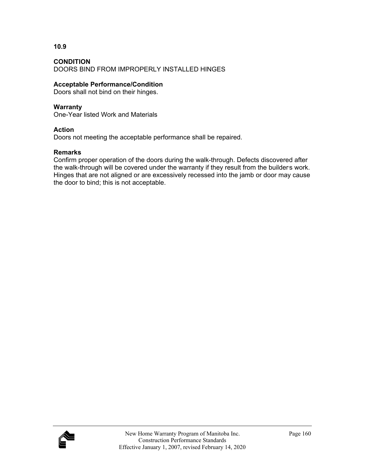**10.9** 

DOORS BIND FROM IMPROPERLY INSTALLED HINGES

## **Acceptable Performance/Condition**

Doors shall not bind on their hinges.

## **Warranty**

One-Year listed Work and Materials

## **Action**

Doors not meeting the acceptable performance shall be repaired.

## **Remarks**

Confirm proper operation of the doors during the walk-through. Defects discovered after the walk-through will be covered under the warranty if they result from the builder's work. Hinges that are not aligned or are excessively recessed into the jamb or door may cause the door to bind; this is not acceptable.

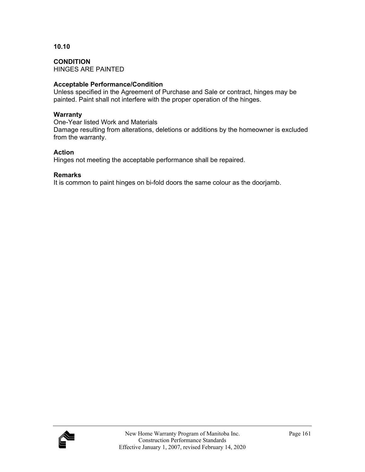**CONDITION**  HINGES ARE PAINTED

## **Acceptable Performance/Condition**

Unless specified in the Agreement of Purchase and Sale or contract, hinges may be painted. Paint shall not interfere with the proper operation of the hinges.

#### **Warranty**

One-Year listed Work and Materials

Damage resulting from alterations, deletions or additions by the homeowner is excluded from the warranty.

## **Action**

Hinges not meeting the acceptable performance shall be repaired.

## **Remarks**

It is common to paint hinges on bi-fold doors the same colour as the doorjamb.

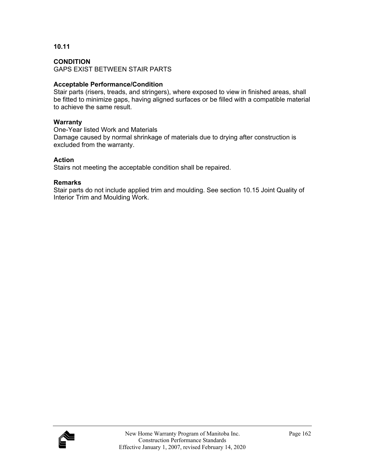#### **CONDITION**

GAPS EXIST BETWEEN STAIR PARTS

## **Acceptable Performance/Condition**

Stair parts (risers, treads, and stringers), where exposed to view in finished areas, shall be fitted to minimize gaps, having aligned surfaces or be filled with a compatible material to achieve the same result.

#### **Warranty**

One-Year listed Work and Materials Damage caused by normal shrinkage of materials due to drying after construction is excluded from the warranty.

## **Action**

Stairs not meeting the acceptable condition shall be repaired.

## **Remarks**

Stair parts do not include applied trim and moulding. See section 10.15 Joint Quality of Interior Trim and Moulding Work.

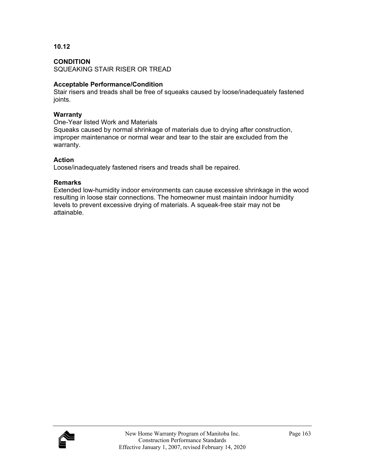## **CONDITION**

SQUEAKING STAIR RISER OR TREAD

## **Acceptable Performance/Condition**

Stair risers and treads shall be free of squeaks caused by loose/inadequately fastened joints.

#### **Warranty**

One-Year listed Work and Materials

Squeaks caused by normal shrinkage of materials due to drying after construction, improper maintenance or normal wear and tear to the stair are excluded from the warranty.

## **Action**

Loose/inadequately fastened risers and treads shall be repaired.

## **Remarks**

Extended low-humidity indoor environments can cause excessive shrinkage in the wood resulting in loose stair connections. The homeowner must maintain indoor humidity levels to prevent excessive drying of materials. A squeak-free stair may not be attainable.

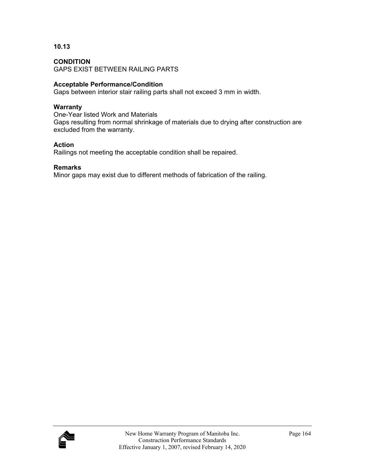#### **CONDITION**

GAPS EXIST BETWEEN RAILING PARTS

#### **Acceptable Performance/Condition**

Gaps between interior stair railing parts shall not exceed 3 mm in width.

#### **Warranty**

One-Year listed Work and Materials Gaps resulting from normal shrinkage of materials due to drying after construction are excluded from the warranty.

#### **Action**

Railings not meeting the acceptable condition shall be repaired.

#### **Remarks**

Minor gaps may exist due to different methods of fabrication of the railing.

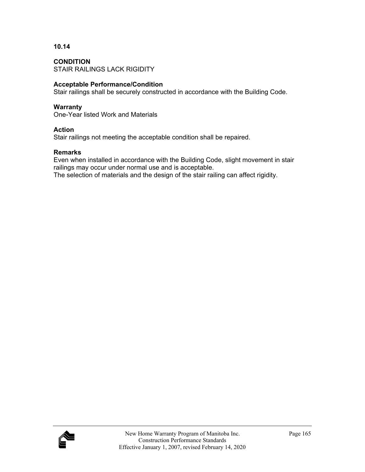**CONDITION**  STAIR RAILINGS LACK RIGIDITY

## **Acceptable Performance/Condition**

Stair railings shall be securely constructed in accordance with the Building Code.

#### **Warranty**

One-Year listed Work and Materials

#### **Action**

Stair railings not meeting the acceptable condition shall be repaired.

## **Remarks**

Even when installed in accordance with the Building Code, slight movement in stair railings may occur under normal use and is acceptable.

The selection of materials and the design of the stair railing can affect rigidity.

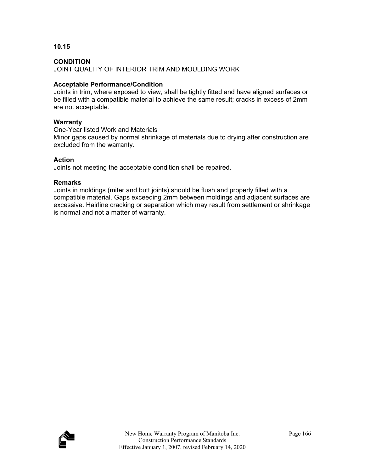**10.15** 

JOINT QUALITY OF INTERIOR TRIM AND MOULDING WORK

## **Acceptable Performance/Condition**

Joints in trim, where exposed to view, shall be tightly fitted and have aligned surfaces or be filled with a compatible material to achieve the same result; cracks in excess of 2mm are not acceptable.

#### **Warranty**

One-Year listed Work and Materials

Minor gaps caused by normal shrinkage of materials due to drying after construction are excluded from the warranty.

## **Action**

Joints not meeting the acceptable condition shall be repaired.

## **Remarks**

Joints in moldings (miter and butt joints) should be flush and properly filled with a compatible material. Gaps exceeding 2mm between moldings and adjacent surfaces are excessive. Hairline cracking or separation which may result from settlement or shrinkage is normal and not a matter of warranty.

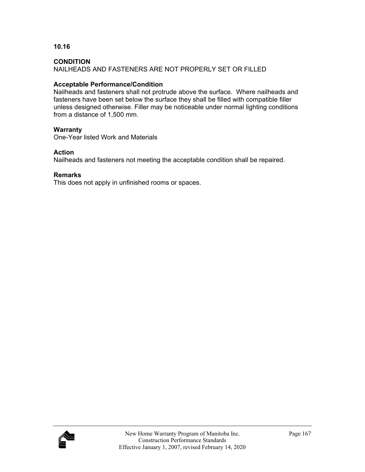**10.16** 

NAILHEADS AND FASTENERS ARE NOT PROPERLY SET OR FILLED

## **Acceptable Performance/Condition**

Nailheads and fasteners shall not protrude above the surface. Where nailheads and fasteners have been set below the surface they shall be filled with compatible filler unless designed otherwise. Filler may be noticeable under normal lighting conditions from a distance of 1,500 mm.

## **Warranty**

One-Year listed Work and Materials

## **Action**

Nailheads and fasteners not meeting the acceptable condition shall be repaired.

## **Remarks**

This does not apply in unfinished rooms or spaces.

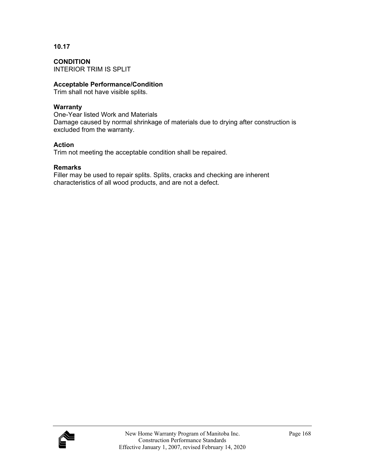**CONDITION**  INTERIOR TRIM IS SPLIT

#### **Acceptable Performance/Condition**

Trim shall not have visible splits.

## **Warranty**

One-Year listed Work and Materials Damage caused by normal shrinkage of materials due to drying after construction is excluded from the warranty.

## **Action**

Trim not meeting the acceptable condition shall be repaired.

## **Remarks**

Filler may be used to repair splits. Splits, cracks and checking are inherent characteristics of all wood products, and are not a defect.

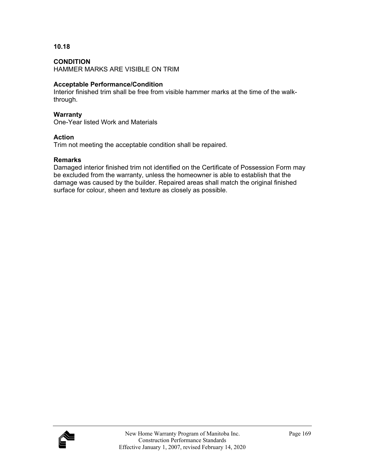## **CONDITION**

HAMMER MARKS ARE VISIBLE ON TRIM

#### **Acceptable Performance/Condition**

Interior finished trim shall be free from visible hammer marks at the time of the walkthrough.

#### **Warranty**

One-Year listed Work and Materials

## **Action**

Trim not meeting the acceptable condition shall be repaired.

#### **Remarks**

Damaged interior finished trim not identified on the Certificate of Possession Form may be excluded from the warranty, unless the homeowner is able to establish that the damage was caused by the builder. Repaired areas shall match the original finished surface for colour, sheen and texture as closely as possible.

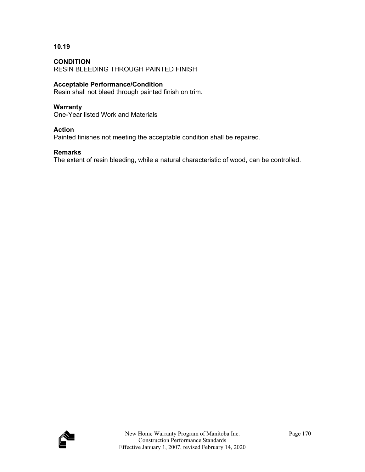**CONDITION**  RESIN BLEEDING THROUGH PAINTED FINISH

## **Acceptable Performance/Condition**

Resin shall not bleed through painted finish on trim.

#### **Warranty**

One-Year listed Work and Materials

#### **Action**

Painted finishes not meeting the acceptable condition shall be repaired.

#### **Remarks**

The extent of resin bleeding, while a natural characteristic of wood, can be controlled.

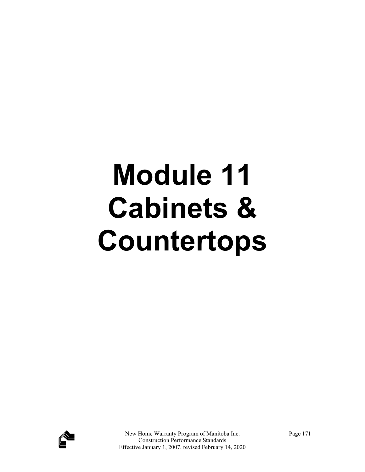# **Module 11 Cabinets & Countertops**

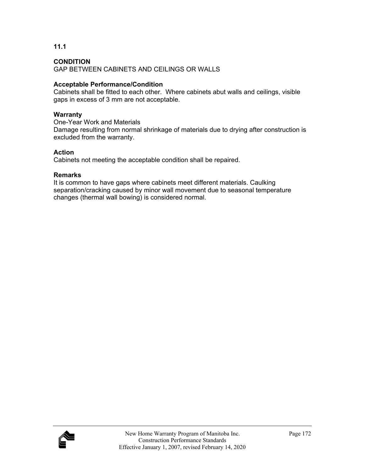**11.1** 

GAP BETWEEN CABINETS AND CEILINGS OR WALLS

## **Acceptable Performance/Condition**

Cabinets shall be fitted to each other. Where cabinets abut walls and ceilings, visible gaps in excess of 3 mm are not acceptable.

## **Warranty**

One-Year Work and Materials Damage resulting from normal shrinkage of materials due to drying after construction is excluded from the warranty.

## **Action**

Cabinets not meeting the acceptable condition shall be repaired.

## **Remarks**

It is common to have gaps where cabinets meet different materials. Caulking separation/cracking caused by minor wall movement due to seasonal temperature changes (thermal wall bowing) is considered normal.

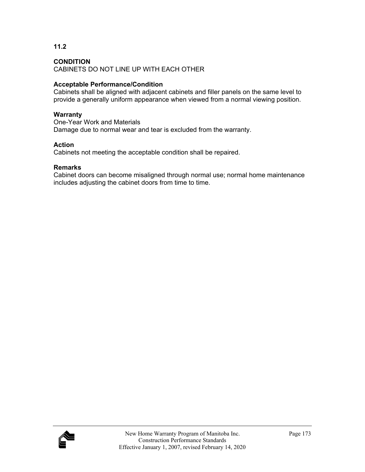**11.2** 

CABINETS DO NOT LINE UP WITH EACH OTHER

## **Acceptable Performance/Condition**

Cabinets shall be aligned with adjacent cabinets and filler panels on the same level to provide a generally uniform appearance when viewed from a normal viewing position.

## **Warranty**

One-Year Work and Materials Damage due to normal wear and tear is excluded from the warranty.

## **Action**

Cabinets not meeting the acceptable condition shall be repaired.

## **Remarks**

Cabinet doors can become misaligned through normal use; normal home maintenance includes adjusting the cabinet doors from time to time.

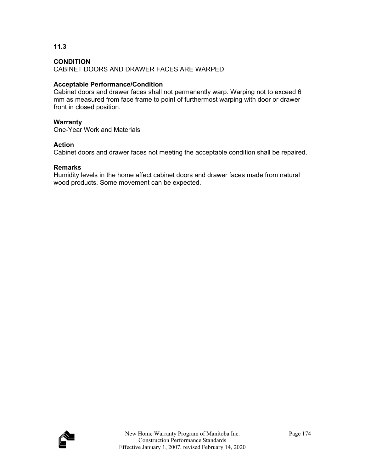**11.3** 

CABINET DOORS AND DRAWER FACES ARE WARPED

#### **Acceptable Performance/Condition**

Cabinet doors and drawer faces shall not permanently warp. Warping not to exceed 6 mm as measured from face frame to point of furthermost warping with door or drawer front in closed position.

#### **Warranty**

One-Year Work and Materials

#### **Action**

Cabinet doors and drawer faces not meeting the acceptable condition shall be repaired.

#### **Remarks**

Humidity levels in the home affect cabinet doors and drawer faces made from natural wood products. Some movement can be expected.

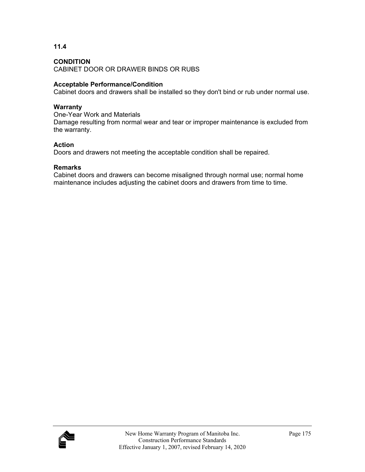**11.4** 

CABINET DOOR OR DRAWER BINDS OR RUBS

#### **Acceptable Performance/Condition**

Cabinet doors and drawers shall be installed so they don't bind or rub under normal use.

#### **Warranty**

One-Year Work and Materials Damage resulting from normal wear and tear or improper maintenance is excluded from the warranty.

#### **Action**

Doors and drawers not meeting the acceptable condition shall be repaired.

#### **Remarks**

Cabinet doors and drawers can become misaligned through normal use; normal home maintenance includes adjusting the cabinet doors and drawers from time to time.

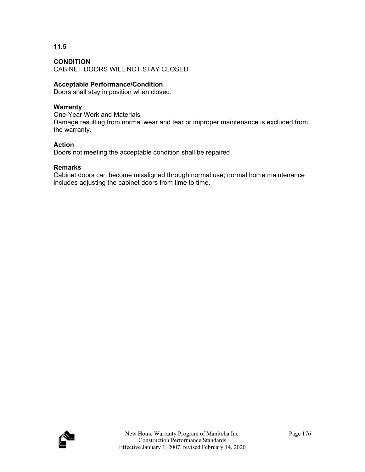#### **CONDITION**

CABINET DOORS WILL NOT STAY CLOSED

#### **Acceptable Performance/Condition**

Doors shall stay in position when closed.

#### **Warranty**

One-Year Work and Materials Damage resulting from normal wear and tear or improper maintenance is excluded from the warranty.

#### **Action**

Doors not meeting the acceptable condition shall be repaired.

#### **Remarks**

Cabinet doors can become misaligned through normal use; normal home maintenance includes adjusting the cabinet doors from time to time.

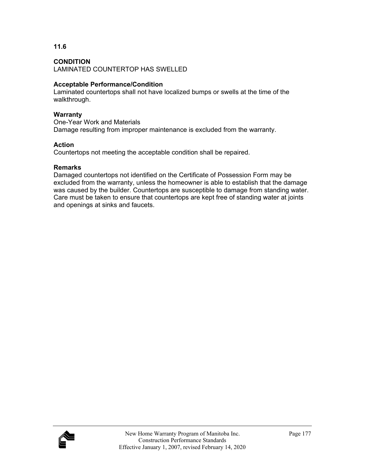#### **CONDITION**

LAMINATED COUNTERTOP HAS SWELLED

#### **Acceptable Performance/Condition**

Laminated countertops shall not have localized bumps or swells at the time of the walkthrough.

#### **Warranty**

One-Year Work and Materials Damage resulting from improper maintenance is excluded from the warranty.

#### **Action**

Countertops not meeting the acceptable condition shall be repaired.

#### **Remarks**

Damaged countertops not identified on the Certificate of Possession Form may be excluded from the warranty, unless the homeowner is able to establish that the damage was caused by the builder. Countertops are susceptible to damage from standing water. Care must be taken to ensure that countertops are kept free of standing water at joints and openings at sinks and faucets.

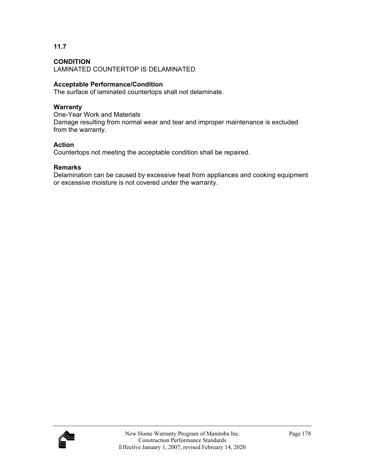**11.7** 

LAMINATED COUNTERTOP IS DELAMINATED

#### **Acceptable Performance/Condition**

The surface of laminated countertops shall not delaminate.

#### **Warranty**

One-Year Work and Materials Damage resulting from normal wear and tear and improper maintenance is excluded from the warranty.

#### **Action**

Countertops not meeting the acceptable condition shall be repaired.

#### **Remarks**

Delamination can be caused by excessive heat from appliances and cooking equipment or excessive moisture is not covered under the warranty.

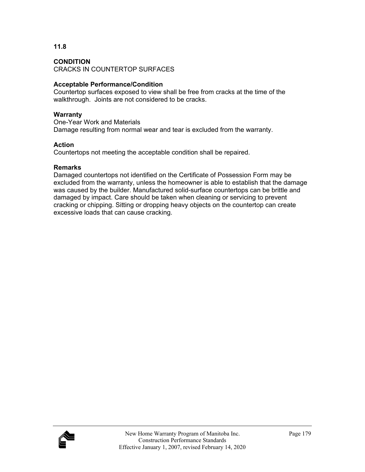#### **CONDITION**

CRACKS IN COUNTERTOP SURFACES

#### **Acceptable Performance/Condition**

Countertop surfaces exposed to view shall be free from cracks at the time of the walkthrough. Joints are not considered to be cracks.

#### **Warranty**

One-Year Work and Materials Damage resulting from normal wear and tear is excluded from the warranty.

#### **Action**

Countertops not meeting the acceptable condition shall be repaired.

#### **Remarks**

Damaged countertops not identified on the Certificate of Possession Form may be excluded from the warranty, unless the homeowner is able to establish that the damage was caused by the builder. Manufactured solid-surface countertops can be brittle and damaged by impact. Care should be taken when cleaning or servicing to prevent cracking or chipping. Sitting or dropping heavy objects on the countertop can create excessive loads that can cause cracking.

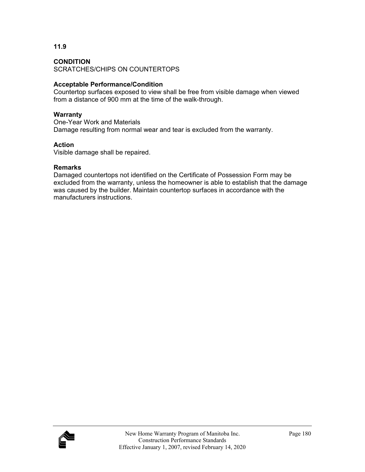#### **CONDITION**

SCRATCHES/CHIPS ON COUNTERTOPS

#### **Acceptable Performance/Condition**

Countertop surfaces exposed to view shall be free from visible damage when viewed from a distance of 900 mm at the time of the walk-through.

#### **Warranty**

One-Year Work and Materials Damage resulting from normal wear and tear is excluded from the warranty.

#### **Action**

Visible damage shall be repaired.

#### **Remarks**

Damaged countertops not identified on the Certificate of Possession Form may be excluded from the warranty, unless the homeowner is able to establish that the damage was caused by the builder. Maintain countertop surfaces in accordance with the manufacturers instructions.

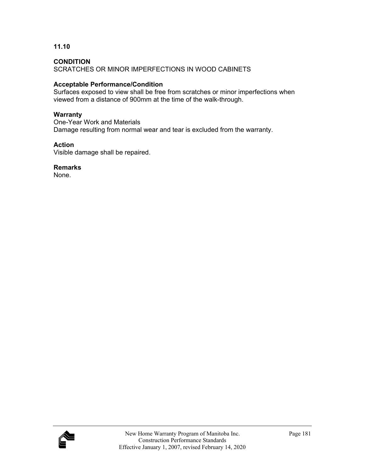#### **CONDITION**

SCRATCHES OR MINOR IMPERFECTIONS IN WOOD CABINETS

#### **Acceptable Performance/Condition**

Surfaces exposed to view shall be free from scratches or minor imperfections when viewed from a distance of 900mm at the time of the walk-through.

#### **Warranty**

One-Year Work and Materials Damage resulting from normal wear and tear is excluded from the warranty.

#### **Action**

Visible damage shall be repaired.

**Remarks** 

None.

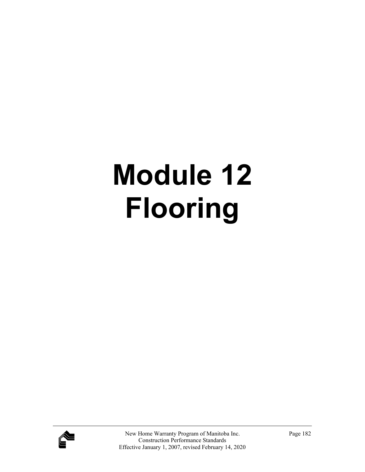# **Module 12 Flooring**

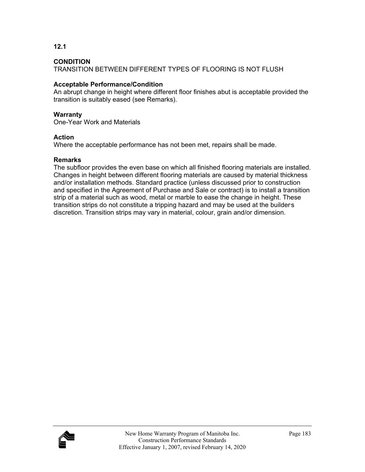**12.1** 

TRANSITION BETWEEN DIFFERENT TYPES OF FLOORING IS NOT FLUSH

#### **Acceptable Performance/Condition**

An abrupt change in height where different floor finishes abut is acceptable provided the transition is suitably eased (see Remarks).

#### **Warranty**

One-Year Work and Materials

#### **Action**

Where the acceptable performance has not been met, repairs shall be made.

#### **Remarks**

The subfloor provides the even base on which all finished flooring materials are installed. Changes in height between different flooring materials are caused by material thickness and/or installation methods. Standard practice (unless discussed prior to construction and specified in the Agreement of Purchase and Sale or contract) is to install a transition strip of a material such as wood, metal or marble to ease the change in height. These transition strips do not constitute a tripping hazard and may be used at the builder's discretion. Transition strips may vary in material, colour, grain and/or dimension.

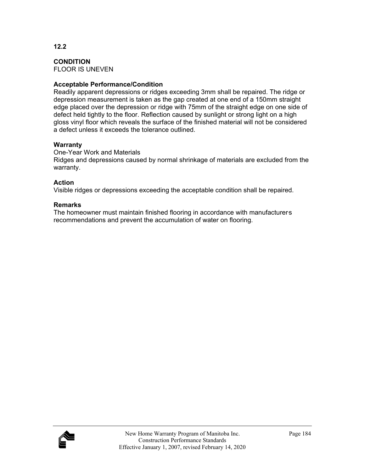**CONDITION**  FLOOR IS UNEVEN

#### **Acceptable Performance/Condition**

Readily apparent depressions or ridges exceeding 3mm shall be repaired. The ridge or depression measurement is taken as the gap created at one end of a 150mm straight edge placed over the depression or ridge with 75mm of the straight edge on one side of defect held tightly to the floor. Reflection caused by sunlight or strong light on a high gloss vinyl floor which reveals the surface of the finished material will not be considered a defect unless it exceeds the tolerance outlined.

#### **Warranty**

One-Year Work and Materials Ridges and depressions caused by normal shrinkage of materials are excluded from the warranty.

#### **Action**

Visible ridges or depressions exceeding the acceptable condition shall be repaired.

#### **Remarks**

The homeowner must maintain finished flooring in accordance with manufacturers recommendations and prevent the accumulation of water on flooring.

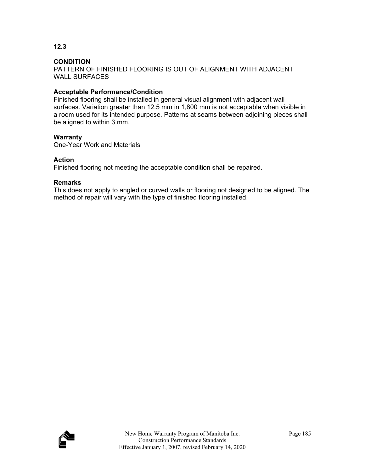**12.3** 

PATTERN OF FINISHED FLOORING IS OUT OF ALIGNMENT WITH ADJACENT WALL SURFACES

#### **Acceptable Performance/Condition**

Finished flooring shall be installed in general visual alignment with adjacent wall surfaces. Variation greater than 12.5 mm in 1,800 mm is not acceptable when visible in a room used for its intended purpose. Patterns at seams between adjoining pieces shall be aligned to within 3 mm.

#### **Warranty**

One-Year Work and Materials

#### **Action**

Finished flooring not meeting the acceptable condition shall be repaired.

#### **Remarks**

This does not apply to angled or curved walls or flooring not designed to be aligned. The method of repair will vary with the type of finished flooring installed.

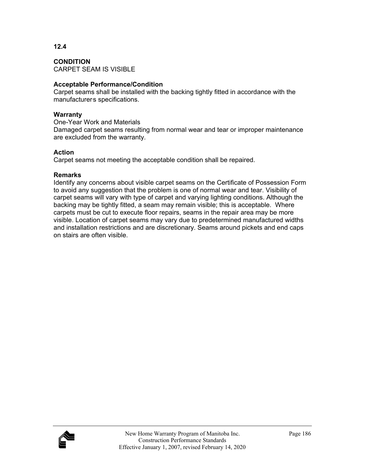#### **CONDITION**  CARPET SEAM IS VISIBLE

#### **Acceptable Performance/Condition**

Carpet seams shall be installed with the backing tightly fitted in accordance with the manufacturers specifications.

#### **Warranty**

**12.4** 

One-Year Work and Materials

Damaged carpet seams resulting from normal wear and tear or improper maintenance are excluded from the warranty.

### **Action**

Carpet seams not meeting the acceptable condition shall be repaired.

## **Remarks**

Identify any concerns about visible carpet seams on the Certificate of Possession Form to avoid any suggestion that the problem is one of normal wear and tear. Visibility of carpet seams will vary with type of carpet and varying lighting conditions. Although the backing may be tightly fitted, a seam may remain visible; this is acceptable. Where carpets must be cut to execute floor repairs, seams in the repair area may be more visible. Location of carpet seams may vary due to predetermined manufactured widths and installation restrictions and are discretionary. Seams around pickets and end caps on stairs are often visible.

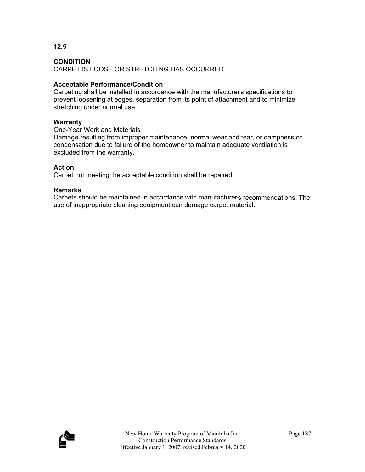**12.5** 

CARPET IS LOOSE OR STRETCHING HAS OCCURRED

#### **Acceptable Performance/Condition**

Carpeting shall be installed in accordance with the manufacturers specifications to prevent loosening at edges, separation from its point of attachment and to minimize stretching under normal use.

#### **Warranty**

One-Year Work and Materials

Damage resulting from improper maintenance, normal wear and tear, or dampness or condensation due to failure of the homeowner to maintain adequate ventilation is excluded from the warranty.

#### **Action**

Carpet not meeting the acceptable condition shall be repaired.

#### **Remarks**

Carpets should be maintained in accordance with manufacturers recommendations. The use of inappropriate cleaning equipment can damage carpet material.

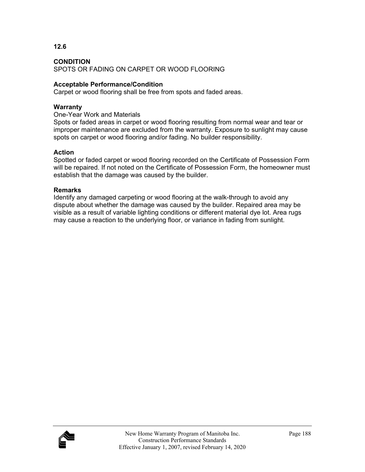#### **CONDITION**  SPOTS OR FADING ON CARPET OR WOOD FLOORING

#### **Acceptable Performance/Condition**

Carpet or wood flooring shall be free from spots and faded areas.

#### **Warranty**

**12.6** 

One-Year Work and Materials

Spots or faded areas in carpet or wood flooring resulting from normal wear and tear or improper maintenance are excluded from the warranty. Exposure to sunlight may cause spots on carpet or wood flooring and/or fading. No builder responsibility.

#### **Action**

Spotted or faded carpet or wood flooring recorded on the Certificate of Possession Form will be repaired. If not noted on the Certificate of Possession Form, the homeowner must establish that the damage was caused by the builder.

#### **Remarks**

Identify any damaged carpeting or wood flooring at the walk-through to avoid any dispute about whether the damage was caused by the builder. Repaired area may be visible as a result of variable lighting conditions or different material dye lot. Area rugs may cause a reaction to the underlying floor, or variance in fading from sunlight.

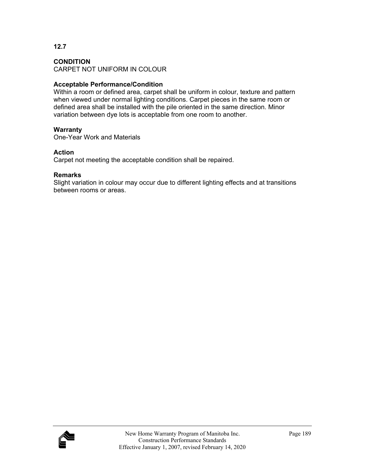**12.7** 

CARPET NOT UNIFORM IN COLOUR

#### **Acceptable Performance/Condition**

Within a room or defined area, carpet shall be uniform in colour, texture and pattern when viewed under normal lighting conditions. Carpet pieces in the same room or defined area shall be installed with the pile oriented in the same direction. Minor variation between dye lots is acceptable from one room to another.

#### **Warranty**

One-Year Work and Materials

#### **Action**

Carpet not meeting the acceptable condition shall be repaired.

#### **Remarks**

Slight variation in colour may occur due to different lighting effects and at transitions between rooms or areas.

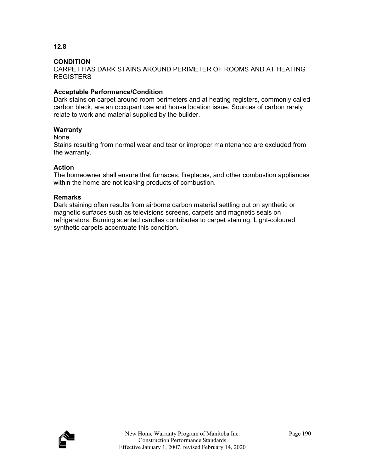**12.8** 

CARPET HAS DARK STAINS AROUND PERIMETER OF ROOMS AND AT HEATING REGISTERS

#### **Acceptable Performance/Condition**

Dark stains on carpet around room perimeters and at heating registers, commonly called carbon black, are an occupant use and house location issue. Sources of carbon rarely relate to work and material supplied by the builder.

#### **Warranty**

#### None.

Stains resulting from normal wear and tear or improper maintenance are excluded from the warranty.

#### **Action**

The homeowner shall ensure that furnaces, fireplaces, and other combustion appliances within the home are not leaking products of combustion.

#### **Remarks**

Dark staining often results from airborne carbon material settling out on synthetic or magnetic surfaces such as televisions screens, carpets and magnetic seals on refrigerators. Burning scented candles contributes to carpet staining. Light-coloured synthetic carpets accentuate this condition.

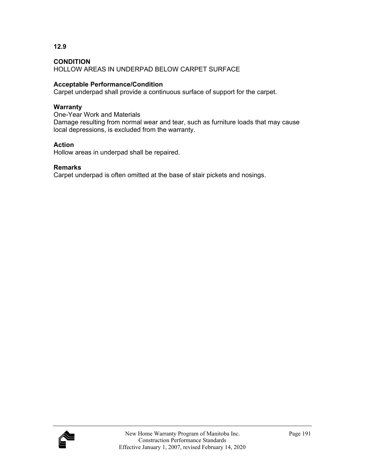**12.9** 

HOLLOW AREAS IN UNDERPAD BELOW CARPET SURFACE

#### **Acceptable Performance/Condition**

Carpet underpad shall provide a continuous surface of support for the carpet.

#### **Warranty**

One-Year Work and Materials Damage resulting from normal wear and tear, such as furniture loads that may cause local depressions, is excluded from the warranty.

#### **Action**

Hollow areas in underpad shall be repaired.

#### **Remarks**

Carpet underpad is often omitted at the base of stair pickets and nosings.

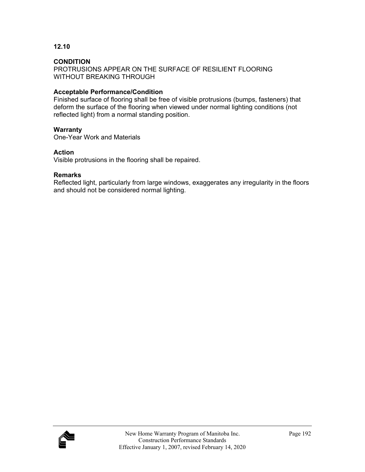#### **CONDITION**

PROTRUSIONS APPEAR ON THE SURFACE OF RESILIENT FLOORING WITHOUT BREAKING THROUGH

#### **Acceptable Performance/Condition**

Finished surface of flooring shall be free of visible protrusions (bumps, fasteners) that deform the surface of the flooring when viewed under normal lighting conditions (not reflected light) from a normal standing position.

#### **Warranty**

One-Year Work and Materials

#### **Action**

Visible protrusions in the flooring shall be repaired.

#### **Remarks**

Reflected light, particularly from large windows, exaggerates any irregularity in the floors and should not be considered normal lighting.

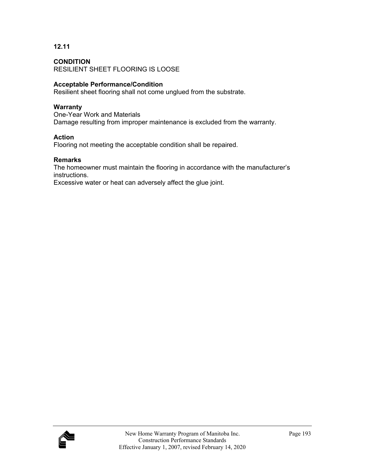#### **CONDITION**

RESILIENT SHEET FLOORING IS LOOSE

#### **Acceptable Performance/Condition**

Resilient sheet flooring shall not come unglued from the substrate.

#### **Warranty**

One-Year Work and Materials Damage resulting from improper maintenance is excluded from the warranty.

#### **Action**

Flooring not meeting the acceptable condition shall be repaired.

#### **Remarks**

The homeowner must maintain the flooring in accordance with the manufacturer's instructions.

Excessive water or heat can adversely affect the glue joint.

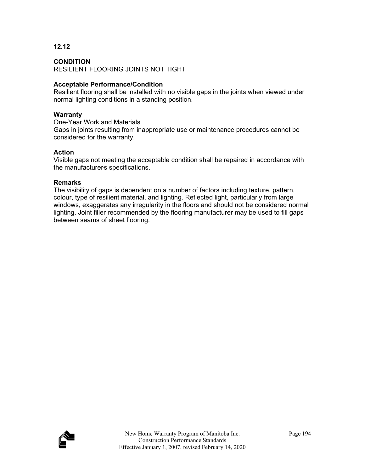#### **CONDITION**

RESILIENT FLOORING JOINTS NOT TIGHT

#### **Acceptable Performance/Condition**

Resilient flooring shall be installed with no visible gaps in the joints when viewed under normal lighting conditions in a standing position.

#### **Warranty**

One-Year Work and Materials Gaps in joints resulting from inappropriate use or maintenance procedures cannot be considered for the warranty.

#### **Action**

Visible gaps not meeting the acceptable condition shall be repaired in accordance with the manufacturers specifications.

#### **Remarks**

The visibility of gaps is dependent on a number of factors including texture, pattern, colour, type of resilient material, and lighting. Reflected light, particularly from large windows, exaggerates any irregularity in the floors and should not be considered normal lighting. Joint filler recommended by the flooring manufacturer may be used to fill gaps between seams of sheet flooring.

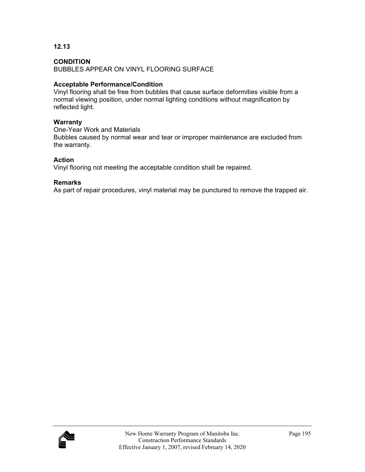#### **CONDITION**

BUBBLES APPEAR ON VINYL FLOORING SURFACE

#### **Acceptable Performance/Condition**

Vinyl flooring shall be free from bubbles that cause surface deformities visible from a normal viewing position, under normal lighting conditions without magnification by reflected light.

#### **Warranty**

One-Year Work and Materials Bubbles caused by normal wear and tear or improper maintenance are excluded from the warranty.

#### **Action**

Vinyl flooring not meeting the acceptable condition shall be repaired.

#### **Remarks**

As part of repair procedures, vinyl material may be punctured to remove the trapped air.

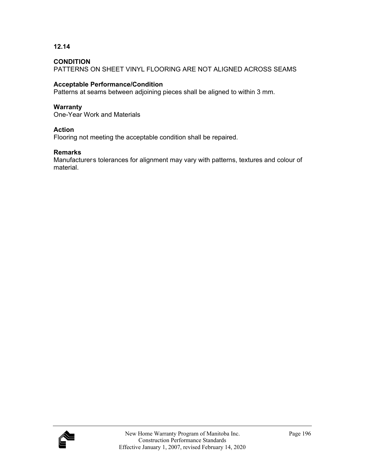#### **CONDITION**

PATTERNS ON SHEET VINYL FLOORING ARE NOT ALIGNED ACROSS SEAMS

#### **Acceptable Performance/Condition**

Patterns at seams between adjoining pieces shall be aligned to within 3 mm.

#### **Warranty**

One-Year Work and Materials

#### **Action**

Flooring not meeting the acceptable condition shall be repaired.

#### **Remarks**

Manufacturers tolerances for alignment may vary with patterns, textures and colour of material.

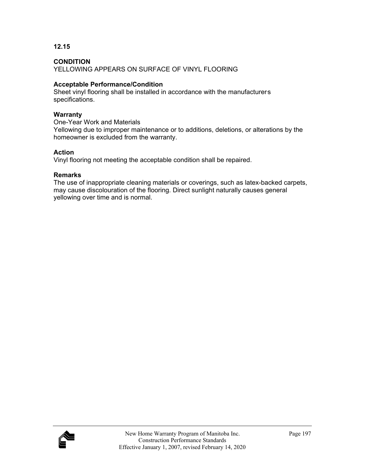#### **CONDITION**

YELLOWING APPEARS ON SURFACE OF VINYL FLOORING

#### **Acceptable Performance/Condition**

Sheet vinyl flooring shall be installed in accordance with the manufacturers specifications.

#### **Warranty**

One-Year Work and Materials

Yellowing due to improper maintenance or to additions, deletions, or alterations by the homeowner is excluded from the warranty.

#### **Action**

Vinyl flooring not meeting the acceptable condition shall be repaired.

#### **Remarks**

The use of inappropriate cleaning materials or coverings, such as latex-backed carpets, may cause discolouration of the flooring. Direct sunlight naturally causes general yellowing over time and is normal.

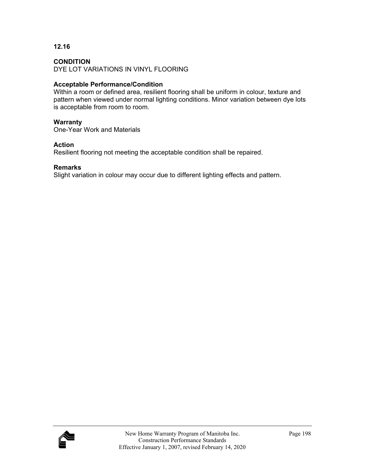#### **CONDITION**

DYE LOT VARIATIONS IN VINYL FLOORING

#### **Acceptable Performance/Condition**

Within a room or defined area, resilient flooring shall be uniform in colour, texture and pattern when viewed under normal lighting conditions. Minor variation between dye lots is acceptable from room to room.

#### **Warranty**

One-Year Work and Materials

#### **Action**

Resilient flooring not meeting the acceptable condition shall be repaired.

#### **Remarks**

Slight variation in colour may occur due to different lighting effects and pattern.

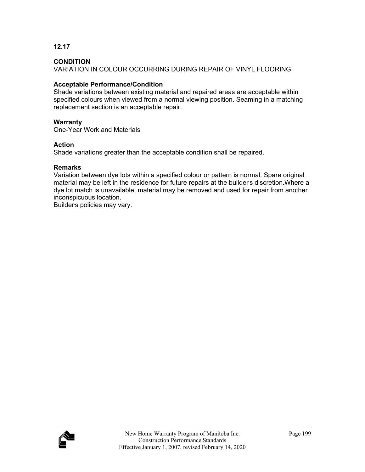#### **CONDITION**

VARIATION IN COLOUR OCCURRING DURING REPAIR OF VINYL FLOORING

#### **Acceptable Performance/Condition**

Shade variations between existing material and repaired areas are acceptable within specified colours when viewed from a normal viewing position. Seaming in a matching replacement section is an acceptable repair.

#### **Warranty**

One-Year Work and Materials

#### **Action**

Shade variations greater than the acceptable condition shall be repaired.

#### **Remarks**

Variation between dye lots within a specified colour or pattern is normal. Spare original material may be left in the residence for future repairs at the builders discretion. Where a dye lot match is unavailable, material may be removed and used for repair from another inconspicuous location.

Builder's policies may vary.

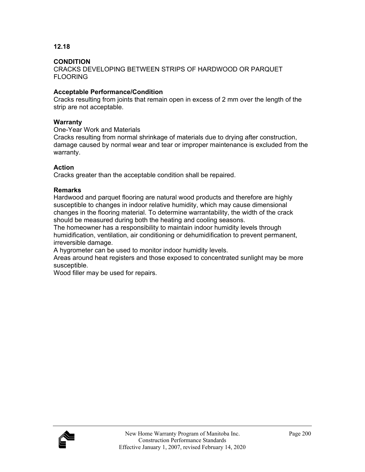#### **CONDITION**

CRACKS DEVELOPING BETWEEN STRIPS OF HARDWOOD OR PARQUET FLOORING

#### **Acceptable Performance/Condition**

Cracks resulting from joints that remain open in excess of 2 mm over the length of the strip are not acceptable.

#### **Warranty**

One-Year Work and Materials

Cracks resulting from normal shrinkage of materials due to drying after construction, damage caused by normal wear and tear or improper maintenance is excluded from the warranty.

#### **Action**

Cracks greater than the acceptable condition shall be repaired.

#### **Remarks**

Hardwood and parquet flooring are natural wood products and therefore are highly susceptible to changes in indoor relative humidity, which may cause dimensional changes in the flooring material. To determine warrantability, the width of the crack should be measured during both the heating and cooling seasons.

The homeowner has a responsibility to maintain indoor humidity levels through humidification, ventilation, air conditioning or dehumidification to prevent permanent, irreversible damage.

A hygrometer can be used to monitor indoor humidity levels.

Areas around heat registers and those exposed to concentrated sunlight may be more susceptible.

Wood filler may be used for repairs.

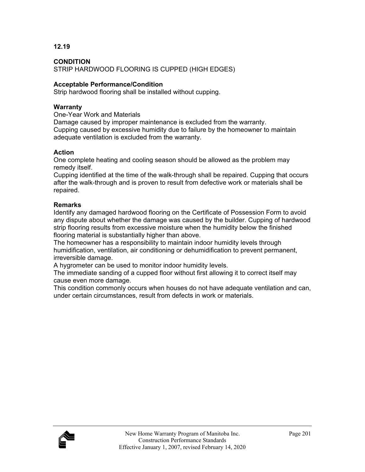**CONDITION**  STRIP HARDWOOD FLOORING IS CUPPED (HIGH EDGES)

#### **Acceptable Performance/Condition**

Strip hardwood flooring shall be installed without cupping.

#### **Warranty**

One-Year Work and Materials

Damage caused by improper maintenance is excluded from the warranty. Cupping caused by excessive humidity due to failure by the homeowner to maintain adequate ventilation is excluded from the warranty.

#### **Action**

One complete heating and cooling season should be allowed as the problem may remedy itself.

Cupping identified at the time of the walk-through shall be repaired. Cupping that occurs after the walk-through and is proven to result from defective work or materials shall be repaired.

#### **Remarks**

Identify any damaged hardwood flooring on the Certificate of Possession Form to avoid any dispute about whether the damage was caused by the builder. Cupping of hardwood strip flooring results from excessive moisture when the humidity below the finished flooring material is substantially higher than above.

The homeowner has a responsibility to maintain indoor humidity levels through humidification, ventilation, air conditioning or dehumidification to prevent permanent, irreversible damage.

A hygrometer can be used to monitor indoor humidity levels.

The immediate sanding of a cupped floor without first allowing it to correct itself may cause even more damage.

This condition commonly occurs when houses do not have adequate ventilation and can, under certain circumstances, result from defects in work or materials.

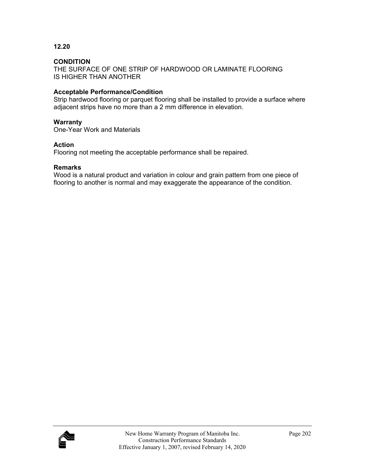#### **CONDITION**

THE SURFACE OF ONE STRIP OF HARDWOOD OR LAMINATE FLOORING IS HIGHER THAN ANOTHER

#### **Acceptable Performance/Condition**

Strip hardwood flooring or parquet flooring shall be installed to provide a surface where adjacent strips have no more than a 2 mm difference in elevation.

#### **Warranty**

One-Year Work and Materials

#### **Action**

Flooring not meeting the acceptable performance shall be repaired.

#### **Remarks**

Wood is a natural product and variation in colour and grain pattern from one piece of flooring to another is normal and may exaggerate the appearance of the condition.

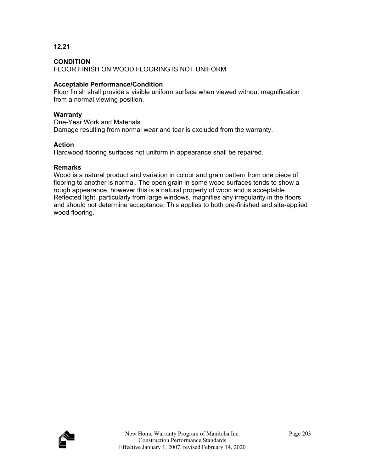#### **CONDITION**

FLOOR FINISH ON WOOD FLOORING IS NOT UNIFORM

#### **Acceptable Performance/Condition**

Floor finish shall provide a visible uniform surface when viewed without magnification from a normal viewing position.

#### **Warranty**

One-Year Work and Materials Damage resulting from normal wear and tear is excluded from the warranty.

#### **Action**

Hardwood flooring surfaces not uniform in appearance shall be repaired.

#### **Remarks**

Wood is a natural product and variation in colour and grain pattern from one piece of flooring to another is normal. The open grain in some wood surfaces tends to show a rough appearance, however this is a natural property of wood and is acceptable. Reflected light, particularly from large windows, magnifies any irregularity in the floors and should not determine acceptance. This applies to both pre-finished and site-applied wood flooring.

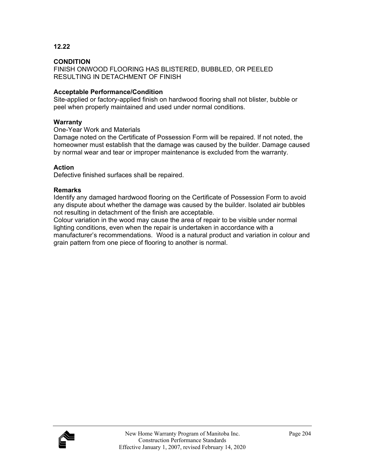#### **CONDITION**

FINISH ONWOOD FLOORING HAS BLISTERED, BUBBLED, OR PEELED RESULTING IN DETACHMENT OF FINISH

#### **Acceptable Performance/Condition**

Site-applied or factory-applied finish on hardwood flooring shall not blister, bubble or peel when properly maintained and used under normal conditions.

#### **Warranty**

One-Year Work and Materials

Damage noted on the Certificate of Possession Form will be repaired. If not noted, the homeowner must establish that the damage was caused by the builder. Damage caused by normal wear and tear or improper maintenance is excluded from the warranty.

#### **Action**

Defective finished surfaces shall be repaired.

#### **Remarks**

Identify any damaged hardwood flooring on the Certificate of Possession Form to avoid any dispute about whether the damage was caused by the builder. Isolated air bubbles not resulting in detachment of the finish are acceptable.

Colour variation in the wood may cause the area of repair to be visible under normal lighting conditions, even when the repair is undertaken in accordance with a manufacturer's recommendations. Wood is a natural product and variation in colour and grain pattern from one piece of flooring to another is normal.

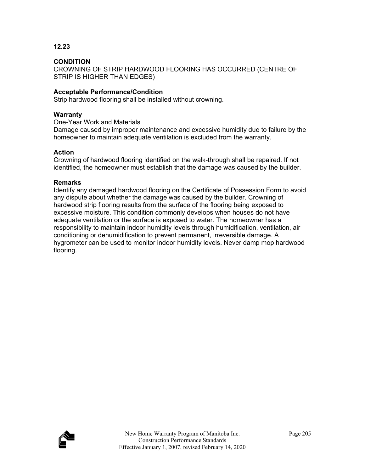#### **CONDITION**

CROWNING OF STRIP HARDWOOD FLOORING HAS OCCURRED (CENTRE OF STRIP IS HIGHER THAN EDGES)

#### **Acceptable Performance/Condition**

Strip hardwood flooring shall be installed without crowning.

#### **Warranty**

One-Year Work and Materials

Damage caused by improper maintenance and excessive humidity due to failure by the homeowner to maintain adequate ventilation is excluded from the warranty.

#### **Action**

Crowning of hardwood flooring identified on the walk-through shall be repaired. If not identified, the homeowner must establish that the damage was caused by the builder.

#### **Remarks**

Identify any damaged hardwood flooring on the Certificate of Possession Form to avoid any dispute about whether the damage was caused by the builder. Crowning of hardwood strip flooring results from the surface of the flooring being exposed to excessive moisture. This condition commonly develops when houses do not have adequate ventilation or the surface is exposed to water. The homeowner has a responsibility to maintain indoor humidity levels through humidification, ventilation, air conditioning or dehumidification to prevent permanent, irreversible damage. A hygrometer can be used to monitor indoor humidity levels. Never damp mop hardwood flooring.

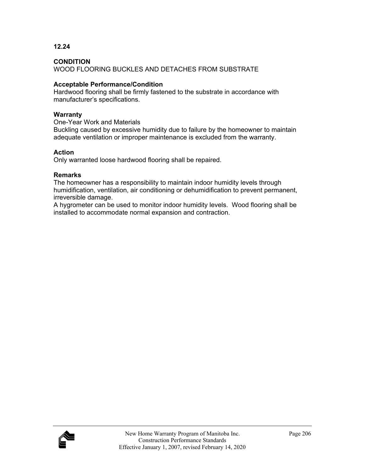**12.24** 

WOOD FLOORING BUCKLES AND DETACHES FROM SUBSTRATE

#### **Acceptable Performance/Condition**

Hardwood flooring shall be firmly fastened to the substrate in accordance with manufacturer's specifications.

#### **Warranty**

One-Year Work and Materials

Buckling caused by excessive humidity due to failure by the homeowner to maintain adequate ventilation or improper maintenance is excluded from the warranty.

#### **Action**

Only warranted loose hardwood flooring shall be repaired.

#### **Remarks**

The homeowner has a responsibility to maintain indoor humidity levels through humidification, ventilation, air conditioning or dehumidification to prevent permanent, irreversible damage.

A hygrometer can be used to monitor indoor humidity levels. Wood flooring shall be installed to accommodate normal expansion and contraction.

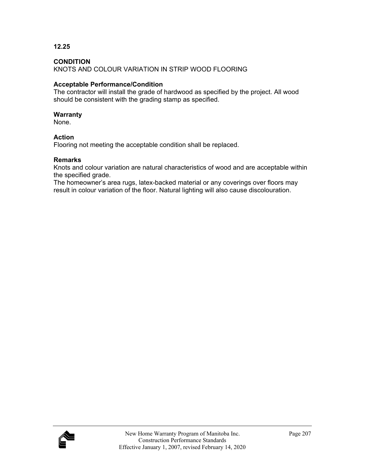#### **CONDITION**

KNOTS AND COLOUR VARIATION IN STRIP WOOD FLOORING

#### **Acceptable Performance/Condition**

The contractor will install the grade of hardwood as specified by the project. All wood should be consistent with the grading stamp as specified.

#### **Warranty**

None.

#### **Action**

Flooring not meeting the acceptable condition shall be replaced.

#### **Remarks**

Knots and colour variation are natural characteristics of wood and are acceptable within the specified grade.

The homeowner's area rugs, latex-backed material or any coverings over floors may result in colour variation of the floor. Natural lighting will also cause discolouration.

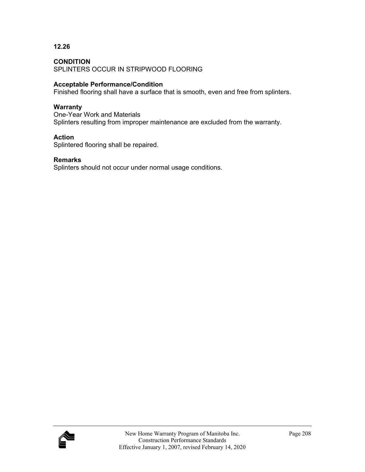#### **CONDITION**

SPLINTERS OCCUR IN STRIPWOOD FLOORING

#### **Acceptable Performance/Condition**

Finished flooring shall have a surface that is smooth, even and free from splinters.

#### **Warranty**

One-Year Work and Materials Splinters resulting from improper maintenance are excluded from the warranty.

#### **Action**

Splintered flooring shall be repaired.

#### **Remarks**

Splinters should not occur under normal usage conditions.

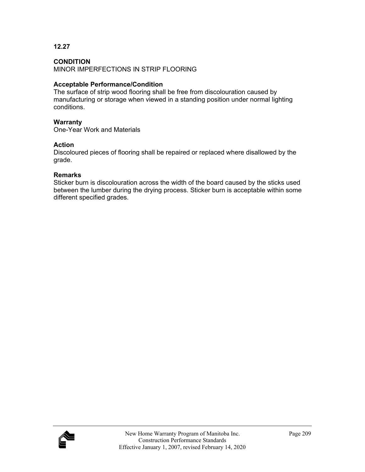#### **CONDITION**

MINOR IMPERFECTIONS IN STRIP FLOORING

#### **Acceptable Performance/Condition**

The surface of strip wood flooring shall be free from discolouration caused by manufacturing or storage when viewed in a standing position under normal lighting conditions.

#### **Warranty**

One-Year Work and Materials

#### **Action**

Discoloured pieces of flooring shall be repaired or replaced where disallowed by the grade.

#### **Remarks**

Sticker burn is discolouration across the width of the board caused by the sticks used between the lumber during the drying process. Sticker burn is acceptable within some different specified grades.

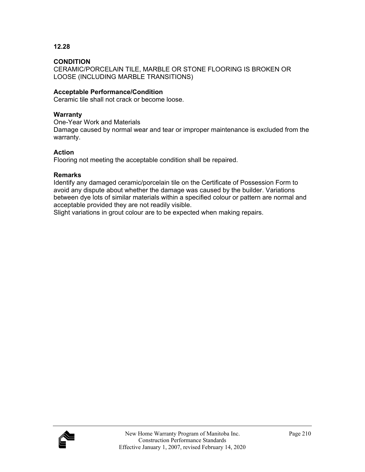## **CONDITION**

CERAMIC/PORCELAIN TILE, MARBLE OR STONE FLOORING IS BROKEN OR LOOSE (INCLUDING MARBLE TRANSITIONS)

#### **Acceptable Performance/Condition**

Ceramic tile shall not crack or become loose.

#### **Warranty**

One-Year Work and Materials

Damage caused by normal wear and tear or improper maintenance is excluded from the warranty.

## **Action**

Flooring not meeting the acceptable condition shall be repaired.

#### **Remarks**

Identify any damaged ceramic/porcelain tile on the Certificate of Possession Form to avoid any dispute about whether the damage was caused by the builder. Variations between dye lots of similar materials within a specified colour or pattern are normal and acceptable provided they are not readily visible.

Slight variations in grout colour are to be expected when making repairs.

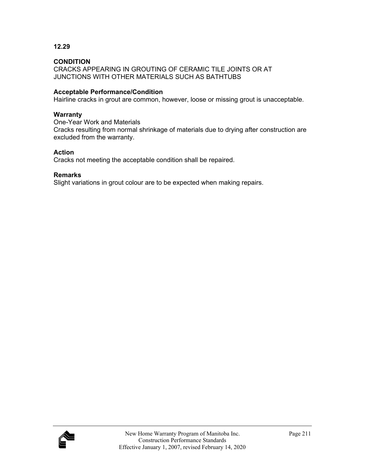## **CONDITION**

CRACKS APPEARING IN GROUTING OF CERAMIC TILE JOINTS OR AT JUNCTIONS WITH OTHER MATERIALS SUCH AS BATHTUBS

#### **Acceptable Performance/Condition**

Hairline cracks in grout are common, however, loose or missing grout is unacceptable.

#### **Warranty**

One-Year Work and Materials

Cracks resulting from normal shrinkage of materials due to drying after construction are excluded from the warranty.

#### **Action**

Cracks not meeting the acceptable condition shall be repaired.

#### **Remarks**

Slight variations in grout colour are to be expected when making repairs.

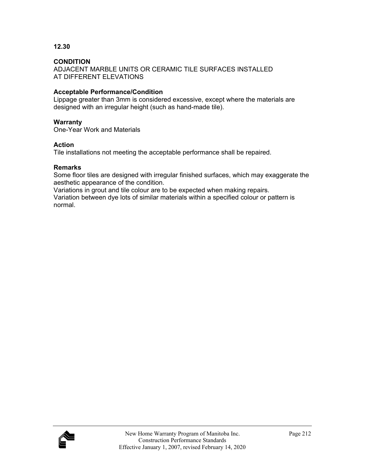#### **CONDITION**

ADJACENT MARBLE UNITS OR CERAMIC TILE SURFACES INSTALLED AT DIFFERENT ELEVATIONS

## **Acceptable Performance/Condition**

Lippage greater than 3mm is considered excessive, except where the materials are designed with an irregular height (such as hand-made tile).

#### **Warranty**

One-Year Work and Materials

#### **Action**

Tile installations not meeting the acceptable performance shall be repaired.

#### **Remarks**

Some floor tiles are designed with irregular finished surfaces, which may exaggerate the aesthetic appearance of the condition.

Variations in grout and tile colour are to be expected when making repairs.

Variation between dye lots of similar materials within a specified colour or pattern is normal.

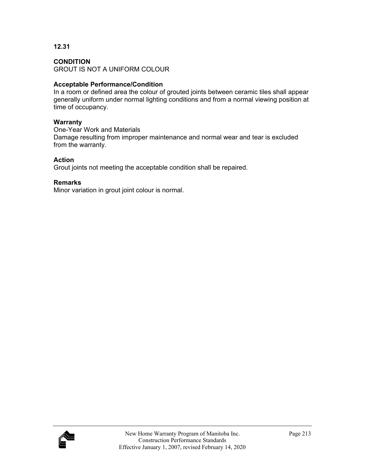# **CONDITION**

GROUT IS NOT A UNIFORM COLOUR

# **Acceptable Performance/Condition**

In a room or defined area the colour of grouted joints between ceramic tiles shall appear generally uniform under normal lighting conditions and from a normal viewing position at time of occupancy.

# **Warranty**

One-Year Work and Materials Damage resulting from improper maintenance and normal wear and tear is excluded from the warranty.

# **Action**

Grout joints not meeting the acceptable condition shall be repaired.

# **Remarks**

Minor variation in grout joint colour is normal.

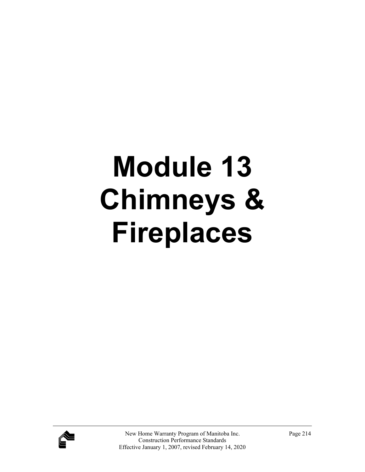# **Module 13 Chimneys & Fireplaces**

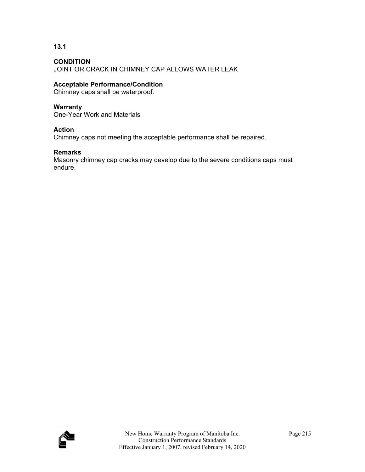**13.1** 

JOINT OR CRACK IN CHIMNEY CAP ALLOWS WATER LEAK

# **Acceptable Performance/Condition**

Chimney caps shall be waterproof.

# **Warranty**

One-Year Work and Materials

# **Action**

Chimney caps not meeting the acceptable performance shall be repaired.

# **Remarks**

Masonry chimney cap cracks may develop due to the severe conditions caps must endure.

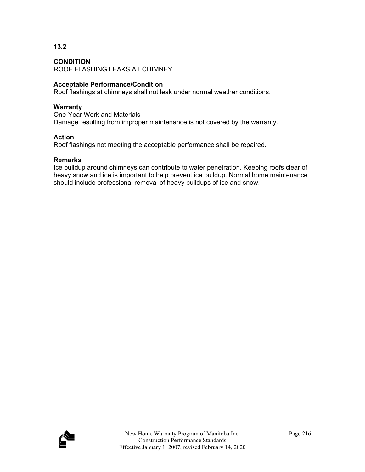**13.2** 

ROOF FLASHING LEAKS AT CHIMNEY

## **Acceptable Performance/Condition**

Roof flashings at chimneys shall not leak under normal weather conditions.

#### **Warranty**

One-Year Work and Materials Damage resulting from improper maintenance is not covered by the warranty.

## **Action**

Roof flashings not meeting the acceptable performance shall be repaired.

## **Remarks**

Ice buildup around chimneys can contribute to water penetration. Keeping roofs clear of heavy snow and ice is important to help prevent ice buildup. Normal home maintenance should include professional removal of heavy buildups of ice and snow.

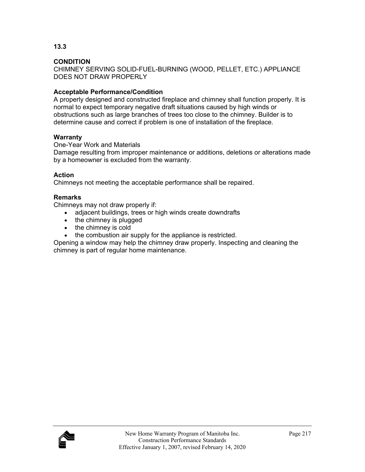**13.3** 

CHIMNEY SERVING SOLID-FUEL-BURNING (WOOD, PELLET, ETC.) APPLIANCE DOES NOT DRAW PROPERLY

# **Acceptable Performance/Condition**

A properly designed and constructed fireplace and chimney shall function properly. It is normal to expect temporary negative draft situations caused by high winds or obstructions such as large branches of trees too close to the chimney. Builder is to determine cause and correct if problem is one of installation of the fireplace.

# **Warranty**

One-Year Work and Materials

Damage resulting from improper maintenance or additions, deletions or alterations made by a homeowner is excluded from the warranty.

# **Action**

Chimneys not meeting the acceptable performance shall be repaired.

## **Remarks**

Chimneys may not draw properly if:

- adjacent buildings, trees or high winds create downdrafts
- $\bullet$  the chimney is plugged
- the chimney is cold
- the combustion air supply for the appliance is restricted.

Opening a window may help the chimney draw properly. Inspecting and cleaning the chimney is part of regular home maintenance.

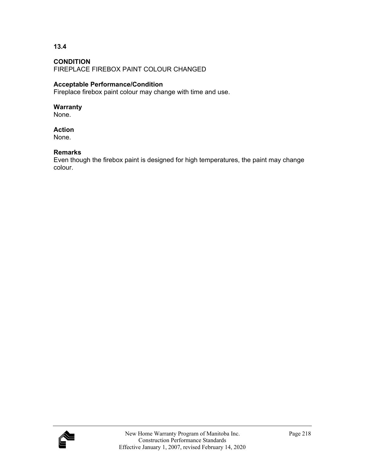## **CONDITION**

FIREPLACE FIREBOX PAINT COLOUR CHANGED

## **Acceptable Performance/Condition**

Fireplace firebox paint colour may change with time and use.

#### **Warranty**

None.

#### **Action**

None.

#### **Remarks**

Even though the firebox paint is designed for high temperatures, the paint may change colour.

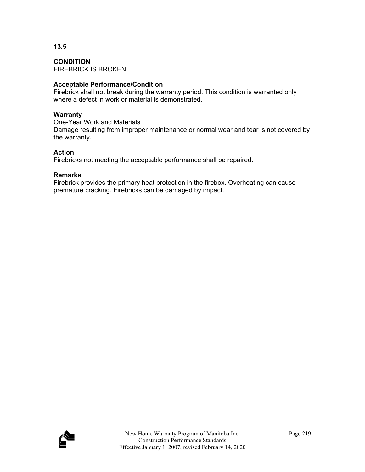**CONDITION**  FIREBRICK IS BROKEN

# **Acceptable Performance/Condition**

Firebrick shall not break during the warranty period. This condition is warranted only where a defect in work or material is demonstrated.

# **Warranty**

One-Year Work and Materials Damage resulting from improper maintenance or normal wear and tear is not covered by the warranty.

# **Action**

Firebricks not meeting the acceptable performance shall be repaired.

# **Remarks**

Firebrick provides the primary heat protection in the firebox. Overheating can cause premature cracking. Firebricks can be damaged by impact.

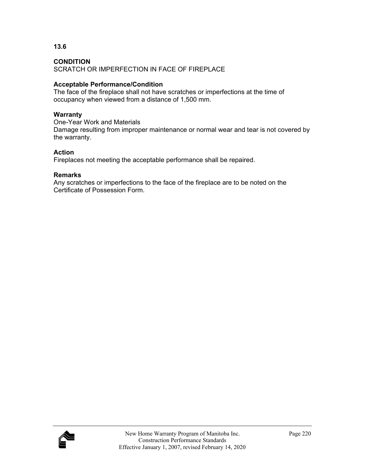**13.6** 

SCRATCH OR IMPERFECTION IN FACE OF FIREPLACE

# **Acceptable Performance/Condition**

The face of the fireplace shall not have scratches or imperfections at the time of occupancy when viewed from a distance of 1,500 mm.

# **Warranty**

One-Year Work and Materials Damage resulting from improper maintenance or normal wear and tear is not covered by the warranty.

# **Action**

Fireplaces not meeting the acceptable performance shall be repaired.

# **Remarks**

Any scratches or imperfections to the face of the fireplace are to be noted on the Certificate of Possession Form.

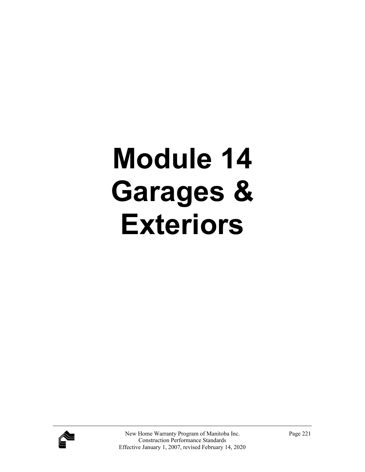# **Module 14 Garages & Exteriors**

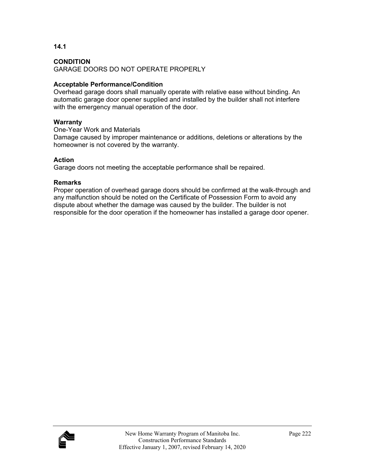**14.1** 

GARAGE DOORS DO NOT OPERATE PROPERLY

# **Acceptable Performance/Condition**

Overhead garage doors shall manually operate with relative ease without binding. An automatic garage door opener supplied and installed by the builder shall not interfere with the emergency manual operation of the door.

## **Warranty**

One-Year Work and Materials

Damage caused by improper maintenance or additions, deletions or alterations by the homeowner is not covered by the warranty.

# **Action**

Garage doors not meeting the acceptable performance shall be repaired.

# **Remarks**

Proper operation of overhead garage doors should be confirmed at the walk-through and any malfunction should be noted on the Certificate of Possession Form to avoid any dispute about whether the damage was caused by the builder. The builder is not responsible for the door operation if the homeowner has installed a garage door opener.

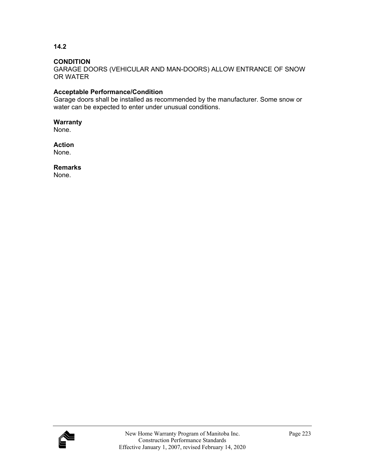**14.2** 

GARAGE DOORS (VEHICULAR AND MAN-DOORS) ALLOW ENTRANCE OF SNOW OR WATER

# **Acceptable Performance/Condition**

Garage doors shall be installed as recommended by the manufacturer. Some snow or water can be expected to enter under unusual conditions.

**Warranty**  None.

**Action**  None.

**Remarks**  None.

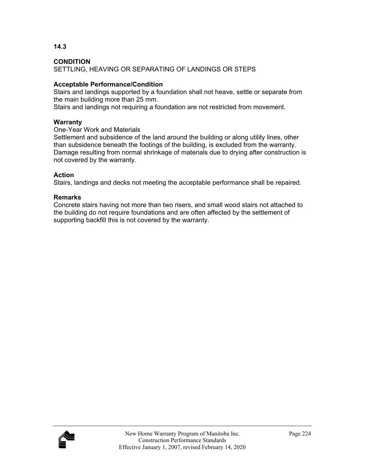**14.3** 

SETTLING, HEAVING OR SEPARATING OF LANDINGS OR STEPS

## **Acceptable Performance/Condition**

Stairs and landings supported by a foundation shall not heave, settle or separate from the main building more than 25 mm.

Stairs and landings not requiring a foundation are not restricted from movement.

#### **Warranty**

## One-Year Work and Materials

Settlement and subsidence of the land around the building or along utility lines, other than subsidence beneath the footings of the building, is excluded from the warranty. Damage resulting from normal shrinkage of materials due to drying after construction is not covered by the warranty.

## **Action**

Stairs, landings and decks not meeting the acceptable performance shall be repaired.

## **Remarks**

Concrete stairs having not more than two risers, and small wood stairs not attached to the building do not require foundations and are often affected by the settlement of supporting backfill this is not covered by the warranty.

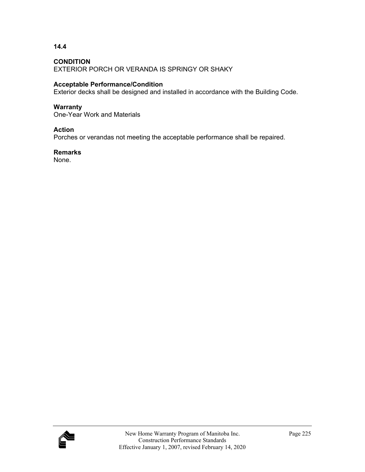**14.4** 

EXTERIOR PORCH OR VERANDA IS SPRINGY OR SHAKY

## **Acceptable Performance/Condition**

Exterior decks shall be designed and installed in accordance with the Building Code.

#### **Warranty**

One-Year Work and Materials

## **Action**

Porches or verandas not meeting the acceptable performance shall be repaired.

#### **Remarks**

None.

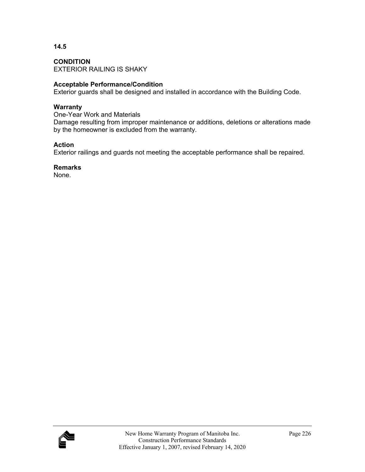**CONDITION**  EXTERIOR RAILING IS SHAKY

# **Acceptable Performance/Condition**

Exterior guards shall be designed and installed in accordance with the Building Code.

## **Warranty**

One-Year Work and Materials Damage resulting from improper maintenance or additions, deletions or alterations made by the homeowner is excluded from the warranty.

# **Action**

Exterior railings and guards not meeting the acceptable performance shall be repaired.

**Remarks** 

None.

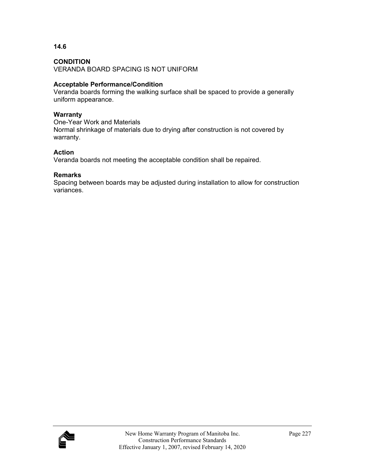**14.6** 

VERANDA BOARD SPACING IS NOT UNIFORM

# **Acceptable Performance/Condition**

Veranda boards forming the walking surface shall be spaced to provide a generally uniform appearance.

# **Warranty**

One-Year Work and Materials Normal shrinkage of materials due to drying after construction is not covered by warranty.

# **Action**

Veranda boards not meeting the acceptable condition shall be repaired.

# **Remarks**

Spacing between boards may be adjusted during installation to allow for construction variances.

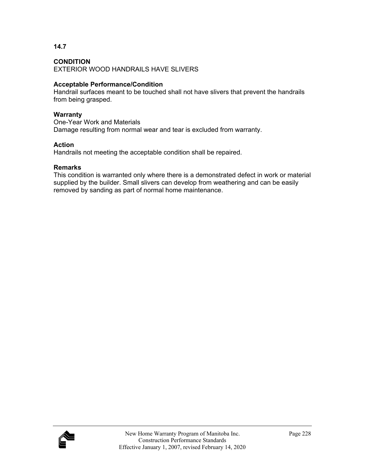**14.7** 

EXTERIOR WOOD HANDRAILS HAVE SLIVERS

# **Acceptable Performance/Condition**

Handrail surfaces meant to be touched shall not have slivers that prevent the handrails from being grasped.

## **Warranty**

One-Year Work and Materials Damage resulting from normal wear and tear is excluded from warranty.

# **Action**

Handrails not meeting the acceptable condition shall be repaired.

# **Remarks**

This condition is warranted only where there is a demonstrated defect in work or material supplied by the builder. Small slivers can develop from weathering and can be easily removed by sanding as part of normal home maintenance.